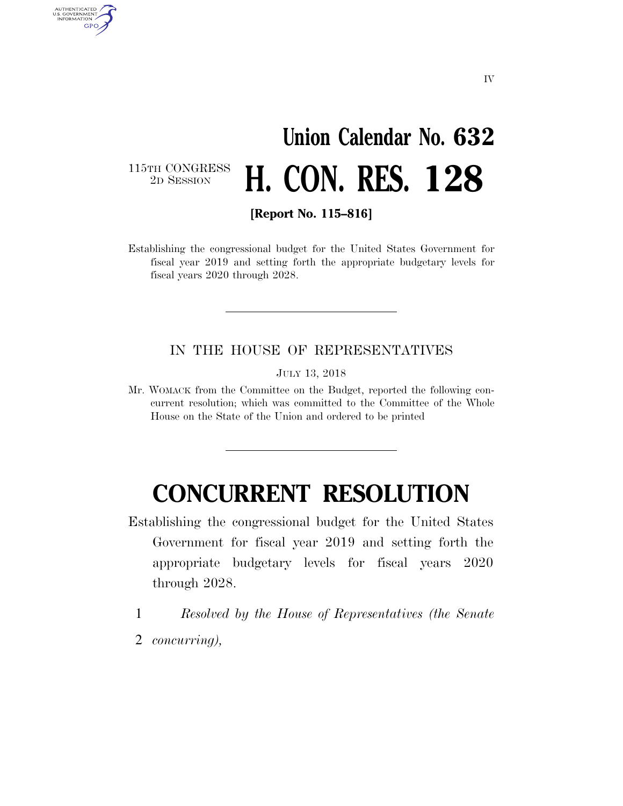# **Union Calendar No. 632**  2D SESSION **H. CON. RES. 128**

115TH CONGRESS<br>2D SESSION

AUTHENTICATED<br>U.S. GOVERNMENT<br>INFORMATION **GPO** 

**[Report No. 115–816]** 

Establishing the congressional budget for the United States Government for fiscal year 2019 and setting forth the appropriate budgetary levels for fiscal years 2020 through 2028.

#### IN THE HOUSE OF REPRESENTATIVES

JULY 13, 2018

Mr. WOMACK from the Committee on the Budget, reported the following concurrent resolution; which was committed to the Committee of the Whole House on the State of the Union and ordered to be printed

# **CONCURRENT RESOLUTION**

- Establishing the congressional budget for the United States Government for fiscal year 2019 and setting forth the appropriate budgetary levels for fiscal years 2020 through 2028.
	- 1 *Resolved by the House of Representatives (the Senate*
- 2 *concurring),*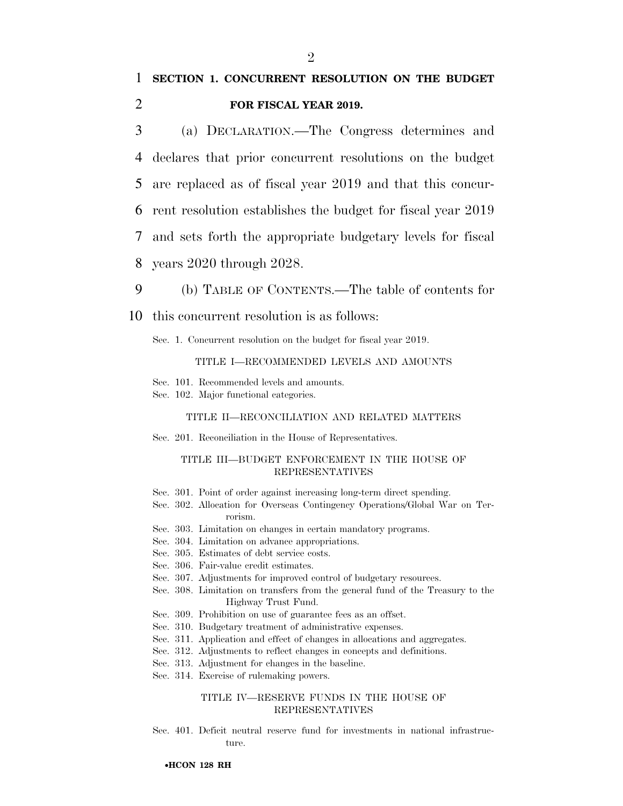### 1 **SECTION 1. CONCURRENT RESOLUTION ON THE BUDGET**  2 **FOR FISCAL YEAR 2019.**

 (a) DECLARATION.—The Congress determines and declares that prior concurrent resolutions on the budget are replaced as of fiscal year 2019 and that this concur- rent resolution establishes the budget for fiscal year 2019 and sets forth the appropriate budgetary levels for fiscal years 2020 through 2028.

9 (b) TABLE OF CONTENTS.—The table of contents for

10 this concurrent resolution is as follows:

Sec. 1. Concurrent resolution on the budget for fiscal year 2019.

#### TITLE I—RECOMMENDED LEVELS AND AMOUNTS

Sec. 101. Recommended levels and amounts.

Sec. 102. Major functional categories.

#### TITLE II—RECONCILIATION AND RELATED MATTERS

Sec. 201. Reconciliation in the House of Representatives.

#### TITLE III—BUDGET ENFORCEMENT IN THE HOUSE OF REPRESENTATIVES

- Sec. 301. Point of order against increasing long-term direct spending.
- Sec. 302. Allocation for Overseas Contingency Operations/Global War on Terrorism.
- Sec. 303. Limitation on changes in certain mandatory programs.
- Sec. 304. Limitation on advance appropriations.
- Sec. 305. Estimates of debt service costs.
- Sec. 306. Fair-value credit estimates.
- Sec. 307. Adjustments for improved control of budgetary resources.
- Sec. 308. Limitation on transfers from the general fund of the Treasury to the Highway Trust Fund.
- Sec. 309. Prohibition on use of guarantee fees as an offset.
- Sec. 310. Budgetary treatment of administrative expenses.
- Sec. 311. Application and effect of changes in allocations and aggregates.
- Sec. 312. Adjustments to reflect changes in concepts and definitions.
- Sec. 313. Adjustment for changes in the baseline.
- Sec. 314. Exercise of rulemaking powers.

#### TITLE IV—RESERVE FUNDS IN THE HOUSE OF REPRESENTATIVES

Sec. 401. Deficit neutral reserve fund for investments in national infrastructure.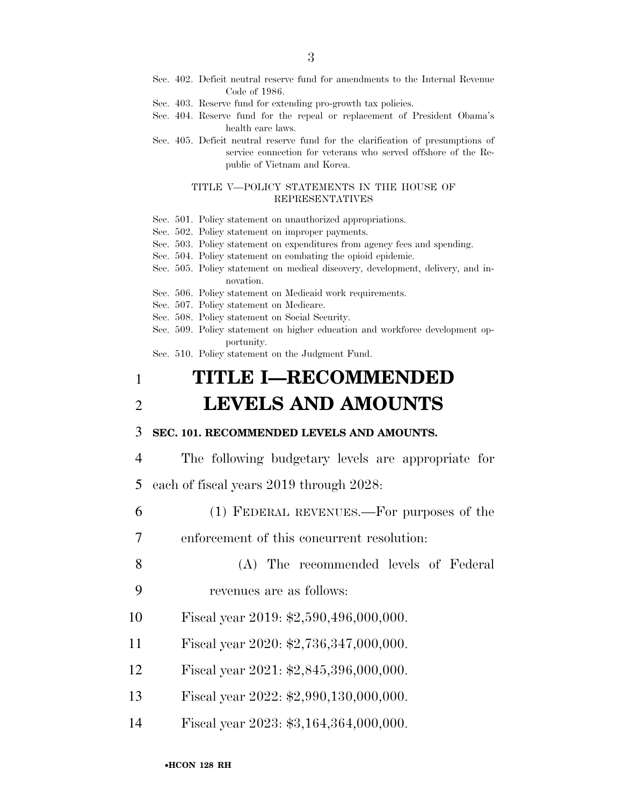- Sec. 402. Deficit neutral reserve fund for amendments to the Internal Revenue Code of 1986.
- Sec. 403. Reserve fund for extending pro-growth tax policies.
- Sec. 404. Reserve fund for the repeal or replacement of President Obama's health care laws.
- Sec. 405. Deficit neutral reserve fund for the clarification of presumptions of service connection for veterans who served offshore of the Republic of Vietnam and Korea.

#### TITLE V—POLICY STATEMENTS IN THE HOUSE OF REPRESENTATIVES

- Sec. 501. Policy statement on unauthorized appropriations.
- Sec. 502. Policy statement on improper payments.
- Sec. 503. Policy statement on expenditures from agency fees and spending.
- Sec. 504. Policy statement on combating the opioid epidemic.
- Sec. 505. Policy statement on medical discovery, development, delivery, and innovation.
- Sec. 506. Policy statement on Medicaid work requirements.
- Sec. 507. Policy statement on Medicare.
- Sec. 508. Policy statement on Social Security.
- Sec. 509. Policy statement on higher education and workforce development opportunity.

Sec. 510. Policy statement on the Judgment Fund.

## 1 **TITLE I—RECOMMENDED**  2 **LEVELS AND AMOUNTS**

#### 3 **SEC. 101. RECOMMENDED LEVELS AND AMOUNTS.**

- 4 The following budgetary levels are appropriate for
- 5 each of fiscal years 2019 through 2028:
- 6 (1) FEDERAL REVENUES.—For purposes of the
- 7 enforcement of this concurrent resolution:
- 8 (A) The recommended levels of Federal 9 revenues are as follows:
- 10 Fiscal year 2019: \$2,590,496,000,000.
- 11 Fiscal year 2020: \$2,736,347,000,000.
- 12 Fiscal year 2021: \$2,845,396,000,000.
- 13 Fiscal year 2022: \$2,990,130,000,000.
- 14 Fiscal year 2023: \$3,164,364,000,000.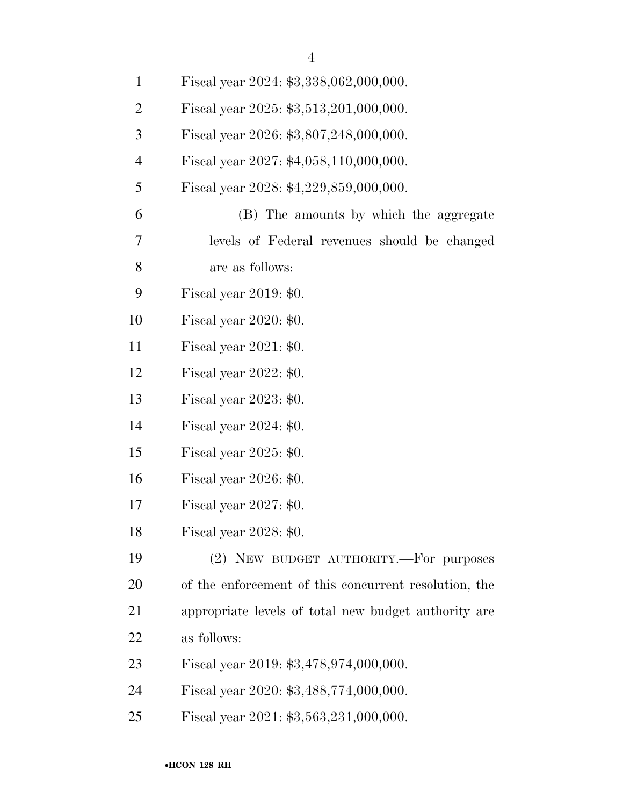| $\mathbf{1}$   | Fiscal year 2024: \$3,338,062,000,000.                |
|----------------|-------------------------------------------------------|
| $\overline{2}$ | Fiscal year 2025: \$3,513,201,000,000.                |
| 3              | Fiscal year 2026: \$3,807,248,000,000.                |
| $\overline{4}$ | Fiscal year 2027: \$4,058,110,000,000.                |
| 5              | Fiscal year 2028: \$4,229,859,000,000.                |
| 6              | (B) The amounts by which the aggregate                |
| 7              | levels of Federal revenues should be changed          |
| 8              | are as follows:                                       |
| 9              | Fiscal year $2019: $0.$                               |
| 10             | Fiscal year $2020: $0.$                               |
| 11             | Fiscal year $2021: $0.$                               |
| 12             | Fiscal year $2022: $0.$                               |
| 13             | Fiscal year 2023: \$0.                                |
| 14             | Fiscal year $2024: $0.$                               |
| 15             | Fiscal year 2025: \$0.                                |
| 16             | Fiscal year $2026: $0.$                               |
| 17             | Fiscal year $2027: $0.$                               |
| 18             | Fiscal year 2028: \$0.                                |
| 19             | (2) NEW BUDGET AUTHORITY.-For purposes                |
| 20             | of the enforcement of this concurrent resolution, the |
| 21             | appropriate levels of total new budget authority are  |
| 22             | as follows:                                           |
| 23             | Fiscal year 2019: \$3,478,974,000,000.                |
| 24             | Fiscal year 2020: \$3,488,774,000,000.                |
| 25             | Fiscal year 2021: \$3,563,231,000,000.                |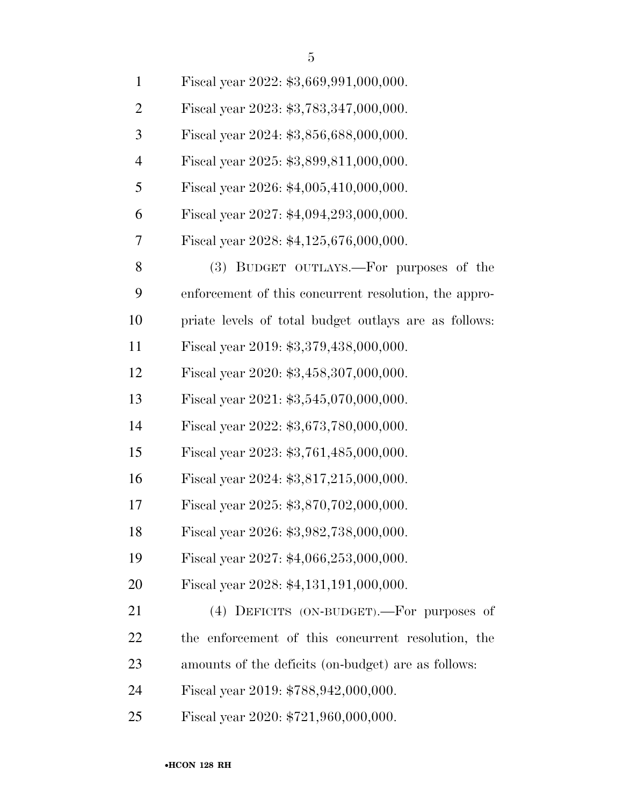| $\mathbf{1}$   | Fiscal year 2022: \$3,669,991,000,000.                |
|----------------|-------------------------------------------------------|
| $\overline{2}$ | Fiscal year 2023: \$3,783,347,000,000.                |
| 3              | Fiscal year 2024: \$3,856,688,000,000.                |
| $\overline{4}$ | Fiscal year 2025: \$3,899,811,000,000.                |
| 5              | Fiscal year 2026: \$4,005,410,000,000.                |
| 6              | Fiscal year 2027: \$4,094,293,000,000.                |
| 7              | Fiscal year 2028: \$4,125,676,000,000.                |
| 8              | (3) BUDGET OUTLAYS.—For purposes of the               |
| 9              | enforcement of this concurrent resolution, the appro- |
| 10             | priate levels of total budget outlays are as follows: |
| 11             | Fiscal year 2019: \$3,379,438,000,000.                |
| 12             | Fiscal year 2020: \$3,458,307,000,000.                |
| 13             | Fiscal year 2021: \$3,545,070,000,000.                |
| 14             | Fiscal year 2022: \$3,673,780,000,000.                |
| 15             | Fiscal year 2023: \$3,761,485,000,000.                |
| 16             | Fiscal year 2024: \$3,817,215,000,000.                |
| 17             | Fiscal year 2025: \$3,870,702,000,000.                |
| 18             | Fiscal year 2026: \$3,982,738,000,000.                |
| 19             | Fiscal year 2027: \$4,066,253,000,000.                |
| 20             | Fiscal year 2028: \$4,131,191,000,000.                |
| 21             | $(4)$ DEFICITS (ON-BUDGET).—For purposes of           |
| 22             | the enforcement of this concurrent resolution, the    |
| 23             | amounts of the deficits (on-budget) are as follows:   |
| 24             | Fiscal year 2019: \$788,942,000,000.                  |

Fiscal year 2020: \$721,960,000,000.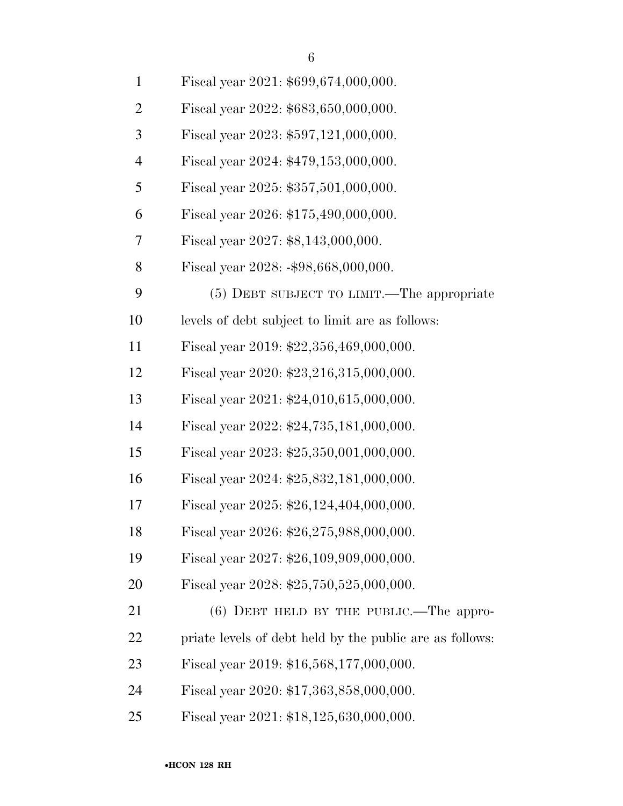| $\mathbf{1}$   | Fiscal year 2021: \$699,674,000,000.                     |
|----------------|----------------------------------------------------------|
| $\overline{2}$ | Fiscal year 2022: \$683,650,000,000.                     |
| 3              | Fiscal year 2023: \$597,121,000,000.                     |
| $\overline{4}$ | Fiscal year 2024: \$479,153,000,000.                     |
| 5              | Fiscal year 2025: \$357,501,000,000.                     |
| 6              | Fiscal year 2026: \$175,490,000,000.                     |
| 7              | Fiscal year 2027: \$8,143,000,000.                       |
| 8              | Fiscal year 2028: -\$98,668,000,000.                     |
| 9              | (5) DEBT SUBJECT TO LIMIT.—The appropriate               |
| 10             | levels of debt subject to limit are as follows:          |
| 11             | Fiscal year 2019: \$22,356,469,000,000.                  |
| 12             | Fiscal year 2020: \$23,216,315,000,000.                  |
| 13             | Fiscal year 2021: \$24,010,615,000,000.                  |
| 14             | Fiscal year 2022: \$24,735,181,000,000.                  |
| 15             | Fiscal year 2023: $$25,350,001,000,000$ .                |
| 16             | Fiscal year 2024: \$25,832,181,000,000.                  |
| 17             | Fiscal year 2025: $$26,124,404,000,000$ .                |
| 18             | Fiscal year 2026: \$26,275,988,000,000.                  |
| 19             | Fiscal year 2027: \$26,109,909,000,000.                  |
| 20             | Fiscal year 2028: \$25,750,525,000,000.                  |
| 21             | $(6)$ DEBT HELD BY THE PUBLIC.—The appro-                |
| 22             | priate levels of debt held by the public are as follows: |
| 23             | Fiscal year 2019: \$16,568,177,000,000.                  |
| 24             | Fiscal year 2020: \$17,363,858,000,000.                  |
| 25             | Fiscal year 2021: \$18,125,630,000,000.                  |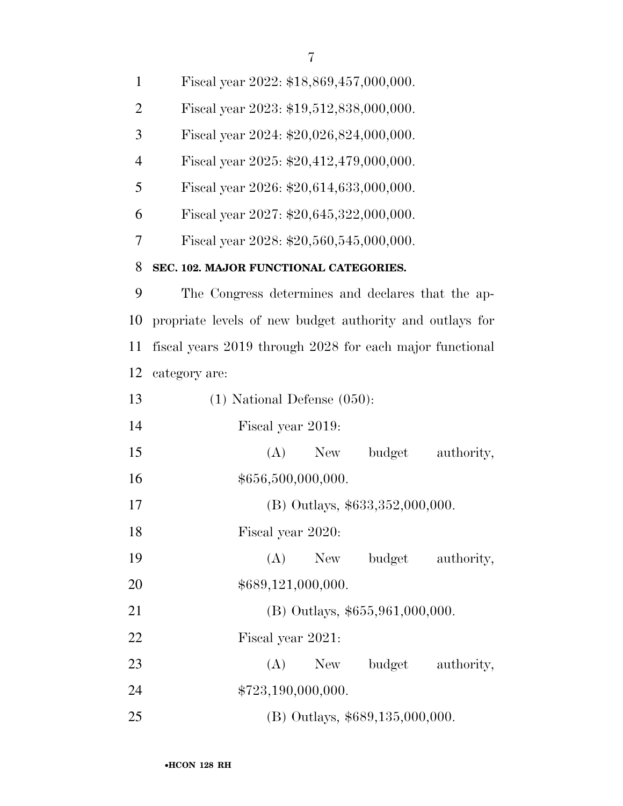| $\mathbf{1}$   | Fiscal year 2022: \$18,869,457,000,000.                  |
|----------------|----------------------------------------------------------|
| $\overline{2}$ | Fiscal year 2023: \$19,512,838,000,000.                  |
| 3              | Fiscal year 2024: $$20,026,824,000,000$ .                |
| $\overline{4}$ | Fiscal year 2025: $$20,412,479,000,000$ .                |
| 5              | Fiscal year 2026: \$20,614,633,000,000.                  |
| 6              | Fiscal year 2027: \$20,645,322,000,000.                  |
| 7              | Fiscal year 2028: \$20,560,545,000,000.                  |
| 8              | SEC. 102. MAJOR FUNCTIONAL CATEGORIES.                   |
| 9              | The Congress determines and declares that the ap-        |
| 10             | propriate levels of new budget authority and outlays for |
| 11             | fiscal years 2019 through 2028 for each major functional |
| 12             | category are:                                            |
| 13             | $(1)$ National Defense $(050)$ :                         |
| 14             | Fiscal year 2019:                                        |
| 15             | (A)<br>budget<br>authority,<br>New                       |
| 16             | \$656,500,000,000.                                       |
| 17             | (B) Outlays, \$633,352,000,000.                          |
| 18             | Fiscal year 2020:                                        |
| 19             | budget authority,<br>(A)<br>New                          |
| <b>20</b>      | \$689,121,000,000.                                       |
| 21             | $(B)$ Outlays, \$655,961,000,000.                        |
| <u>22</u>      | Fiscal year 2021:                                        |
| 23             | (A)<br>budget<br>authority,<br>New                       |
| 24             | \$723,190,000,000.                                       |
| 25             | (B) Outlays, \$689,135,000,000.                          |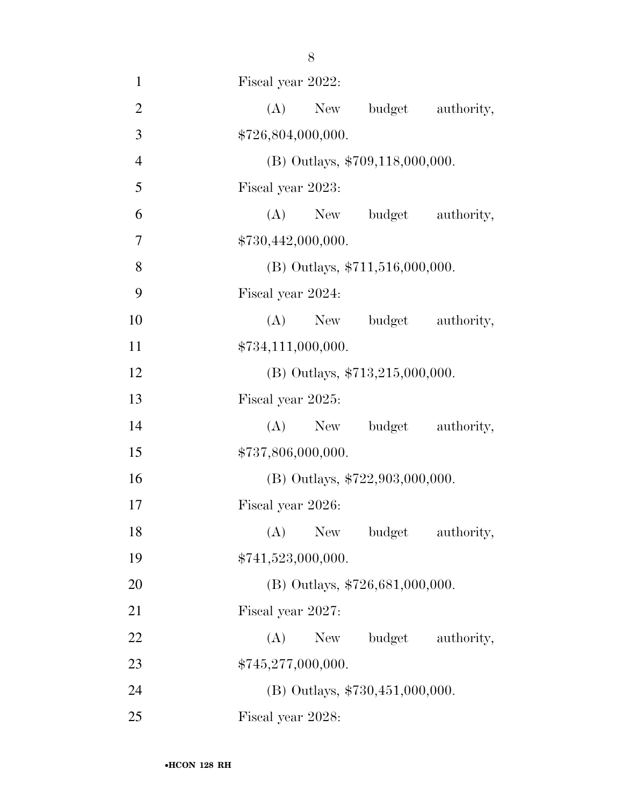1 Fiscal year 2022: 2 (A) New budget authority, 3  $$726,804,000,000.$ 4 (B) Outlays, \$709,118,000,000. 5 Fiscal year 2023: 6 (A) New budget authority, 7 \$730,442,000,000. 8 (B) Outlays,  $$711,516,000,000$ . 9 Fiscal year 2024: 10 (A) New budget authority, 11  $$734,111,000,000.$ 12 (B) Outlays, \$713,215,000,000. 13 Fiscal year 2025: 14 (A) New budget authority, 15  $$737,806,000,000.$ 16 (B) Outlays, \$722,903,000,000. 17 Fiscal year 2026: 18 (A) New budget authority, 19  $$741,523,000,000.$ 20 (B) Outlays, \$726,681,000,000. 21 Fiscal year 2027: 22 (A) New budget authority, 23 \$745,277,000,000. 24 (B) Outlays, \$730,451,000,000. 25 Fiscal year 2028: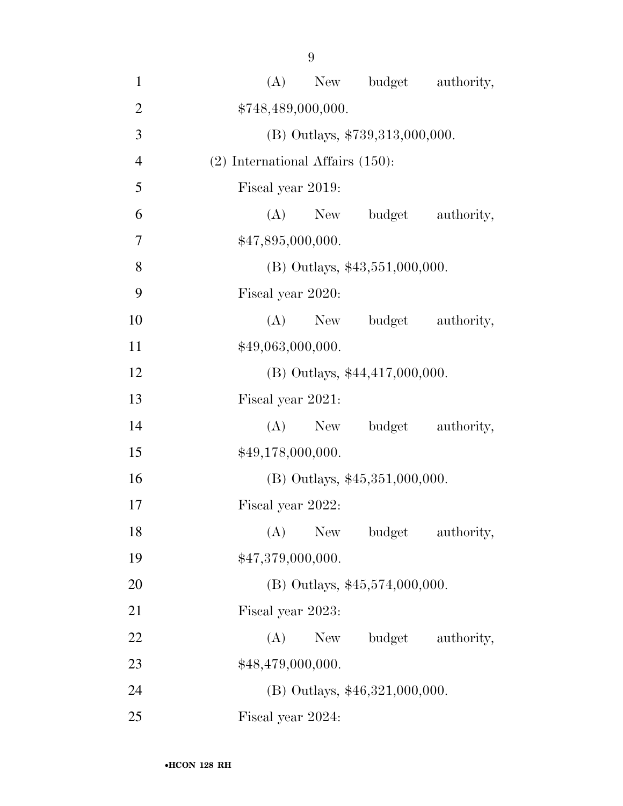| $\mathbf{1}$   | (A) New budget authority,             |
|----------------|---------------------------------------|
| $\overline{2}$ | \$748,489,000,000.                    |
| 3              | (B) Outlays, \$739,313,000,000.       |
| $\overline{4}$ | $(2)$ International Affairs $(150)$ : |
| 5              | Fiscal year 2019:                     |
| 6              | budget<br>$(A)$ New<br>authority,     |
| 7              | \$47,895,000,000.                     |
| 8              | $(B)$ Outlays, \$43,551,000,000.      |
| 9              | Fiscal year 2020:                     |
| 10             | $(A)$ New<br>budget<br>authority,     |
| 11             | \$49,063,000,000.                     |
| 12             | (B) Outlays, \$44,417,000,000.        |
| 13             | Fiscal year 2021:                     |
| 14             | (A)<br>budget authority,<br>New       |
| 15             | \$49,178,000,000.                     |
| 16             | $(B)$ Outlays, \$45,351,000,000.      |
| 17             | Fiscal year 2022:                     |
| 18             | (A)<br>New<br>budget<br>authority,    |
| 19             | \$47,379,000,000.                     |
| 20             | (B) Outlays, $$45,574,000,000$ .      |
| 21             | Fiscal year 2023:                     |
| 22             | budget authority,<br>(A)<br>New       |
| 23             | \$48,479,000,000.                     |
| 24             | (B) Outlays, \$46,321,000,000.        |
| 25             | Fiscal year 2024:                     |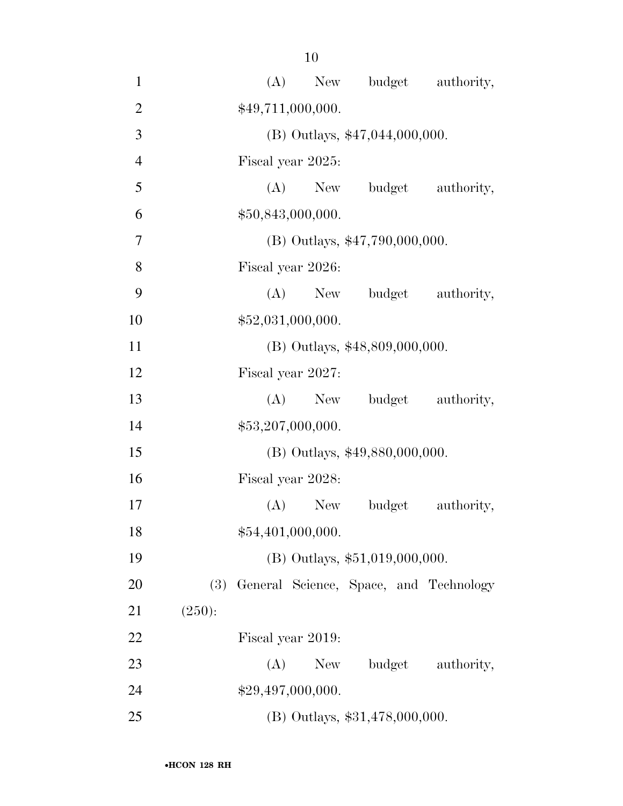| $\mathbf{1}$   | New budget authority,<br>(A)                  |  |
|----------------|-----------------------------------------------|--|
| $\overline{2}$ | \$49,711,000,000.                             |  |
| 3              | (B) Outlays, \$47,044,000,000.                |  |
| $\overline{4}$ | Fiscal year 2025:                             |  |
| 5              | (A) New budget authority,                     |  |
| 6              | \$50,843,000,000.                             |  |
| $\overline{7}$ | $(B)$ Outlays, \$47,790,000,000.              |  |
| 8              | Fiscal year 2026:                             |  |
| 9              | (A) New budget authority,                     |  |
| 10             | \$52,031,000,000.                             |  |
| 11             | (B) Outlays, \$48,809,000,000.                |  |
| 12             | Fiscal year 2027:                             |  |
| 13             | budget authority,<br>$(A)$ New                |  |
| 14             | \$53,207,000,000.                             |  |
| 15             | (B) Outlays, \$49,880,000,000.                |  |
| 16             | Fiscal year 2028:                             |  |
| 17             | $(A)$ New<br>budget<br>authority,             |  |
| 18             | \$54,401,000,000.                             |  |
| 19             | $(B)$ Outlays, \$51,019,000,000.              |  |
| 20             | (3)<br>General Science, Space, and Technology |  |
| 21             | (250):                                        |  |
| 22             | Fiscal year 2019:                             |  |
| 23             | budget<br>(A)<br>New<br>authority,            |  |
| 24             | \$29,497,000,000.                             |  |
| 25             | (B) Outlays, \$31,478,000,000.                |  |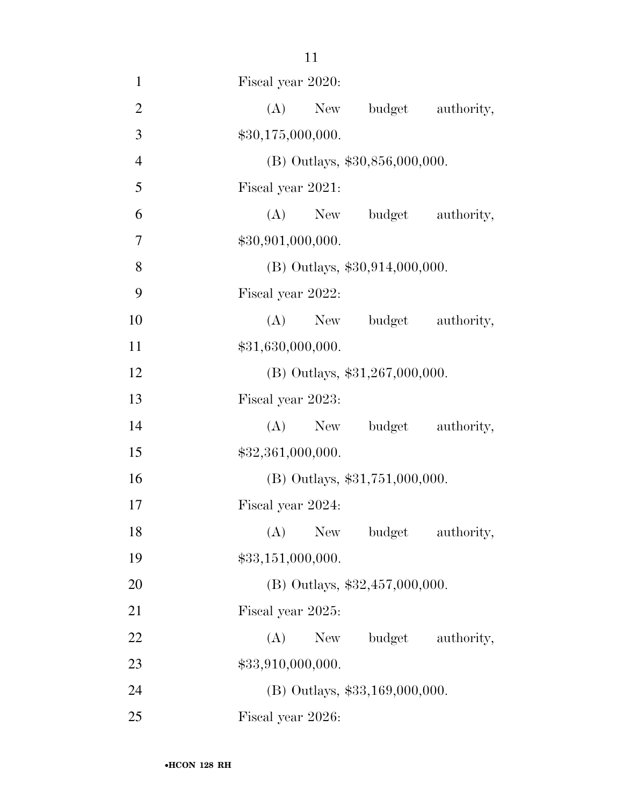| $\mathbf{1}$   | Fiscal year 2020:                  |
|----------------|------------------------------------|
| $\overline{2}$ | budget authority,<br>(A)<br>New    |
| 3              | \$30,175,000,000.                  |
| $\overline{4}$ | (B) Outlays, \$30,856,000,000.     |
| 5              | Fiscal year 2021:                  |
| 6              | (A) New budget authority,          |
| 7              | \$30,901,000,000.                  |
| 8              | $(B)$ Outlays, \$30,914,000,000.   |
| 9              | Fiscal year 2022:                  |
| 10             | (A) New budget authority,          |
| 11             | \$31,630,000,000.                  |
| 12             | (B) Outlays, \$31,267,000,000.     |
| 13             | Fiscal year 2023:                  |
| 14             | New budget authority,<br>(A)       |
| 15             | \$32,361,000,000.                  |
| 16             | $(B)$ Outlays, \$31,751,000,000.   |
| 17             | Fiscal year 2024:                  |
| 18             | (A) New budget authority,          |
| 19             | \$33,151,000,000.                  |
| 20             | (B) Outlays, \$32,457,000,000.     |
| 21             | Fiscal year 2025:                  |
| 22             | budget<br>authority,<br>(A)<br>New |
| 23             | \$33,910,000,000.                  |
| 24             | (B) Outlays, \$33,169,000,000.     |
| 25             | Fiscal year 2026:                  |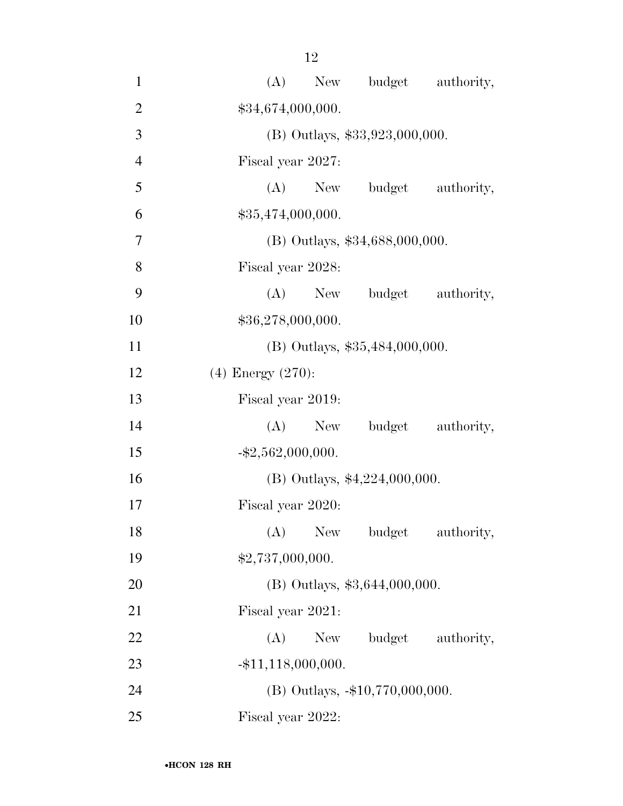| $\mathbf{1}$   | budget authority,<br>(A)<br>New    |
|----------------|------------------------------------|
| $\overline{2}$ | \$34,674,000,000.                  |
| 3              | (B) Outlays, \$33,923,000,000.     |
| $\overline{4}$ | Fiscal year 2027:                  |
| 5              | budget authority,<br>$(A)$ New     |
| 6              | \$35,474,000,000.                  |
| $\overline{7}$ | (B) Outlays, \$34,688,000,000.     |
| 8              | Fiscal year 2028:                  |
| 9              | (A)<br>budget authority,<br>New    |
| 10             | \$36,278,000,000.                  |
| 11             | (B) Outlays, \$35,484,000,000.     |
| 12             | $(4)$ Energy $(270)$ :             |
| 13             | Fiscal year 2019:                  |
| 14             | budget authority,<br>$(A)$ New     |
| 15             | $-$ \$2,562,000,000.               |
| 16             | (B) Outlays, \$4,224,000,000.      |
| 17             | Fiscal year 2020:                  |
| 18             | (A)<br>New<br>budget<br>authority, |
| 19             | \$2,737,000,000.                   |
| 20             | (B) Outlays, \$3,644,000,000.      |
| 21             | Fiscal year 2021:                  |
| 22             | budget authority,<br>(A)<br>New    |
| 23             | $-$ \$11,118,000,000.              |
| 24             | (B) Outlays, -\$10,770,000,000.    |
| 25             | Fiscal year 2022:                  |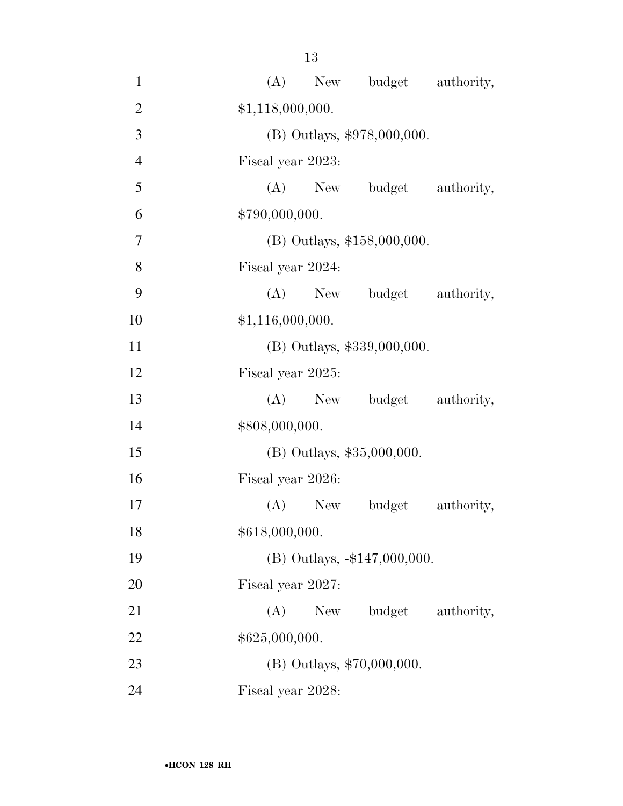| $\mathbf{1}$   | (A) New budget authority,          |
|----------------|------------------------------------|
| $\overline{2}$ | \$1,118,000,000.                   |
| 3              | (B) Outlays, \$978,000,000.        |
| $\overline{4}$ | Fiscal year 2023:                  |
| 5              | (A) New budget authority,          |
| 6              | \$790,000,000.                     |
| 7              | (B) Outlays, \$158,000,000.        |
| 8              | Fiscal year 2024:                  |
| 9              | (A) New budget authority,          |
| 10             | \$1,116,000,000.                   |
| 11             | (B) Outlays, \$339,000,000.        |
| 12             | Fiscal year 2025:                  |
| 13             | (A) New budget authority,          |
| 14             | \$808,000,000.                     |
| 15             | (B) Outlays, \$35,000,000.         |
| 16             | Fiscal year 2026:                  |
| 17             | $(A)$ New<br>budget<br>authority,  |
| 18             | \$618,000,000.                     |
| 19             | (B) Outlays, -\$147,000,000.       |
| 20             | Fiscal year 2027:                  |
| 21             | budget<br>(A)<br>New<br>authority, |
| 22             | \$625,000,000.                     |
| 23             | (B) Outlays, \$70,000,000.         |
| 24             | Fiscal year 2028:                  |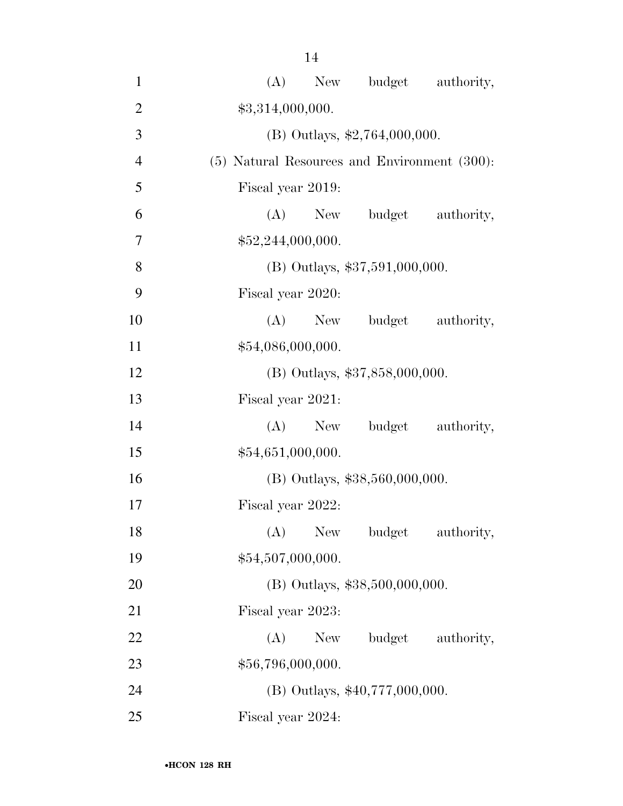| $\mathbf{1}$   | (A) New budget authority,                         |
|----------------|---------------------------------------------------|
| $\overline{2}$ | \$3,314,000,000.                                  |
| 3              | (B) Outlays, \$2,764,000,000.                     |
| $\overline{4}$ | $(5)$ Natural Resources and Environment $(300)$ : |
| 5              | Fiscal year 2019:                                 |
| 6              | budget authority,<br>$(A)$ New                    |
| 7              | \$52,244,000,000.                                 |
| 8              | $(B)$ Outlays, \$37,591,000,000.                  |
| 9              | Fiscal year 2020:                                 |
| 10             | budget authority,<br>$(A)$ New                    |
| 11             | \$54,086,000,000.                                 |
| 12             | (B) Outlays, \$37,858,000,000.                    |
| 13             | Fiscal year 2021:                                 |
| 14             | $(A)$ New<br>budget authority,                    |
| 15             | \$54,651,000,000.                                 |
| 16             | $(B)$ Outlays, \$38,560,000,000.                  |
| 17             | Fiscal year 2022:                                 |
| 18             | (A)<br>New budget<br>authority,                   |
| 19             | \$54,507,000,000.                                 |
| 20             | (B) Outlays, \$38,500,000,000.                    |
| 21             | Fiscal year 2023:                                 |
| 22             | budget authority,<br>(A)<br>New                   |
| 23             | \$56,796,000,000.                                 |
| 24             | (B) Outlays, \$40,777,000,000.                    |
| 25             | Fiscal year 2024:                                 |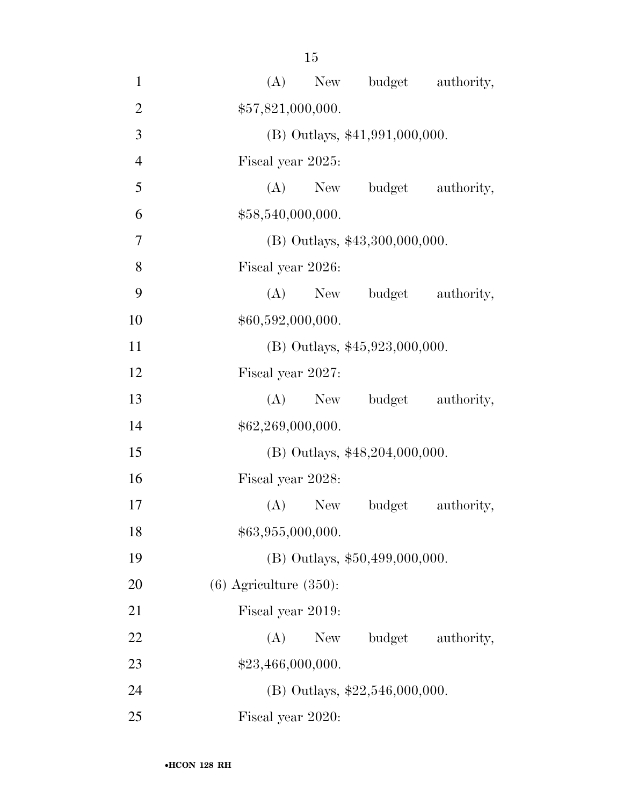| $\mathbf{1}$   | New budget authority,<br>(A)       |
|----------------|------------------------------------|
| $\overline{2}$ | \$57,821,000,000.                  |
| 3              | $(B)$ Outlays, \$41,991,000,000.   |
| $\overline{4}$ | Fiscal year 2025:                  |
| 5              | (A) New budget authority,          |
| 6              | \$58,540,000,000.                  |
| 7              | $(B)$ Outlays, \$43,300,000,000.   |
| 8              | Fiscal year 2026:                  |
| 9              | (A) New budget authority,          |
| 10             | \$60,592,000,000.                  |
| 11             | (B) Outlays, \$45,923,000,000.     |
| 12             | Fiscal year 2027:                  |
| 13             | budget authority,<br>$(A)$ New     |
| 14             | \$62,269,000,000.                  |
| 15             | (B) Outlays, \$48,204,000,000.     |
| 16             | Fiscal year 2028:                  |
| 17             | $(A)$ New<br>budget<br>authority,  |
| 18             | \$63,955,000,000.                  |
| 19             | (B) Outlays, \$50,499,000,000.     |
| 20             | $(6)$ Agriculture $(350)$ :        |
| 21             | Fiscal year 2019:                  |
| 22             | (A)<br>budget<br>New<br>authority, |
| 23             | \$23,466,000,000.                  |
| 24             | (B) Outlays, $$22,546,000,000$ .   |
| 25             | Fiscal year 2020:                  |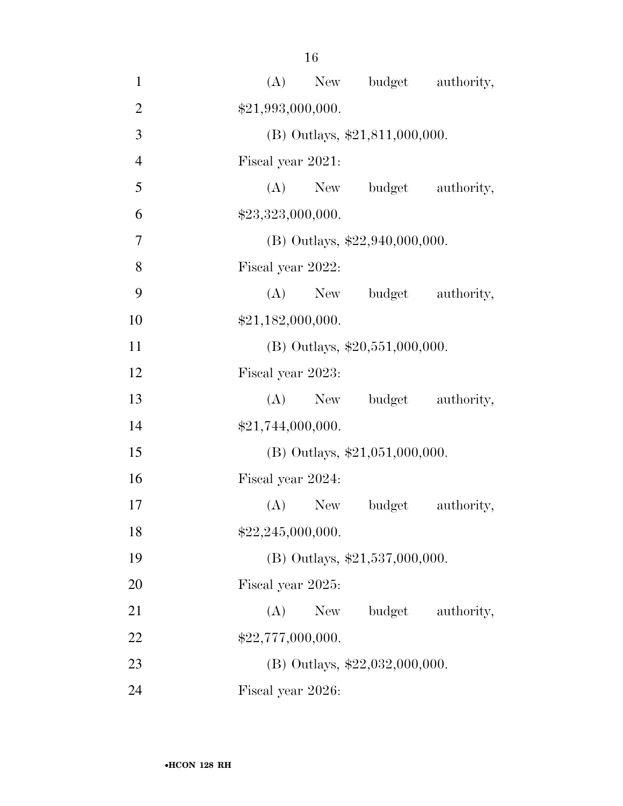| $\mathbf{1}$   | (A) New budget authority,          |
|----------------|------------------------------------|
| $\overline{2}$ | \$21,993,000,000.                  |
| 3              | $(B)$ Outlays, \$21,811,000,000.   |
| $\overline{4}$ | Fiscal year 2021:                  |
| 5              | $(A)$ New<br>budget<br>authority,  |
| 6              | \$23,323,000,000.                  |
| 7              | (B) Outlays, $$22,940,000,000$ .   |
| 8              | Fiscal year 2022:                  |
| 9              | (A) New budget authority,          |
| 10             | \$21,182,000,000.                  |
| 11             | (B) Outlays, $$20,551,000,000$ .   |
| 12             | Fiscal year 2023:                  |
| 13             | budget authority,<br>$(A)$ New     |
| 14             | \$21,744,000,000.                  |
| 15             | (B) Outlays, $$21,051,000,000$ .   |
| 16             | Fiscal year 2024:                  |
| 17             | budget<br>authority,<br>(A)<br>New |
| 18             | \$22,245,000,000.                  |
| 19             | (B) Outlays, $$21,537,000,000$ .   |
| 20             | Fiscal year 2025:                  |
| 21             | budget<br>(A)<br>New<br>authority, |
| 22             | \$22,777,000,000.                  |
| 23             | (B) Outlays, $$22,032,000,000$ .   |
| 24             | Fiscal year 2026:                  |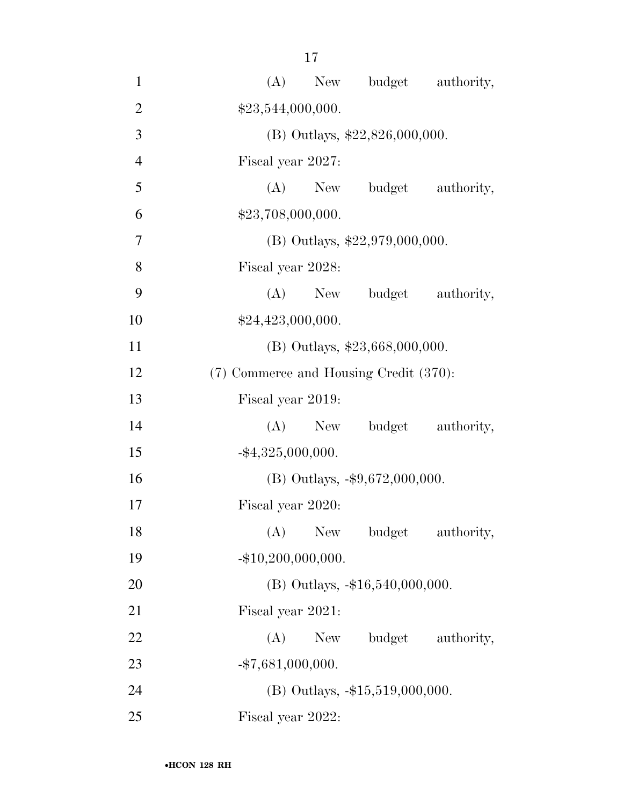| $\mathbf{1}$   | (A) New budget authority,              |
|----------------|----------------------------------------|
| $\overline{2}$ | \$23,544,000,000.                      |
| 3              | (B) Outlays, $$22,826,000,000$ .       |
| $\overline{4}$ | Fiscal year 2027:                      |
| 5              | (A) New budget authority,              |
| 6              | \$23,708,000,000.                      |
| 7              | (B) Outlays, $$22,979,000,000$ .       |
| 8              | Fiscal year 2028:                      |
| 9              | (A) New budget authority,              |
| 10             | \$24,423,000,000.                      |
| 11             | $(B)$ Outlays, \$23,668,000,000.       |
| 12             | (7) Commerce and Housing Credit (370): |
| 13             | Fiscal year 2019:                      |
| 14             | budget authority,<br>$(A)$ New         |
| 15             | $-$ \$4,325,000,000.                   |
| 16             | (B) Outlays, $-$ \$9,672,000,000.      |
| 17             | Fiscal year 2020:                      |
| 18             | (A)<br>New<br>budget<br>authority,     |
| 19             | $-$ \$10,200,000,000.                  |
| 20             | (B) Outlays, -\$16,540,000,000.        |
| 21             | Fiscal year 2021:                      |
| 22             | budget authority,<br>(A)<br>New        |
| 23             | $-$ \$7,681,000,000.                   |
| 24             | (B) Outlays, -\$15,519,000,000.        |
| 25             | Fiscal year 2022:                      |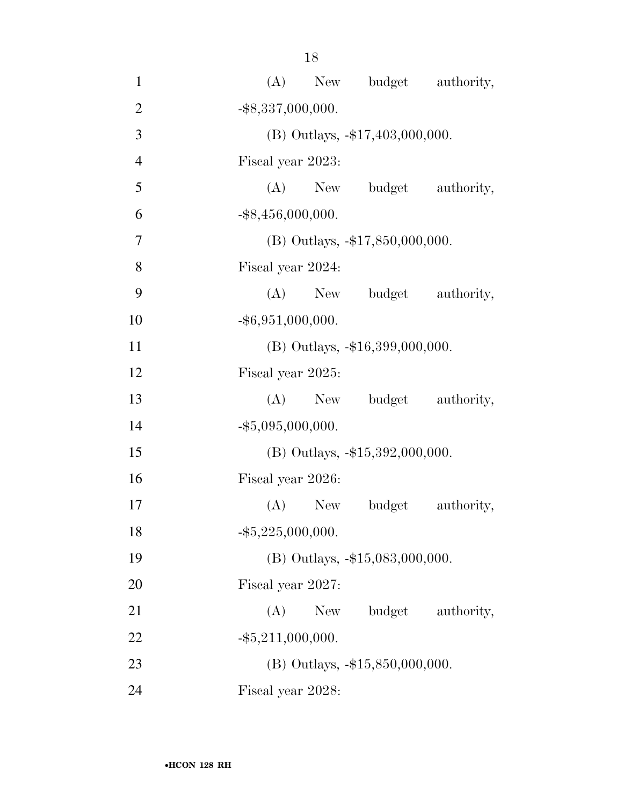| $\mathbf{1}$   | New budget authority,<br>(A)       |
|----------------|------------------------------------|
| $\overline{2}$ | $-$ \$8,337,000,000.               |
| 3              | (B) Outlays, -\$17,403,000,000.    |
| $\overline{4}$ | Fiscal year 2023:                  |
| 5              | (A) New budget authority,          |
| 6              | $-$ \$8,456,000,000.               |
| 7              | (B) Outlays, -\$17,850,000,000.    |
| 8              | Fiscal year 2024:                  |
| 9              | $(A)$ New<br>budget authority,     |
| 10             | $-$ \$6,951,000,000.               |
| 11             | $(B)$ Outlays, $-16,399,000,000$ . |
| 12             | Fiscal year 2025:                  |
| 13             | budget authority,<br>(A)<br>New    |
| 14             | $-$ \$5,095,000,000.               |
| 15             | $(B)$ Outlays, $-15,392,000,000$ . |
| 16             | Fiscal year 2026:                  |
| 17             | $(A)$ New<br>authority,<br>budget  |
| 18             | $-$ \$5,225,000,000.               |
| 19             | (B) Outlays, -\$15,083,000,000.    |
| 20             | Fiscal year 2027:                  |
| 21             | budget<br>authority,<br>(A)<br>New |
| 22             | $-$ \$5,211,000,000.               |
| 23             | (B) Outlays, -\$15,850,000,000.    |
| 24             | Fiscal year 2028:                  |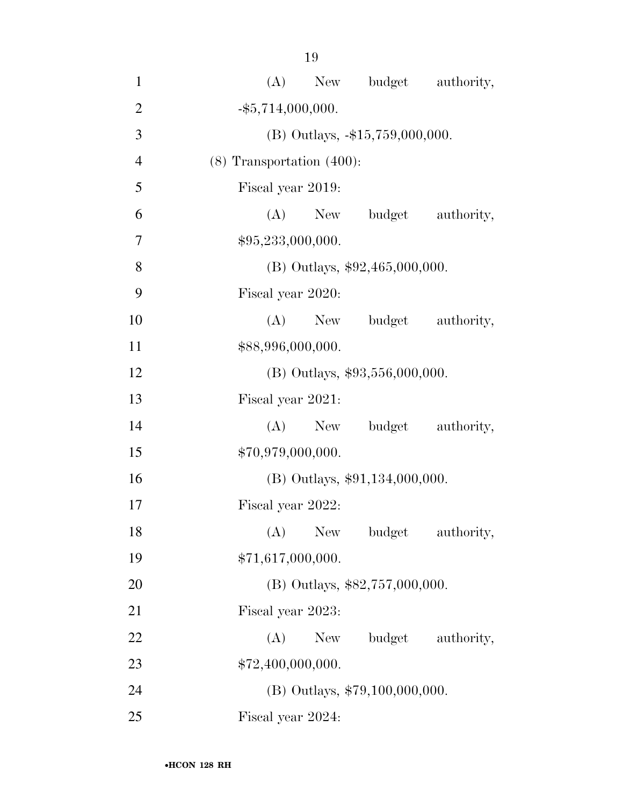| 1              | (A) New budget authority,          |
|----------------|------------------------------------|
| $\overline{2}$ | $-$ \$5,714,000,000.               |
| 3              | (B) Outlays, -\$15,759,000,000.    |
| $\overline{4}$ |                                    |
|                | $(8)$ Transportation $(400)$ :     |
| 5              | Fiscal year 2019:                  |
| 6              | budget<br>(A)<br>New<br>authority, |
| 7              | \$95,233,000,000.                  |
| 8              | $(B)$ Outlays, \$92,465,000,000.   |
| 9              | Fiscal year 2020:                  |
| 10             | $(A)$ New<br>budget<br>authority,  |
| 11             | \$88,996,000,000.                  |
| 12             | $(B)$ Outlays, \$93,556,000,000.   |
| 13             | Fiscal year 2021:                  |
| 14             | $(A)$ New<br>budget<br>authority,  |
| 15             | \$70,979,000,000.                  |
| 16             | (B) Outlays, \$91,134,000,000.     |
| 17             | Fiscal year 2022:                  |
| 18             | budget<br>(A)<br>New<br>authority, |
| 19             | \$71,617,000,000.                  |
| 20             | (B) Outlays, \$82,757,000,000.     |
| 21             | Fiscal year 2023:                  |
| 22             | budget<br>(A)<br>New<br>authority, |
| 23             | \$72,400,000,000.                  |
| 24             | (B) Outlays, \$79,100,000,000.     |
| 25             | Fiscal year 2024:                  |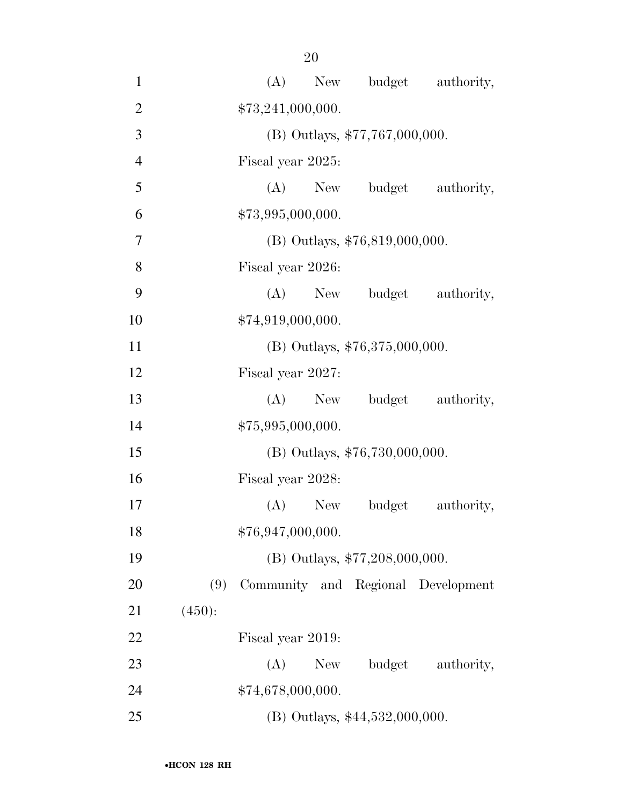| $\mathbf{1}$   |        | (A)               | New |                                  | budget authority,                  |
|----------------|--------|-------------------|-----|----------------------------------|------------------------------------|
| $\mathbf{2}$   |        | \$73,241,000,000. |     |                                  |                                    |
| 3              |        |                   |     | (B) Outlays, \$77,767,000,000.   |                                    |
| $\overline{4}$ |        | Fiscal year 2025: |     |                                  |                                    |
| 5              |        | (A)               | New |                                  | budget authority,                  |
| 6              |        | \$73,995,000,000. |     |                                  |                                    |
| 7              |        |                   |     | (B) Outlays, \$76,819,000,000.   |                                    |
| 8              |        | Fiscal year 2026: |     |                                  |                                    |
| 9              |        | $(A)$ New         |     |                                  | budget authority,                  |
| 10             |        | \$74,919,000,000. |     |                                  |                                    |
| 11             |        |                   |     | (B) Outlays, $$76,375,000,000$ . |                                    |
| 12             |        | Fiscal year 2027: |     |                                  |                                    |
| 13             |        | $(A)$ New         |     |                                  | budget authority,                  |
| 14             |        | \$75,995,000,000. |     |                                  |                                    |
| 15             |        |                   |     | (B) Outlays, \$76,730,000,000.   |                                    |
| 16             |        | Fiscal year 2028: |     |                                  |                                    |
| 17             |        | $(A)$ New         |     | budget                           | authority,                         |
| 18             |        | \$76,947,000,000. |     |                                  |                                    |
| 19             |        |                   |     | (B) Outlays, \$77,208,000,000.   |                                    |
| 20             | (9)    |                   |     |                                  | Community and Regional Development |
| 21             | (450): |                   |     |                                  |                                    |
| 22             |        | Fiscal year 2019: |     |                                  |                                    |
| 23             |        | (A)               | New | budget                           | authority,                         |
| 24             |        | \$74,678,000,000. |     |                                  |                                    |
| 25             |        |                   |     | (B) Outlays, \$44,532,000,000.   |                                    |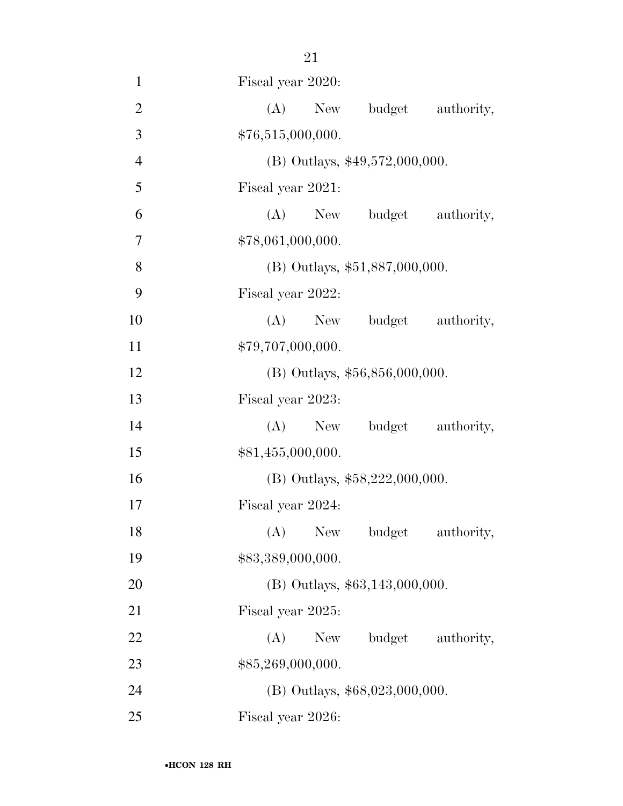| $\mathbf{1}$   | Fiscal year 2020:                  |
|----------------|------------------------------------|
| $\mathbf{2}$   | (A)<br>budget<br>New<br>authority, |
| 3              | \$76,515,000,000.                  |
| $\overline{4}$ | $(B)$ Outlays, \$49,572,000,000.   |
| 5              | Fiscal year 2021:                  |
| 6              | (A) New budget authority,          |
| 7              | \$78,061,000,000.                  |
| $8\,$          | (B) Outlays, \$51,887,000,000.     |
| 9              | Fiscal year 2022:                  |
| 10             | $(A)$ New<br>budget authority,     |
| 11             | \$79,707,000,000.                  |
| 12             | $(B)$ Outlays, \$56,856,000,000.   |
| 13             | Fiscal year 2023:                  |
| 14             | budget authority,<br>$(A)$ New     |
| 15             | \$81,455,000,000.                  |
| 16             | (B) Outlays, \$58,222,000,000.     |
| 17             | Fiscal year 2024:                  |
| 18             | (A) New budget authority,          |
| 19             | \$83,389,000,000.                  |
| 20             | $(B)$ Outlays, \$63,143,000,000.   |
| 21             | Fiscal year 2025:                  |
| 22             | budget<br>authority,<br>(A)<br>New |
| 23             | \$85,269,000,000.                  |
| 24             | (B) Outlays, \$68,023,000,000.     |
| 25             | Fiscal year 2026:                  |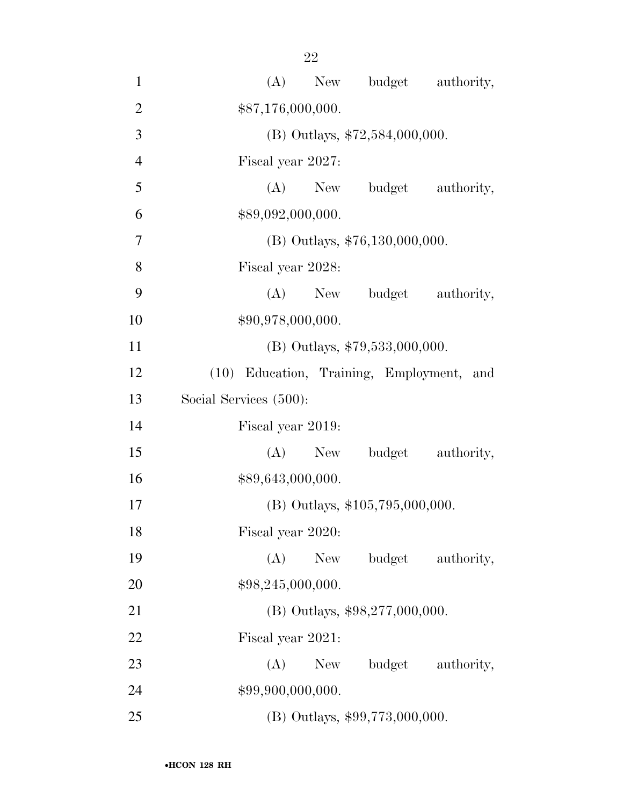| $\mathbf{1}$   | (A)<br>New budget authority,              |
|----------------|-------------------------------------------|
| $\overline{2}$ | \$87,176,000,000.                         |
| 3              | (B) Outlays, $$72,584,000,000$ .          |
| $\overline{4}$ | Fiscal year 2027:                         |
| 5              | (A)<br>budget authority,<br><b>New</b>    |
| 6              | \$89,092,000,000.                         |
| 7              | $(B)$ Outlays, \$76,130,000,000.          |
| 8              | Fiscal year 2028:                         |
| 9              | budget<br>$(A)$ New<br>authority,         |
| 10             | \$90,978,000,000.                         |
| 11             | (B) Outlays, \$79,533,000,000.            |
| 12             | (10) Education, Training, Employment, and |
| 13             | Social Services (500):                    |
| 14             | Fiscal year 2019:                         |
| 15             | budget<br>(A)<br>authority,<br>New        |
| 16             | \$89,643,000,000.                         |
| 17             | (B) Outlays, \$105,795,000,000.           |
| 18             | Fiscal year 2020:                         |
| 19             | (A)<br>budget<br><b>New</b><br>authority, |
| 20             | \$98,245,000,000.                         |
| 21             | (B) Outlays, \$98,277,000,000.            |
| 22             | Fiscal year 2021:                         |
| 23             | (A)<br>budget<br>New \,<br>authority,     |
| 24             | \$99,900,000,000.                         |
| 25             | (B) Outlays, \$99,773,000,000.            |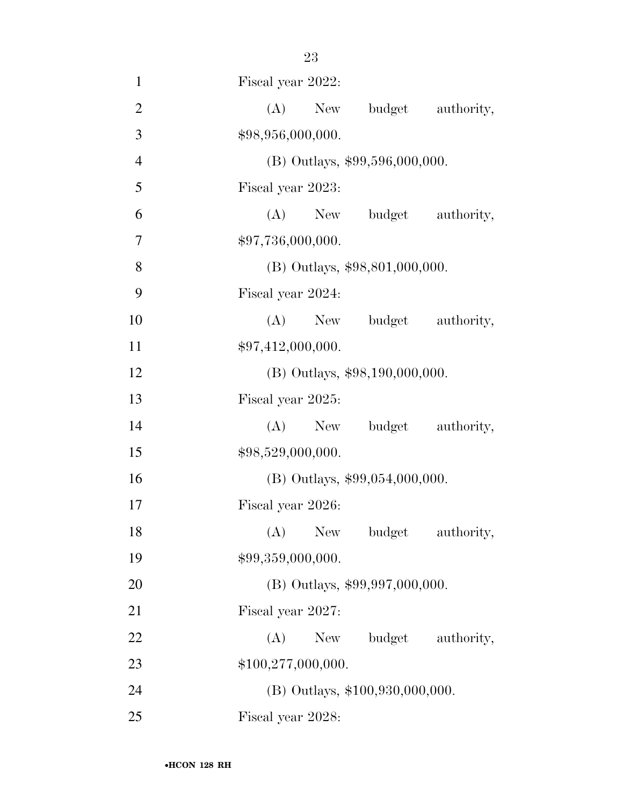| $\mathbf{1}$   | Fiscal year 2022:                  |
|----------------|------------------------------------|
| $\mathbf{2}$   | (A)<br>budget<br>New<br>authority, |
| 3              | \$98,956,000,000.                  |
| $\overline{4}$ | (B) Outlays, \$99,596,000,000.     |
| 5              | Fiscal year 2023:                  |
| 6              | $(A)$ New<br>budget authority,     |
| 7              | \$97,736,000,000.                  |
| 8              | (B) Outlays, \$98,801,000,000.     |
| 9              | Fiscal year 2024:                  |
| 10             | (A)<br>budget authority,<br>New    |
| 11             | \$97,412,000,000.                  |
| 12             | $(B)$ Outlays, \$98,190,000,000.   |
| 13             | Fiscal year 2025:                  |
| 14             | budget authority,<br>(A)<br>New    |
| 15             | \$98,529,000,000.                  |
| 16             | $(B)$ Outlays, \$99,054,000,000.   |
| 17             | Fiscal year 2026:                  |
| 18             | (A) New budget authority,          |
| 19             | \$99,359,000,000.                  |
| 20             | (B) Outlays, \$99,997,000,000.     |
| 21             | Fiscal year 2027:                  |
| 22             | (A)<br>budget<br>New<br>authority, |
| 23             | \$100,277,000,000.                 |
| 24             | (B) Outlays, \$100,930,000,000.    |
| 25             | Fiscal year 2028:                  |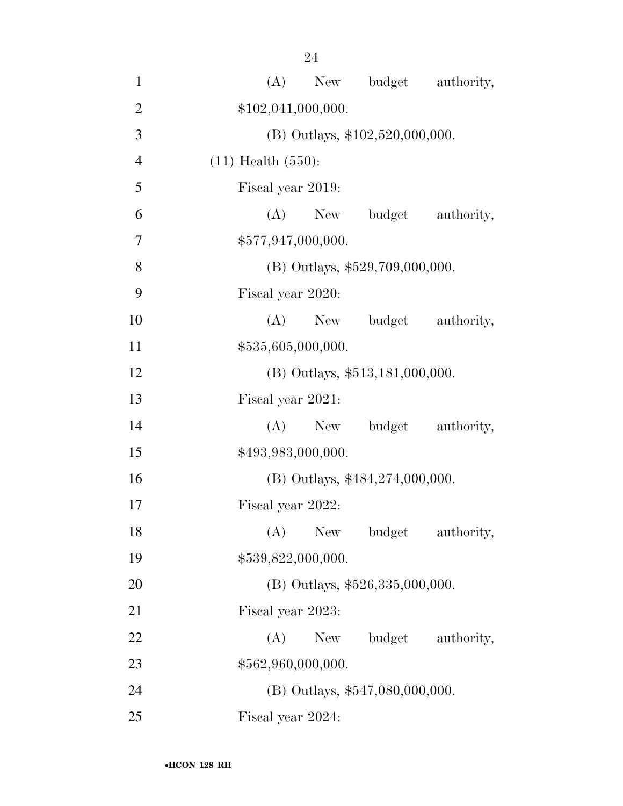| $\sim$ |  |
|--------|--|
|        |  |
|        |  |

| $\mathbf{1}$   | (A)<br>New budget authority,       |
|----------------|------------------------------------|
| $\overline{2}$ | \$102,041,000,000.                 |
| 3              | (B) Outlays, $$102,520,000,000$ .  |
| $\overline{4}$ | $(11)$ Health $(550)$ :            |
| 5              | Fiscal year 2019:                  |
| 6              | (A)<br>budget<br>New<br>authority, |
| 7              | \$577,947,000,000.                 |
| 8              | (B) Outlays, \$529,709,000,000.    |
| 9              | Fiscal year 2020:                  |
| 10             | (A)<br>New budget<br>authority,    |
| 11             | \$535,605,000,000.                 |
| 12             | $(B)$ Outlays, \$513,181,000,000.  |
| 13             | Fiscal year 2021:                  |
| 14             | (A) New budget authority,          |
| 15             | \$493,983,000,000.                 |
| 16             | $(B)$ Outlays, \$484,274,000,000.  |
| 17             | Fiscal year 2022:                  |
| 18             | (A)<br>New<br>budget<br>authority, |
| 19             | \$539,822,000,000.                 |
| 20             | (B) Outlays, \$526,335,000,000.    |
| 21             | Fiscal year 2023:                  |
| 22             | (A)<br>New<br>budget<br>authority, |
| 23             | \$562,960,000,000.                 |
| 24             | $(B)$ Outlays, \$547,080,000,000.  |
| 25             | Fiscal year 2024:                  |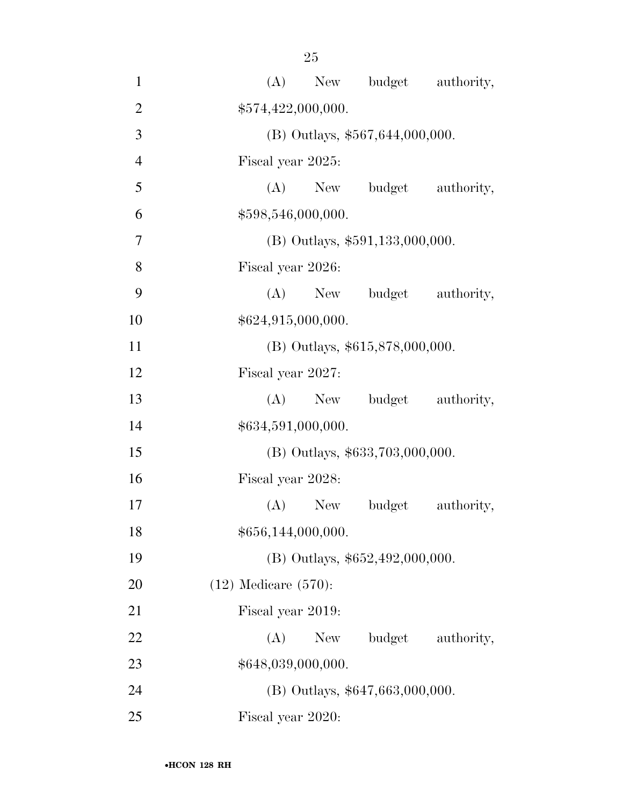| $\mathbf{1}$   | budget authority,<br>(A)<br>New    |  |  |  |  |
|----------------|------------------------------------|--|--|--|--|
| $\overline{2}$ | \$574,422,000,000.                 |  |  |  |  |
| 3              | $(B)$ Outlays, \$567,644,000,000.  |  |  |  |  |
| $\overline{4}$ | Fiscal year 2025:                  |  |  |  |  |
| 5              | (A) New budget<br>authority,       |  |  |  |  |
| 6              | \$598,546,000,000.                 |  |  |  |  |
| $\tau$         | $(B)$ Outlays, \$591,133,000,000.  |  |  |  |  |
| 8              | Fiscal year 2026:                  |  |  |  |  |
| 9              | $(A)$ New<br>budget<br>authority,  |  |  |  |  |
| 10             | \$624,915,000,000.                 |  |  |  |  |
| 11             | (B) Outlays, \$615,878,000,000.    |  |  |  |  |
| 12             | Fiscal year 2027:                  |  |  |  |  |
| 13             | budget authority,<br>$(A)$ New     |  |  |  |  |
| 14             | \$634,591,000,000.                 |  |  |  |  |
| 15             | (B) Outlays, \$633,703,000,000.    |  |  |  |  |
| 16             | Fiscal year 2028:                  |  |  |  |  |
| 17             | $(A)$ New<br>budget<br>authority,  |  |  |  |  |
| 18             | \$656,144,000,000.                 |  |  |  |  |
| 19             | (B) Outlays, $$652,492,000,000$ .  |  |  |  |  |
| 20             | $(12)$ Medicare $(570)$ :          |  |  |  |  |
| 21             | Fiscal year 2019:                  |  |  |  |  |
| 22             | (A)<br>budget<br>New<br>authority, |  |  |  |  |
| 23             | \$648,039,000,000.                 |  |  |  |  |
| 24             | $(B)$ Outlays, \$647,663,000,000.  |  |  |  |  |
| 25             | Fiscal year 2020:                  |  |  |  |  |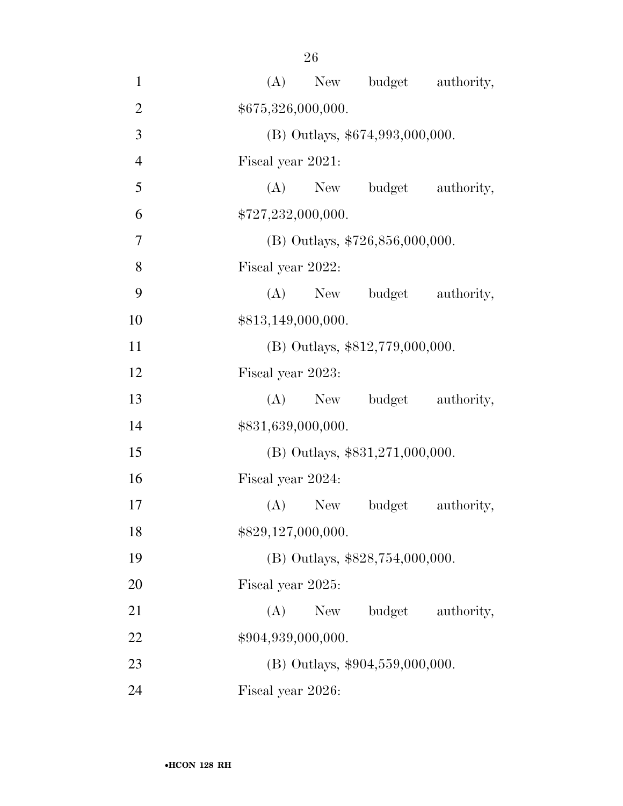| $\mathbf{1}$   |                    |           | (A) New budget authority,         |            |
|----------------|--------------------|-----------|-----------------------------------|------------|
| $\overline{2}$ | \$675,326,000,000. |           |                                   |            |
| 3              |                    |           | (B) Outlays, \$674,993,000,000.   |            |
| $\overline{4}$ | Fiscal year 2021:  |           |                                   |            |
| 5              |                    |           | (A) New budget                    | authority, |
| 6              | \$727,232,000,000. |           |                                   |            |
| 7              |                    |           | (B) Outlays, $$726,856,000,000$ . |            |
| 8              | Fiscal year 2022:  |           |                                   |            |
| 9              |                    |           | (A) New budget                    | authority, |
| 10             | \$813,149,000,000. |           |                                   |            |
| 11             |                    |           | (B) Outlays, \$812,779,000,000.   |            |
| 12             | Fiscal year 2023:  |           |                                   |            |
| 13             |                    | $(A)$ New | budget                            | authority, |
| 14             | \$831,639,000,000. |           |                                   |            |
| 15             |                    |           | (B) Outlays, \$831,271,000,000.   |            |
| 16             | Fiscal year 2024:  |           |                                   |            |
| 17             |                    | $(A)$ New | budget                            | authority, |
| 18             | \$829,127,000,000. |           |                                   |            |
| 19             |                    |           | (B) Outlays, \$828,754,000,000.   |            |
| 20             | Fiscal year 2025:  |           |                                   |            |
| 21             | (A)                | New       | budget                            | authority, |
| 22             | \$904,939,000,000. |           |                                   |            |
| 23             |                    |           | $(B)$ Outlays, \$904,559,000,000. |            |
| 24             | Fiscal year 2026:  |           |                                   |            |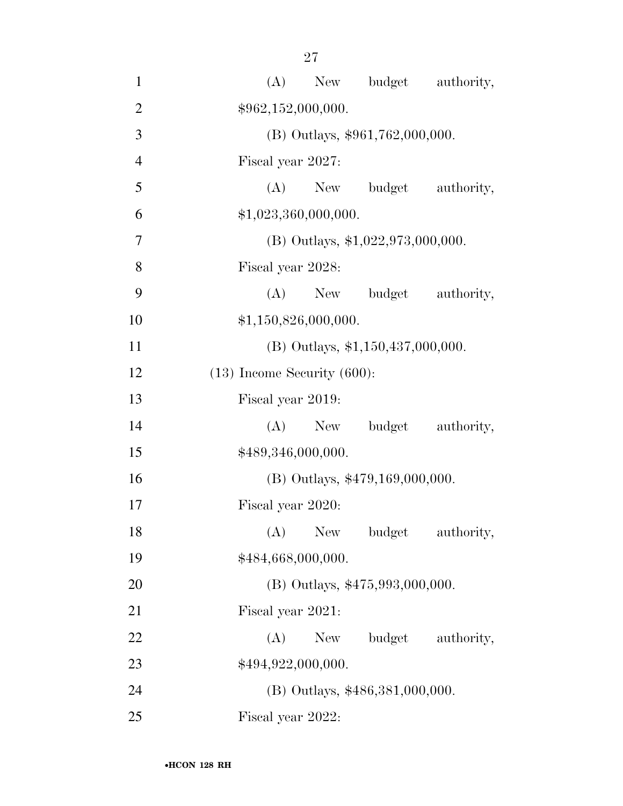| $\mathbf{1}$   | budget authority,<br>(A)<br>New     |
|----------------|-------------------------------------|
| $\overline{2}$ | \$962,152,000,000.                  |
| 3              | (B) Outlays, \$961,762,000,000.     |
| $\overline{4}$ | Fiscal year 2027:                   |
| 5              | (A)<br>New budget<br>authority,     |
| 6              | \$1,023,360,000,000.                |
| $\tau$         | (B) Outlays, $$1,022,973,000,000$ . |
| 8              | Fiscal year 2028:                   |
| 9              | budget authority,<br>$(A)$ New      |
| 10             | \$1,150,826,000,000.                |
| 11             | $(B)$ Outlays, \$1,150,437,000,000. |
| 12             | $(13)$ Income Security $(600)$ :    |
| 13             | Fiscal year 2019:                   |
| 14             | $(A)$ New<br>budget<br>authority,   |
| 15             | \$489,346,000,000.                  |
| 16             | (B) Outlays, \$479,169,000,000.     |
| 17             | Fiscal year 2020:                   |
| 18             | $(A)$ New<br>budget<br>authority,   |
| 19             | \$484,668,000,000.                  |
| 20             | (B) Outlays, \$475,993,000,000.     |
| 21             | Fiscal year 2021:                   |
| 22             | (A)<br>budget<br>New<br>authority,  |
| 23             | \$494,922,000,000.                  |
| 24             | (B) Outlays, \$486,381,000,000.     |
| 25             | Fiscal year 2022:                   |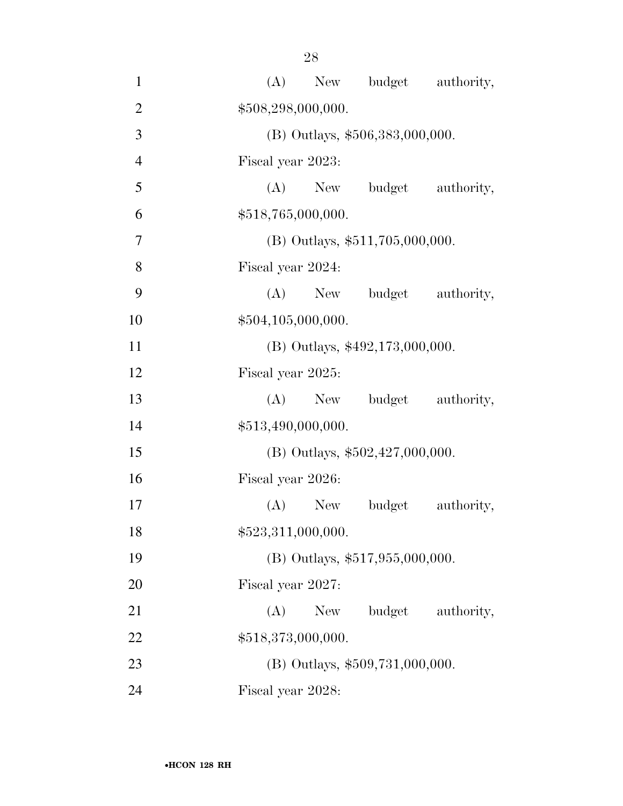| $\mathbf{1}$   |     |                                   | (A) New budget authority, |            |  |  |  |
|----------------|-----|-----------------------------------|---------------------------|------------|--|--|--|
| $\overline{2}$ |     | \$508,298,000,000.                |                           |            |  |  |  |
| 3              |     | (B) Outlays, \$506,383,000,000.   |                           |            |  |  |  |
| $\overline{4}$ |     | Fiscal year 2023:                 |                           |            |  |  |  |
| 5              |     |                                   | (A) New budget            | authority, |  |  |  |
| 6              |     | \$518,765,000,000.                |                           |            |  |  |  |
| 7              |     | $(B)$ Outlays, \$511,705,000,000. |                           |            |  |  |  |
| 8              |     | Fiscal year 2024:                 |                           |            |  |  |  |
| 9              |     |                                   | (A) New budget authority, |            |  |  |  |
| 10             |     | \$504,105,000,000.                |                           |            |  |  |  |
| 11             |     | (B) Outlays, \$492,173,000,000.   |                           |            |  |  |  |
| 12             |     | Fiscal year 2025:                 |                           |            |  |  |  |
| 13             |     | $(A)$ New                         | budget authority,         |            |  |  |  |
| 14             |     | \$513,490,000,000.                |                           |            |  |  |  |
| 15             |     | $(B)$ Outlays, \$502,427,000,000. |                           |            |  |  |  |
| 16             |     | Fiscal year 2026:                 |                           |            |  |  |  |
| 17             |     | $(A)$ New                         | budget                    | authority, |  |  |  |
| 18             |     | \$523,311,000,000.                |                           |            |  |  |  |
| 19             |     | $(B)$ Outlays, \$517,955,000,000. |                           |            |  |  |  |
| 20             |     | Fiscal year 2027:                 |                           |            |  |  |  |
| 21             | (A) | New                               | budget                    | authority, |  |  |  |
| 22             |     | \$518,373,000,000.                |                           |            |  |  |  |
| 23             |     | (B) Outlays, \$509,731,000,000.   |                           |            |  |  |  |
| 24             |     | Fiscal year 2028:                 |                           |            |  |  |  |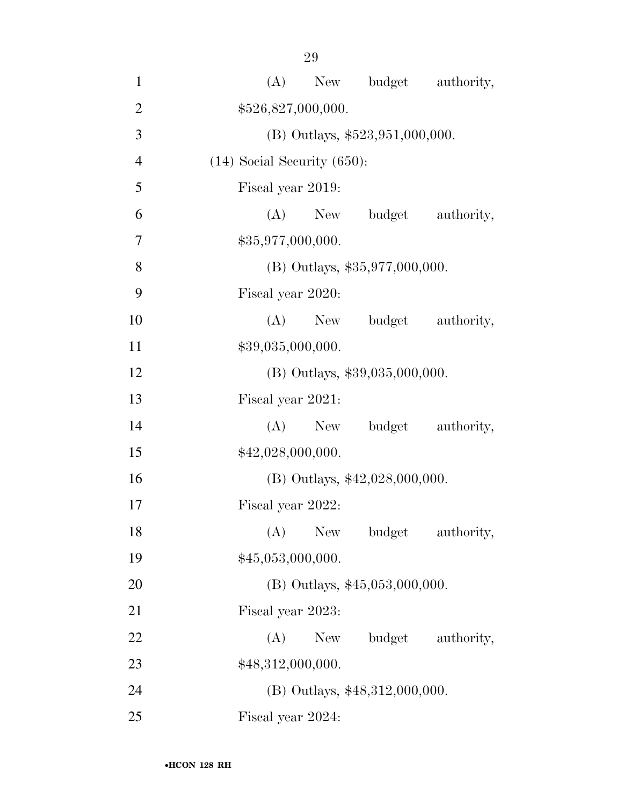(A) New budget authority, 2 \$526,827,000,000. (B) Outlays, \$523,951,000,000. (14) Social Security (650): Fiscal year 2019: (A) New budget authority, 7 \$35,977,000,000. 8 (B) Outlays, \$35,977,000,000. Fiscal year 2020: 10 (A) New budget authority,  $$39,035,000,000.$  (B) Outlays, \$39,035,000,000. Fiscal year 2021: 14 (A) New budget authority,  $$42,028,000,000.$  (B) Outlays, \$42,028,000,000. Fiscal year 2022: 18 (A) New budget authority,  $$45,053,000,000.$ 20 (B) Outlays, \$45,053,000,000. Fiscal year 2023: 22 (A) New budget authority, 23 \$48,312,000,000. (B) Outlays, \$48,312,000,000.

Fiscal year 2024: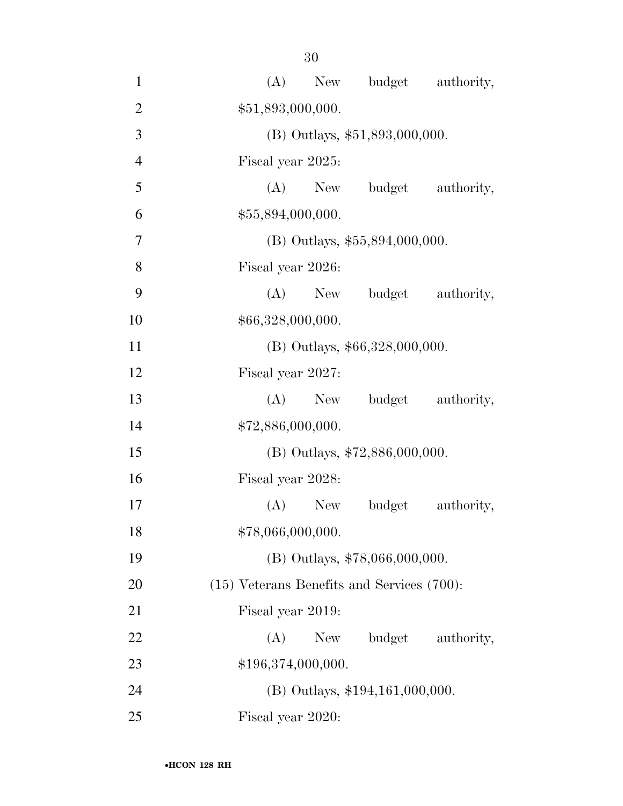| $\mathbf{1}$   | New budget authority,<br>(A)                    |
|----------------|-------------------------------------------------|
| $\overline{2}$ | \$51,893,000,000.                               |
| 3              | (B) Outlays, \$51,893,000,000.                  |
| $\overline{4}$ | Fiscal year 2025:                               |
| 5              | (A) New budget authority,                       |
| 6              | \$55,894,000,000.                               |
| $\overline{7}$ | $(B)$ Outlays, \$55,894,000,000.                |
| 8              | Fiscal year 2026:                               |
| 9              | (A) New budget authority,                       |
| 10             | \$66,328,000,000.                               |
| 11             | (B) Outlays, \$66,328,000,000.                  |
| 12             | Fiscal year 2027:                               |
| 13             | budget authority,<br>$(A)$ New                  |
| 14             | \$72,886,000,000.                               |
| 15             | $(B)$ Outlays, \$72,886,000,000.                |
| 16             | Fiscal year 2028:                               |
| 17             | $(A)$ New<br>budget<br>authority,               |
| 18             | \$78,066,000,000.                               |
| 19             | (B) Outlays, \$78,066,000,000.                  |
| 20             | $(15)$ Veterans Benefits and Services $(700)$ : |
| 21             | Fiscal year 2019:                               |
| 22             | budget<br>(A)<br>New<br>authority,              |
| 23             | \$196,374,000,000.                              |
| 24             | $(B)$ Outlays, \$194,161,000,000.               |
| 25             | Fiscal year 2020:                               |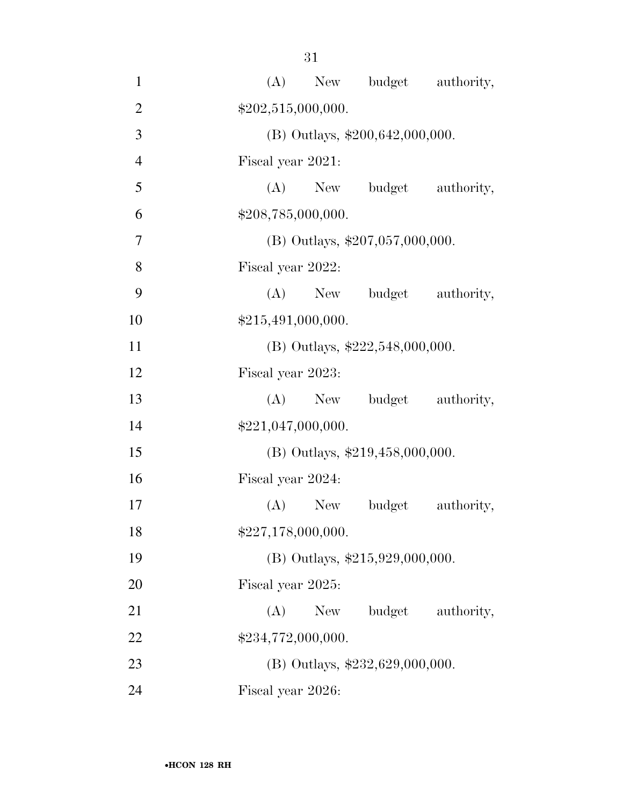| $\mathbf{1}$   | (A) New budget authority,          |
|----------------|------------------------------------|
| $\overline{2}$ | \$202,515,000,000.                 |
| 3              | $(B)$ Outlays, \$200,642,000,000.  |
| $\overline{4}$ | Fiscal year 2021:                  |
| 5              | (A) New budget<br>authority,       |
| 6              | \$208,785,000,000.                 |
| 7              | $(B)$ Outlays, \$207,057,000,000.  |
| 8              | Fiscal year 2022:                  |
| 9              | (A) New budget authority,          |
| 10             | \$215,491,000,000.                 |
| 11             | (B) Outlays, $$222,548,000,000$ .  |
| 12             | Fiscal year 2023:                  |
| 13             | budget authority,<br>$(A)$ New     |
| 14             | \$221,047,000,000.                 |
| 15             | (B) Outlays, \$219,458,000,000.    |
| 16             | Fiscal year 2024:                  |
| 17             | budget<br>authority,<br>(A)<br>New |
| 18             | \$227,178,000,000.                 |
| 19             | (B) Outlays, $$215,929,000,000$ .  |
| 20             | Fiscal year 2025:                  |
| 21             | budget<br>(A)<br>New<br>authority, |
| 22             | \$234,772,000,000.                 |
| 23             | (B) Outlays, \$232,629,000,000.    |
| 24             | Fiscal year 2026:                  |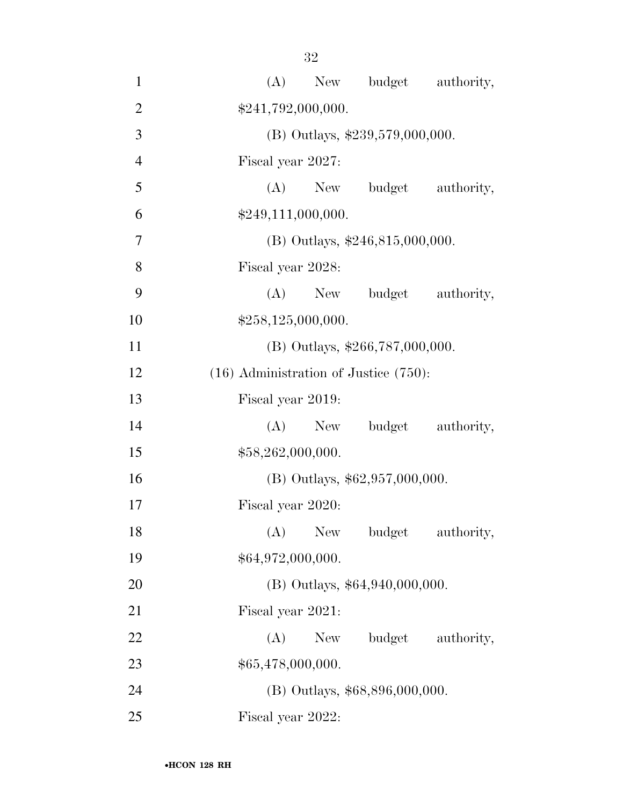| $\mathbf{1}$   | New budget authority,<br>(A)               |
|----------------|--------------------------------------------|
| $\overline{2}$ | \$241,792,000,000.                         |
| 3              | (B) Outlays, \$239,579,000,000.            |
| $\overline{4}$ | Fiscal year 2027:                          |
| 5              | (A) New budget authority,                  |
| 6              | \$249,111,000,000.                         |
| $\overline{7}$ | (B) Outlays, $$246,815,000,000$ .          |
| 8              | Fiscal year 2028:                          |
| 9              | $(A)$ New<br>budget authority,             |
| 10             | \$258,125,000,000.                         |
| 11             | $(B)$ Outlays, \$266,787,000,000.          |
| 12             | $(16)$ Administration of Justice $(750)$ : |
| 13             | Fiscal year 2019:                          |
| 14             | (A) New budget authority,                  |
| 15             | \$58,262,000,000.                          |
| 16             | $(B)$ Outlays, \$62,957,000,000.           |
| 17             | Fiscal year 2020:                          |
| 18             | $(A)$ New<br>budget<br>authority,          |
| 19             | \$64,972,000,000.                          |
| 20             | $(B)$ Outlays, \$64,940,000,000.           |
| 21             | Fiscal year 2021:                          |
| 22             | budget authority,<br>(A)<br>New            |
| 23             | \$65,478,000,000.                          |
| 24             | (B) Outlays, \$68,896,000,000.             |
| 25             | Fiscal year 2022:                          |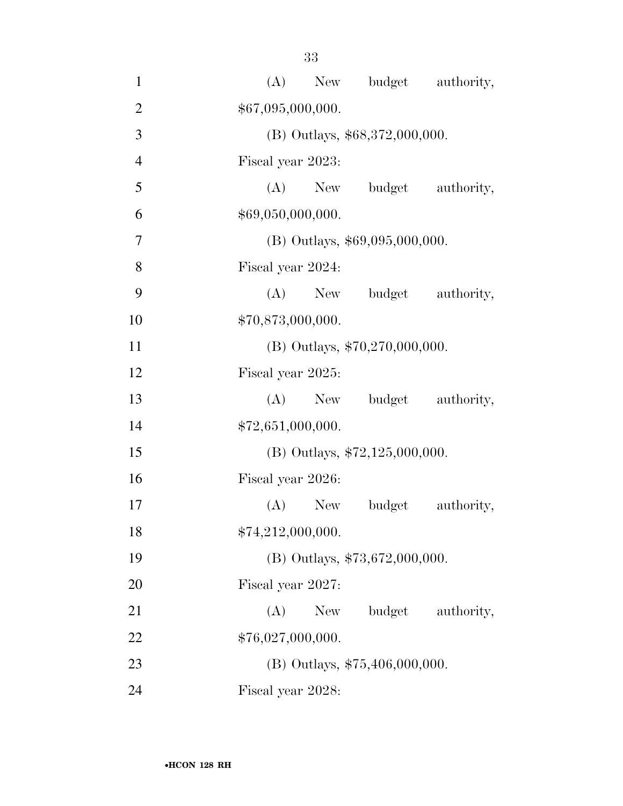| $\mathbf{1}$   | New budget authority,<br>(A)       |
|----------------|------------------------------------|
| $\overline{2}$ | \$67,095,000,000.                  |
| 3              | (B) Outlays, \$68,372,000,000.     |
| $\overline{4}$ | Fiscal year 2023:                  |
| 5              | (A) New budget authority,          |
| 6              | \$69,050,000,000.                  |
| $\overline{7}$ | $(B)$ Outlays, \$69,095,000,000.   |
| 8              | Fiscal year 2024:                  |
| 9              | (A) New budget authority,          |
| 10             | \$70,873,000,000.                  |
| 11             | (B) Outlays, $$70,270,000,000$ .   |
| 12             | Fiscal year 2025:                  |
| 13             | (A) New budget authority,          |
| 14             | \$72,651,000,000.                  |
| 15             | (B) Outlays, $$72,125,000,000$ .   |
| 16             | Fiscal year 2026:                  |
| 17             | (A) New budget<br>authority,       |
| 18             | \$74,212,000,000.                  |
| 19             | (B) Outlays, \$73,672,000,000.     |
| 20             | Fiscal year 2027:                  |
| 21             | budget<br>(A)<br>New<br>authority, |
| 22             | \$76,027,000,000.                  |
| 23             | (B) Outlays, \$75,406,000,000.     |
| 24             | Fiscal year 2028:                  |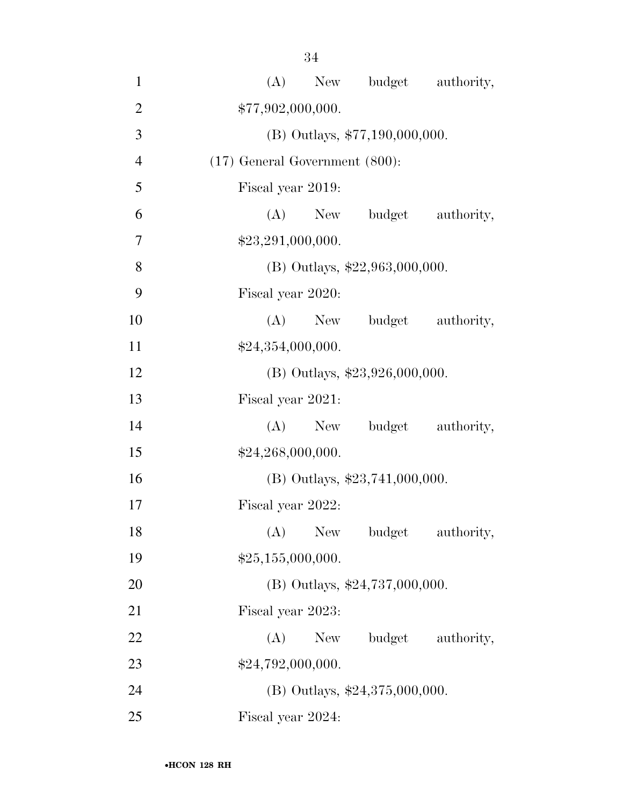| $\mathbf{1}$   | New budget authority,<br>(A)              |
|----------------|-------------------------------------------|
| $\overline{2}$ | \$77,902,000,000.                         |
| 3              | (B) Outlays, \$77,190,000,000.            |
| $\overline{4}$ | $(17)$ General Government $(800)$ :       |
| 5              | Fiscal year 2019:                         |
| 6              | (A) New budget authority,                 |
| $\overline{7}$ | \$23,291,000,000.                         |
| 8              | (B) Outlays, $$22,963,000,000$ .          |
| 9              | Fiscal year 2020:                         |
| 10             | New budget authority,<br>(A)              |
| 11             | \$24,354,000,000.                         |
| 12             | (B) Outlays, $$23,926,000,000$ .          |
| 13             | Fiscal year 2021:                         |
| 14             | (A) New budget authority,                 |
| 15             | \$24,268,000,000.                         |
| 16             | $(B)$ Outlays, \$23,741,000,000.          |
| 17             | Fiscal year 2022:                         |
| 18             | (A)<br><b>New</b><br>budget<br>authority, |
| 19             | \$25,155,000,000.                         |
| 20             | (B) Outlays, $$24,737,000,000$ .          |
| 21             | Fiscal year 2023:                         |
| 22             | budget authority,<br>(A)<br>New           |
| 23             | \$24,792,000,000.                         |
| 24             | (B) Outlays, \$24,375,000,000.            |
| 25             | Fiscal year 2024:                         |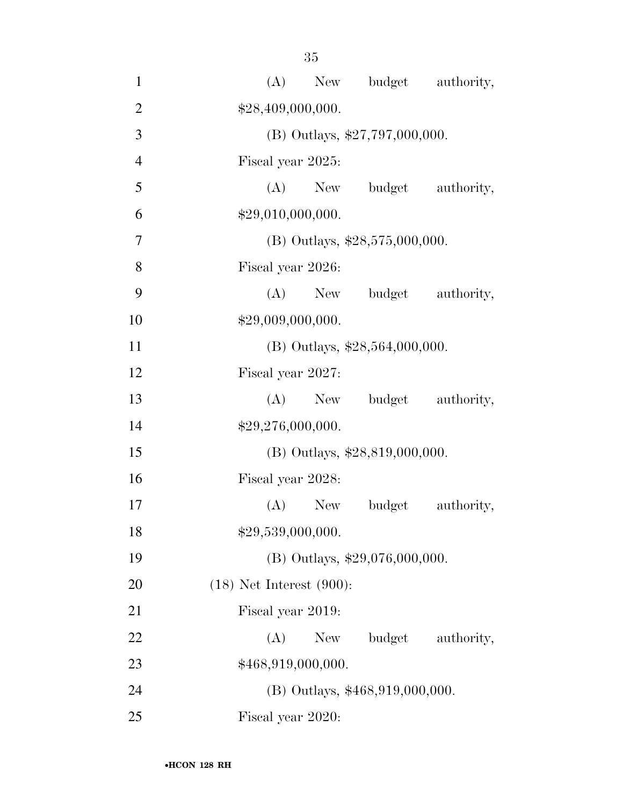| $\mathbf{1}$   | (A)<br>New budget authority,          |  |  |  |  |  |
|----------------|---------------------------------------|--|--|--|--|--|
| $\overline{2}$ | \$28,409,000,000.                     |  |  |  |  |  |
| 3              | (B) Outlays, $$27,797,000,000$ .      |  |  |  |  |  |
| $\overline{4}$ | Fiscal year 2025:                     |  |  |  |  |  |
| 5              | (A) New budget authority,             |  |  |  |  |  |
| 6              | \$29,010,000,000.                     |  |  |  |  |  |
| 7              | (B) Outlays, $$28,575,000,000$ .      |  |  |  |  |  |
| 8              | Fiscal year 2026:                     |  |  |  |  |  |
| 9              | (A) New budget authority,             |  |  |  |  |  |
| 10             | \$29,009,000,000.                     |  |  |  |  |  |
| 11             | (B) Outlays, \$28,564,000,000.        |  |  |  |  |  |
| 12             | Fiscal year 2027:                     |  |  |  |  |  |
| 13             | $(A)$ New<br>budget authority,        |  |  |  |  |  |
| 14             | \$29,276,000,000.                     |  |  |  |  |  |
| 15             | $(B)$ Outlays, \$28,819,000,000.      |  |  |  |  |  |
| 16             | Fiscal year 2028:                     |  |  |  |  |  |
| 17             | $(A)$ New<br>budget<br>authority,     |  |  |  |  |  |
| 18             | \$29,539,000,000.                     |  |  |  |  |  |
| 19             | (B) Outlays, \$29,076,000,000.        |  |  |  |  |  |
| 20             | $(18)$ Net Interest $(900)$ :         |  |  |  |  |  |
| 21             | Fiscal year 2019:                     |  |  |  |  |  |
| 22             | (A)<br>New \,<br>budget<br>authority, |  |  |  |  |  |
| 23             | \$468,919,000,000.                    |  |  |  |  |  |
| 24             | (B) Outlays, \$468,919,000,000.       |  |  |  |  |  |
| 25             | Fiscal year 2020:                     |  |  |  |  |  |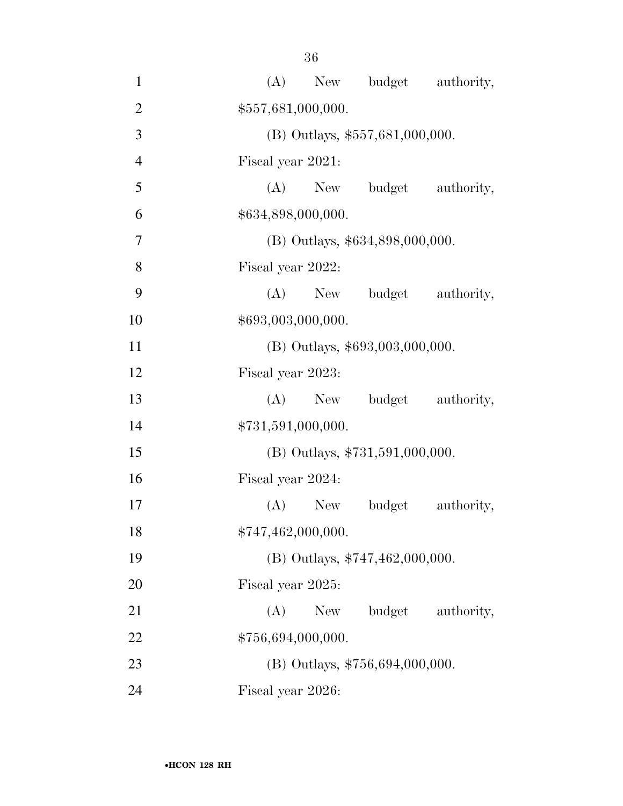| $\mathbf{1}$   |                                   |                   |           | (A) New budget authority,         |            |  |
|----------------|-----------------------------------|-------------------|-----------|-----------------------------------|------------|--|
| $\overline{2}$ | \$557,681,000,000.                |                   |           |                                   |            |  |
| 3              | $(B)$ Outlays, \$557,681,000,000. |                   |           |                                   |            |  |
| $\overline{4}$ | Fiscal year 2021:                 |                   |           |                                   |            |  |
| 5              |                                   |                   |           | (A) New budget                    | authority, |  |
| 6              | \$634,898,000,000.                |                   |           |                                   |            |  |
| 7              | (B) Outlays, \$634,898,000,000.   |                   |           |                                   |            |  |
| 8              | Fiscal year 2022:                 |                   |           |                                   |            |  |
| 9              |                                   |                   |           | (A) New budget authority,         |            |  |
| 10             | \$693,003,000,000.                |                   |           |                                   |            |  |
| 11             | (B) Outlays, \$693,003,000,000.   |                   |           |                                   |            |  |
| 12             | Fiscal year 2023:                 |                   |           |                                   |            |  |
| 13             |                                   |                   | $(A)$ New | budget authority,                 |            |  |
| 14             | \$731,591,000,000.                |                   |           |                                   |            |  |
| 15             |                                   |                   |           | $(B)$ Outlays, \$731,591,000,000. |            |  |
| 16             |                                   | Fiscal year 2024: |           |                                   |            |  |
| 17             |                                   |                   | $(A)$ New | budget                            | authority, |  |
| 18             | \$747,462,000,000.                |                   |           |                                   |            |  |
| 19             | (B) Outlays, \$747,462,000,000.   |                   |           |                                   |            |  |
| 20             | Fiscal year 2025:                 |                   |           |                                   |            |  |
| 21             |                                   | (A)               | New       | budget                            | authority, |  |
| 22             | \$756,694,000,000.                |                   |           |                                   |            |  |
| 23             | (B) Outlays, $$756,694,000,000$ . |                   |           |                                   |            |  |
| 24             | Fiscal year 2026:                 |                   |           |                                   |            |  |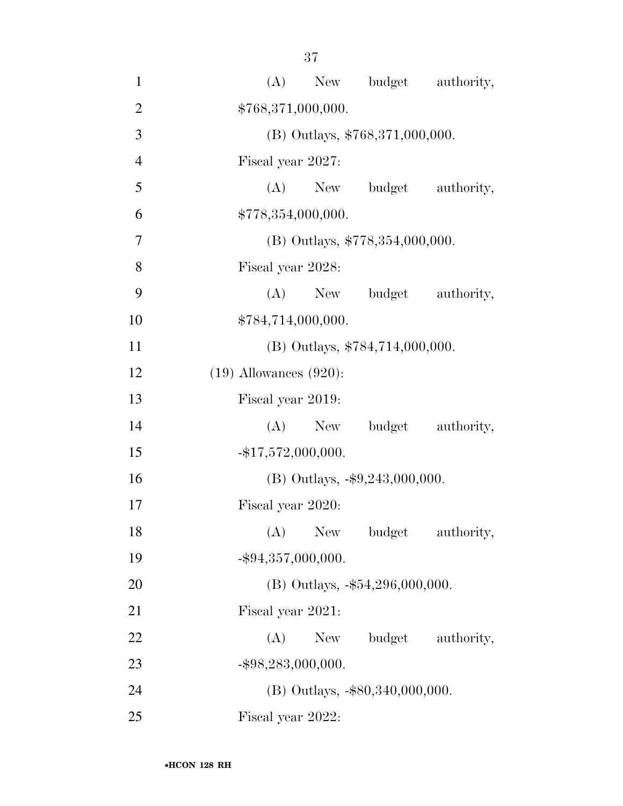37

| $\mathbf{1}$   | New budget authority,<br>(A)              |
|----------------|-------------------------------------------|
| $\overline{2}$ | \$768,371,000,000.                        |
| 3              | (B) Outlays, \$768,371,000,000.           |
| $\overline{4}$ | Fiscal year 2027:                         |
| 5              | (A) New budget authority,                 |
| 6              | \$778,354,000,000.                        |
| $\overline{7}$ | (B) Outlays, \$778,354,000,000.           |
| 8              | Fiscal year 2028:                         |
| 9              | $(A)$ New<br>budget authority,            |
| 10             | \$784,714,000,000.                        |
| 11             | (B) Outlays, \$784,714,000,000.           |
| 12             | $(19)$ Allowances $(920)$ :               |
| 13             | Fiscal year 2019:                         |
| 14             | budget authority,<br>$(A)$ New            |
| 15             | $-$ \$17,572,000,000.                     |
| 16             | (B) Outlays, $-\$9,243,000,000$ .         |
| 17             | Fiscal year 2020:                         |
| 18             | (A)<br><b>New</b><br>budget<br>authority, |
| 19             | $-$ \$94,357,000,000.                     |
| 20             | (B) Outlays, -\$54,296,000,000.           |
| 21             | Fiscal year 2021:                         |
| 22             | (A)<br>budget authority,<br>New           |
| 23             | $-$ \$98,283,000,000.                     |
| 24             | (B) Outlays, -\$80,340,000,000.           |
| 25             | Fiscal year 2022:                         |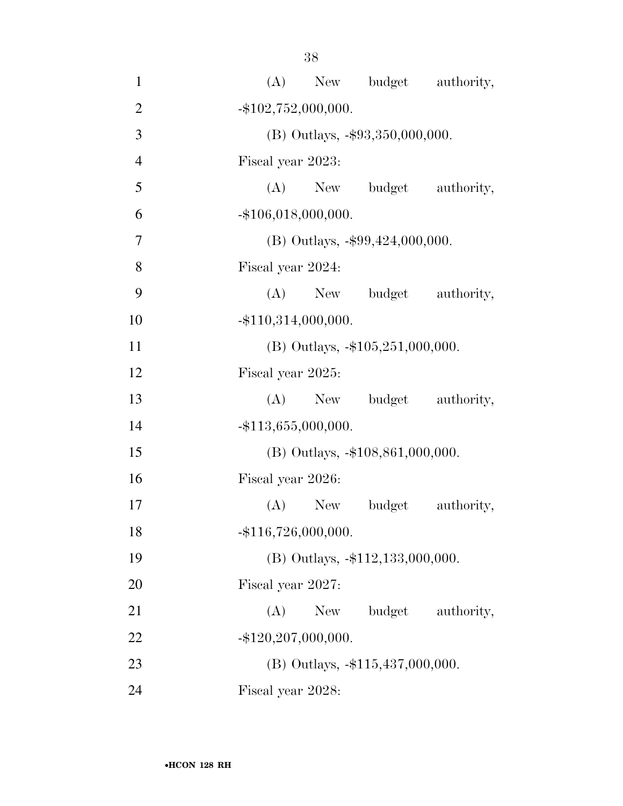38

| $\mathbf{1}$   |                        |     |                                     | (A) New budget authority, |
|----------------|------------------------|-----|-------------------------------------|---------------------------|
| $\overline{2}$ | $-$ \$102,752,000,000. |     |                                     |                           |
| 3              |                        |     | (B) Outlays, -\$93,350,000,000.     |                           |
| $\overline{4}$ | Fiscal year 2023:      |     |                                     |                           |
| 5              |                        |     |                                     | (A) New budget authority, |
| 6              | $-$ \$106,018,000,000. |     |                                     |                           |
| $\overline{7}$ |                        |     | (B) Outlays, $-$ \$99,424,000,000.  |                           |
| 8              | Fiscal year 2024:      |     |                                     |                           |
| 9              |                        |     |                                     | (A) New budget authority, |
| 10             | $-$ \$110,314,000,000. |     |                                     |                           |
| 11             |                        |     | (B) Outlays, $-105,251,000,000$ .   |                           |
| 12             | Fiscal year 2025:      |     |                                     |                           |
| 13             |                        |     |                                     | (A) New budget authority, |
| 14             | $-$ \$113,655,000,000. |     |                                     |                           |
| 15             |                        |     | (B) Outlays, -\$108,861,000,000.    |                           |
| 16             | Fiscal year 2026:      |     |                                     |                           |
| 17             |                        |     | (A) New budget                      | authority,                |
| 18             | $-$ \$116,726,000,000. |     |                                     |                           |
| 19             |                        |     | (B) Outlays, -\$112,133,000,000.    |                           |
| 20             | Fiscal year 2027:      |     |                                     |                           |
| 21             | (A)                    | New | budget                              | authority,                |
| 22             | $-$ \$120,207,000,000. |     |                                     |                           |
| 23             |                        |     | $(B)$ Outlays, $-115,437,000,000$ . |                           |
| 24             | Fiscal year 2028:      |     |                                     |                           |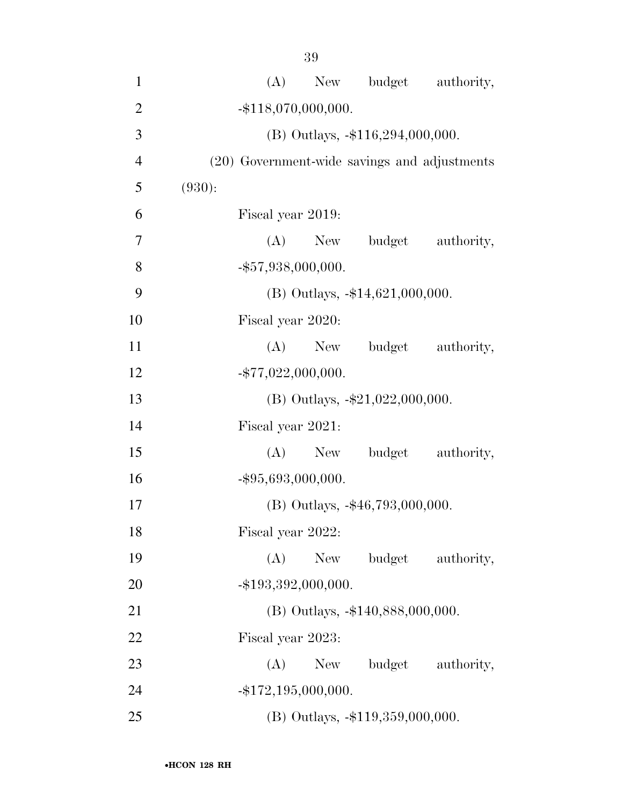| 1              | (A) New budget authority,                    |  |
|----------------|----------------------------------------------|--|
| $\overline{2}$ | $-$ \$118,070,000,000.                       |  |
| 3              | $(B)$ Outlays, $-116,294,000,000$ .          |  |
| $\overline{4}$ | (20) Government-wide savings and adjustments |  |
| 5              | (930):                                       |  |
| 6              | Fiscal year 2019:                            |  |
| 7              | (A) New budget authority,                    |  |
| 8              | $-$ \$57,938,000,000.                        |  |
| 9              | $(B)$ Outlays, $-14,621,000,000$ .           |  |
| 10             | Fiscal year 2020:                            |  |
| 11             | budget<br>$(A)$ New<br>authority,            |  |
| 12             | $-$ \$77,022,000,000.                        |  |
| 13             | (B) Outlays, $-\$21,022,000,000$ .           |  |
| 14             | Fiscal year 2021:                            |  |
| 15             | budget authority,<br>(A)<br>New              |  |
| 16             | $-$ \$95,693,000,000.                        |  |
| 17             | $(B)$ Outlays, $-46,793,000,000$ .           |  |
| 18             | Fiscal year 2022:                            |  |
| 19             | budget<br>(A)<br>New<br>authority,           |  |
| 20             | $-$ \$193,392,000,000.                       |  |
| 21             | (B) Outlays, -\$140,888,000,000.             |  |
| 22             | Fiscal year 2023:                            |  |
| 23             | (A)<br>budget<br>authority,<br>New           |  |
| 24             | $-$ \$172,195,000,000.                       |  |
| 25             | (B) Outlays, -\$119,359,000,000.             |  |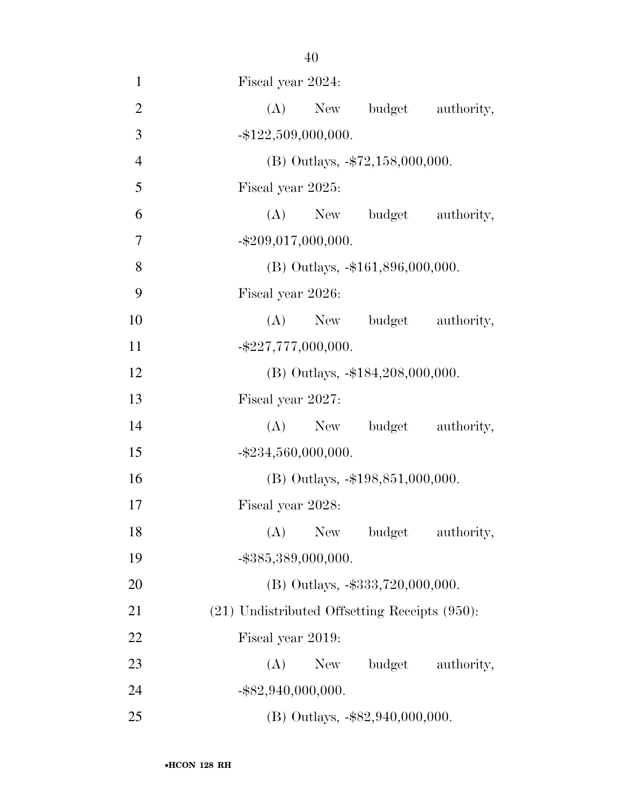| $\mathbf{1}$   | Fiscal year 2024:                                  |
|----------------|----------------------------------------------------|
| $\overline{2}$ | New budget authority,<br>(A)                       |
| 3              | $-$ \$122,509,000,000.                             |
| $\overline{4}$ | (B) Outlays, -\$72,158,000,000.                    |
| 5              | Fiscal year 2025:                                  |
| 6              | (A) New budget authority,                          |
| 7              | $-$ \$209,017,000,000.                             |
| 8              | (B) Outlays, -\$161,896,000,000.                   |
| 9              | Fiscal year 2026:                                  |
| 10             | (A) New budget authority,                          |
| 11             | $-$ \$227,777,000,000.                             |
| 12             | $(B)$ Outlays, $-184,208,000,000$ .                |
| 13             | Fiscal year 2027:                                  |
| 14             | (A) New budget authority,                          |
| 15             | $-$ \$234,560,000,000.                             |
| 16             | (B) Outlays, -\$198,851,000,000.                   |
| 17             | Fiscal year 2028:                                  |
| 18             | (A) New budget authority,                          |
| 19             | $-$ \$385,389,000,000.                             |
| 20             | (B) Outlays, -\$333,720,000,000.                   |
| 21             | $(21)$ Undistributed Offsetting Receipts $(950)$ : |
| 22             | Fiscal year 2019:                                  |
| 23             | New budget authority,<br>(A)                       |
| 24             | $-$ \$82,940,000,000.                              |
| 25             | (B) Outlays, -\$82,940,000,000.                    |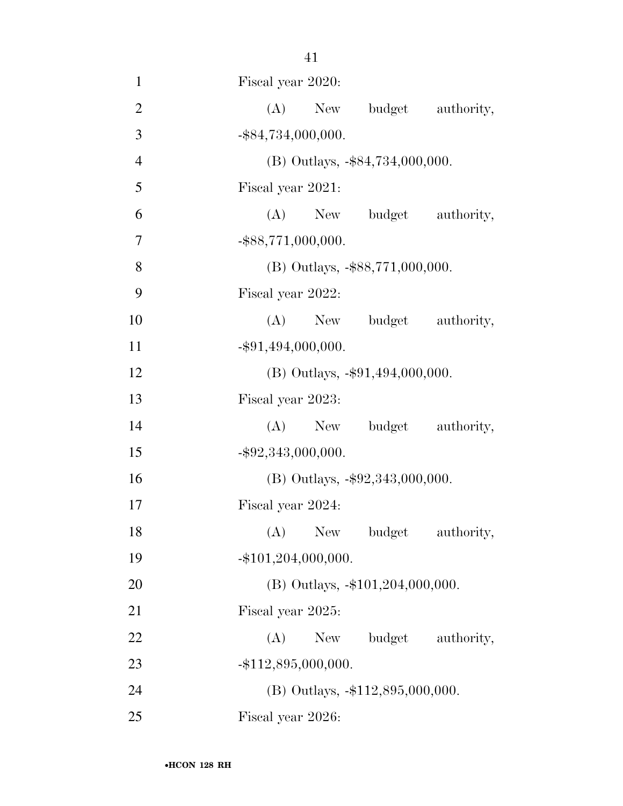| $\mathbf{1}$   | Fiscal year 2020:                    |
|----------------|--------------------------------------|
| $\mathbf{2}$   | New budget<br>(A)<br>authority,      |
| 3              | $-$ \$84,734,000,000.                |
| $\overline{4}$ | $(B)$ Outlays, $-$ \$84,734,000,000. |
| 5              | Fiscal year 2021:                    |
| 6              | (A) New budget authority,            |
| 7              | $-$ \$88,771,000,000.                |
| 8              | $(B)$ Outlays, $-$ \$88,771,000,000. |
| 9              | Fiscal year 2022:                    |
| 10             | (A) New budget authority,            |
| 11             | $-$ \$91,494,000,000.                |
| 12             | (B) Outlays, -\$91,494,000,000.      |
| 13             | Fiscal year 2023:                    |
| 14             | New budget authority,<br>(A)         |
| 15             | $-$ \$92,343,000,000.                |
| 16             | $(B)$ Outlays, $-\$92,343,000,000$ . |
| 17             | Fiscal year 2024:                    |
| 18             | (A) New budget authority,            |
| 19             | $-$ \$101,204,000,000.               |
| 20             | $(B)$ Outlays, $-101,204,000,000$ .  |
| 21             | Fiscal year 2025:                    |
| 22             | New budget authority,<br>(A)         |
| 23             | $-$ \$112,895,000,000.               |
| 24             | (B) Outlays, -\$112,895,000,000.     |
| 25             | Fiscal year 2026:                    |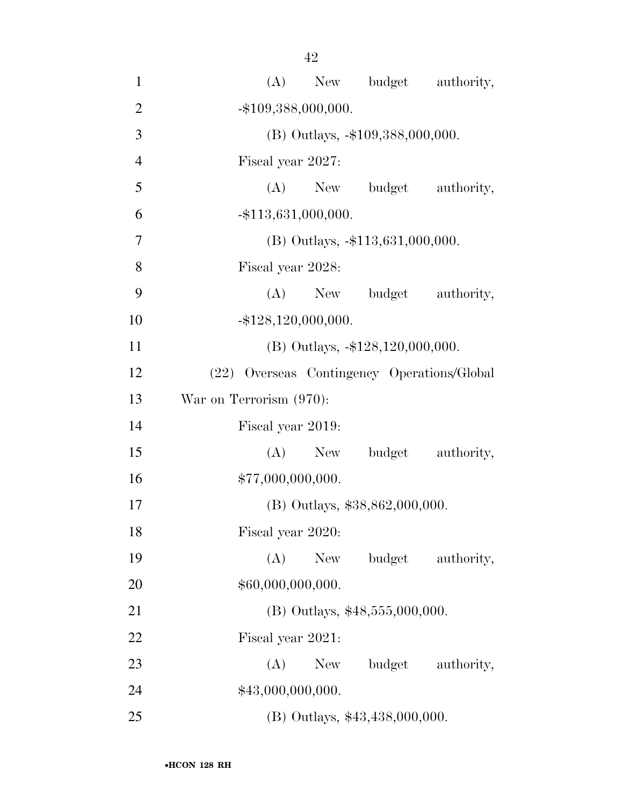42

| $\mathbf{1}$   | New budget authority,<br>(A)                |
|----------------|---------------------------------------------|
| $\overline{2}$ | $-$ \$109,388,000,000.                      |
| 3              | (B) Outlays, -\$109,388,000,000.            |
| $\overline{4}$ | Fiscal year 2027:                           |
| $\mathfrak{S}$ | (A)<br>New budget<br>authority,             |
| 6              | $-$ \$113,631,000,000.                      |
| $\tau$         | $(B)$ Outlays, $-113,631,000,000$ .         |
| 8              | Fiscal year 2028:                           |
| 9              | $(A)$ New<br>budget<br>authority,           |
| 10             | $-$ \$128,120,000,000.                      |
| 11             | $(B)$ Outlays, $-128,120,000,000$ .         |
| 12             | (22) Overseas Contingency Operations/Global |
| 13             | War on Terrorism (970):                     |
| 14             | Fiscal year 2019:                           |
| 15             | budget<br>(A)<br>authority,<br>New          |
| 16             | \$77,000,000,000.                           |
| 17             | (B) Outlays, \$38,862,000,000.              |
| 18             | Fiscal year 2020:                           |
| 19             | (A)<br>budget<br>New<br>authority,          |
| 20             | \$60,000,000,000.                           |
| 21             | $(B)$ Outlays, \$48,555,000,000.            |
| 22             | Fiscal year 2021:                           |
| 23             | (A)<br>New<br>budget<br>authority,          |
| 24             | \$43,000,000,000.                           |
| 25             | (B) Outlays, \$43,438,000,000.              |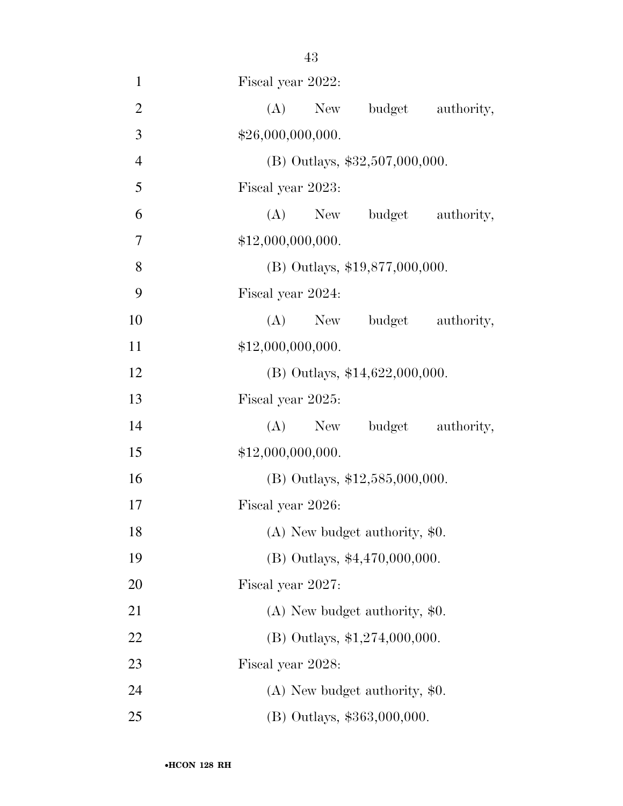| $\mathbf{1}$   | Fiscal year 2022:                |
|----------------|----------------------------------|
| $\overline{2}$ | (A) New budget authority,        |
| 3              | \$26,000,000,000.                |
| $\overline{4}$ | (B) Outlays, \$32,507,000,000.   |
| 5              | Fiscal year 2023:                |
| 6              | (A) New budget authority,        |
| 7              | \$12,000,000,000.                |
| 8              | $(B)$ Outlays, \$19,877,000,000. |
| 9              | Fiscal year 2024:                |
| 10             | (A) New budget authority,        |
| 11             | \$12,000,000,000.                |
| 12             | (B) Outlays, $$14,622,000,000$ . |
| 13             | Fiscal year 2025:                |
| 14             | (A) New budget authority,        |
| 15             | \$12,000,000,000.                |
| 16             | (B) Outlays, $$12,585,000,000$ . |
| 17             | Fiscal year 2026:                |
| 18             | (A) New budget authority, \$0.   |
| 19             | (B) Outlays, \$4,470,000,000.    |
| 20             | Fiscal year 2027:                |
| 21             | $(A)$ New budget authority, \$0. |
| 22             | (B) Outlays, $$1,274,000,000$ .  |
| 23             | Fiscal year 2028:                |
| 24             | $(A)$ New budget authority, \$0. |
| 25             | (B) Outlays, \$363,000,000.      |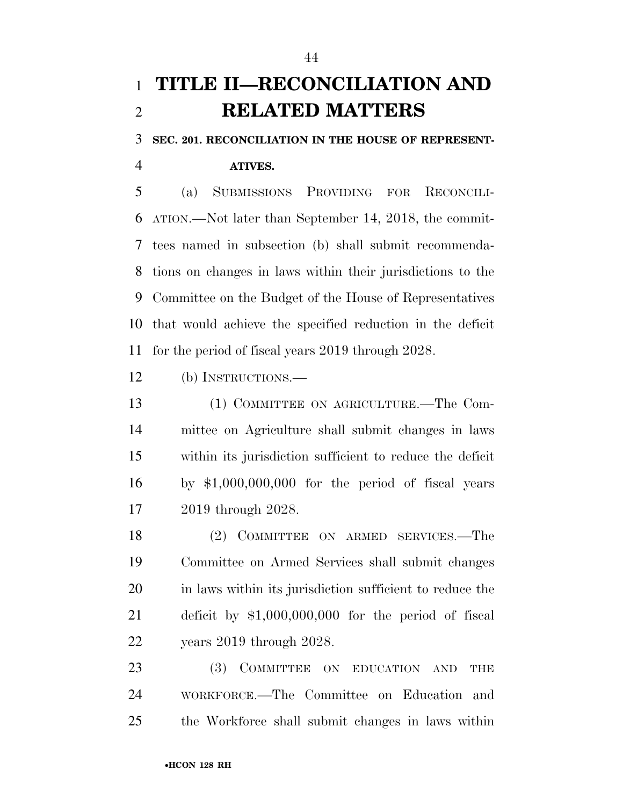### **TITLE II—RECONCILIATION AND RELATED MATTERS**

**SEC. 201. RECONCILIATION IN THE HOUSE OF REPRESENT-**

**ATIVES.** 

 (a) SUBMISSIONS PROVIDING FOR RECONCILI- ATION.—Not later than September 14, 2018, the commit- tees named in subsection (b) shall submit recommenda- tions on changes in laws within their jurisdictions to the Committee on the Budget of the House of Representatives that would achieve the specified reduction in the deficit for the period of fiscal years 2019 through 2028.

(b) INSTRUCTIONS.—

 (1) COMMITTEE ON AGRICULTURE.—The Com- mittee on Agriculture shall submit changes in laws within its jurisdiction sufficient to reduce the deficit by \$1,000,000,000 for the period of fiscal years 2019 through 2028.

 (2) COMMITTEE ON ARMED SERVICES.—The Committee on Armed Services shall submit changes in laws within its jurisdiction sufficient to reduce the deficit by \$1,000,000,000 for the period of fiscal years 2019 through 2028.

23 (3) COMMITTEE ON EDUCATION AND THE WORKFORCE.—The Committee on Education and the Workforce shall submit changes in laws within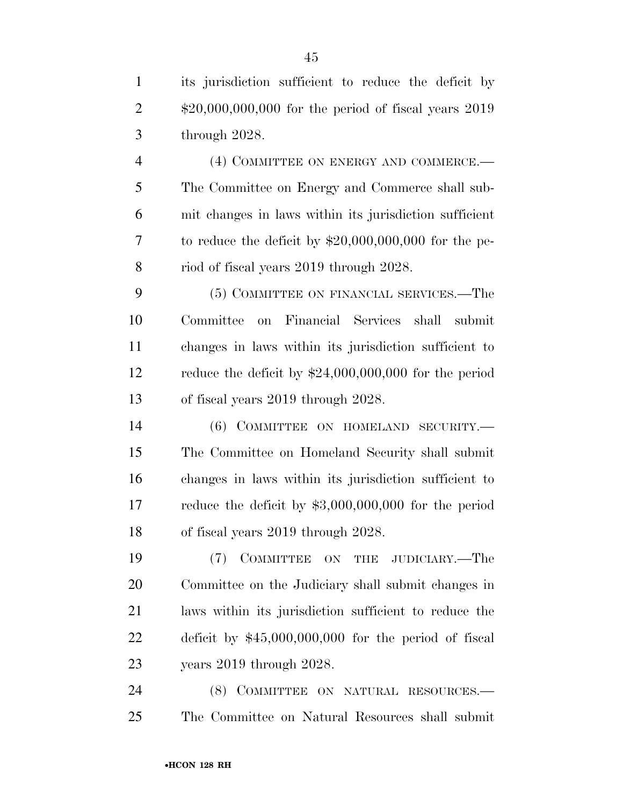its jurisdiction sufficient to reduce the deficit by \$20,000,000,000 for the period of fiscal years 2019 through 2028.

4 (4) COMMITTEE ON ENERGY AND COMMERCE.— The Committee on Energy and Commerce shall sub- mit changes in laws within its jurisdiction sufficient to reduce the deficit by \$20,000,000,000 for the pe-riod of fiscal years 2019 through 2028.

 (5) COMMITTEE ON FINANCIAL SERVICES.—The Committee on Financial Services shall submit changes in laws within its jurisdiction sufficient to reduce the deficit by \$24,000,000,000 for the period of fiscal years 2019 through 2028.

14 (6) COMMITTEE ON HOMELAND SECURITY. The Committee on Homeland Security shall submit changes in laws within its jurisdiction sufficient to reduce the deficit by \$3,000,000,000 for the period of fiscal years 2019 through 2028.

 (7) COMMITTEE ON THE JUDICIARY.—The Committee on the Judiciary shall submit changes in laws within its jurisdiction sufficient to reduce the deficit by \$45,000,000,000 for the period of fiscal years 2019 through 2028.

24 (8) COMMITTEE ON NATURAL RESOURCES.— The Committee on Natural Resources shall submit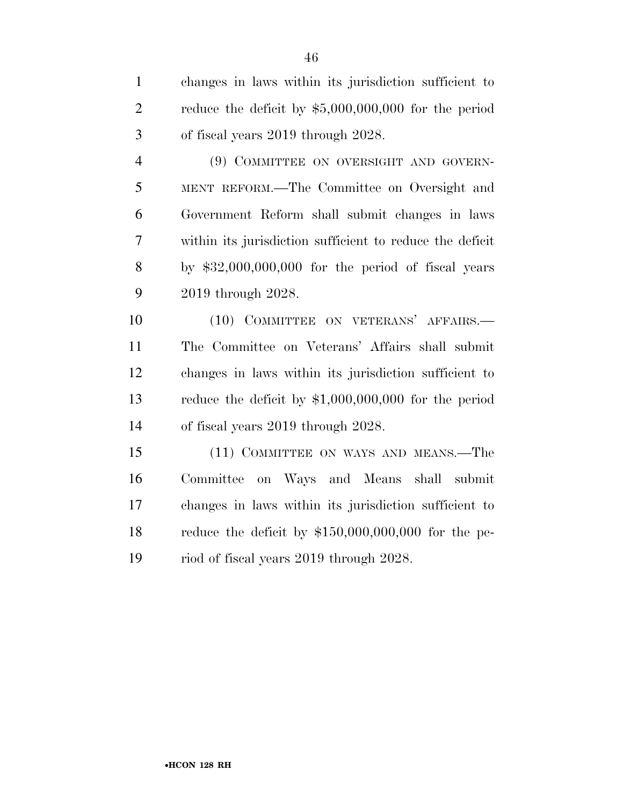changes in laws within its jurisdiction sufficient to reduce the deficit by \$5,000,000,000 for the period of fiscal years 2019 through 2028.

 (9) COMMITTEE ON OVERSIGHT AND GOVERN- MENT REFORM.—The Committee on Oversight and Government Reform shall submit changes in laws within its jurisdiction sufficient to reduce the deficit by \$32,000,000,000 for the period of fiscal years 2019 through 2028.

10 (10) COMMITTEE ON VETERANS' AFFAIRS.— The Committee on Veterans' Affairs shall submit changes in laws within its jurisdiction sufficient to reduce the deficit by \$1,000,000,000 for the period of fiscal years 2019 through 2028.

 (11) COMMITTEE ON WAYS AND MEANS.—The Committee on Ways and Means shall submit changes in laws within its jurisdiction sufficient to reduce the deficit by \$150,000,000,000 for the pe-riod of fiscal years 2019 through 2028.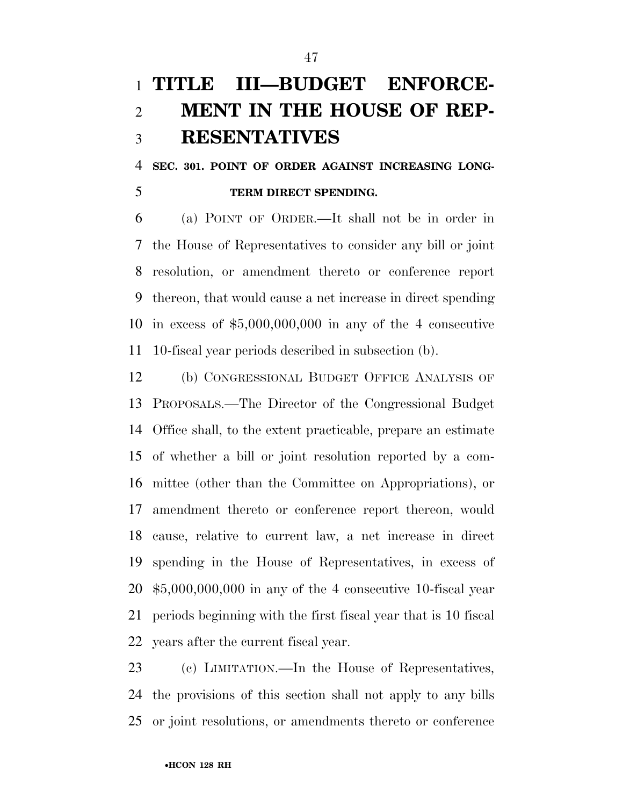## **TITLE III—BUDGET ENFORCE- MENT IN THE HOUSE OF REP-RESENTATIVES**

 **SEC. 301. POINT OF ORDER AGAINST INCREASING LONG-TERM DIRECT SPENDING.** 

 (a) POINT OF ORDER.—It shall not be in order in the House of Representatives to consider any bill or joint resolution, or amendment thereto or conference report thereon, that would cause a net increase in direct spending in excess of \$5,000,000,000 in any of the 4 consecutive 10-fiscal year periods described in subsection (b).

 (b) CONGRESSIONAL BUDGET OFFICE ANALYSIS OF PROPOSALS.—The Director of the Congressional Budget Office shall, to the extent practicable, prepare an estimate of whether a bill or joint resolution reported by a com- mittee (other than the Committee on Appropriations), or amendment thereto or conference report thereon, would cause, relative to current law, a net increase in direct spending in the House of Representatives, in excess of \$5,000,000,000 in any of the 4 consecutive 10-fiscal year periods beginning with the first fiscal year that is 10 fiscal years after the current fiscal year.

 (c) LIMITATION.—In the House of Representatives, the provisions of this section shall not apply to any bills or joint resolutions, or amendments thereto or conference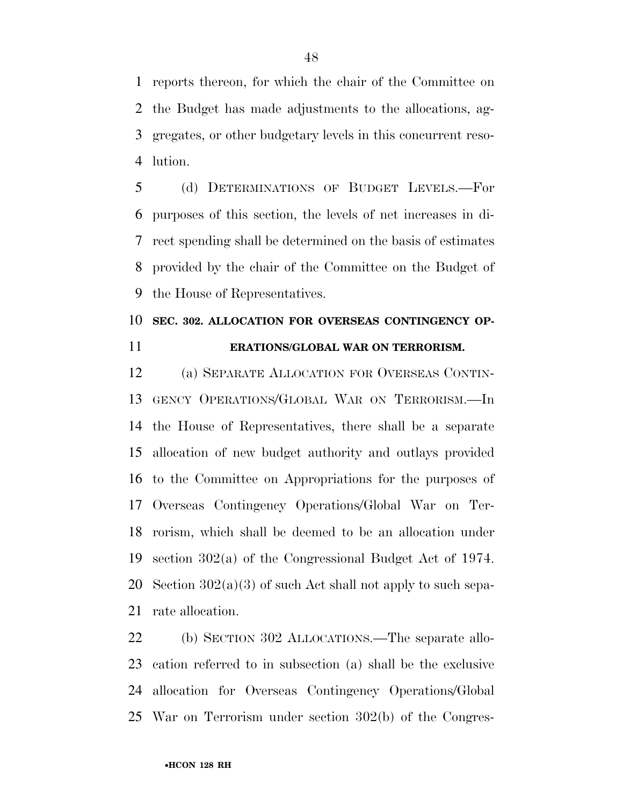reports thereon, for which the chair of the Committee on the Budget has made adjustments to the allocations, ag- gregates, or other budgetary levels in this concurrent reso-lution.

 (d) DETERMINATIONS OF BUDGET LEVELS.—For purposes of this section, the levels of net increases in di- rect spending shall be determined on the basis of estimates provided by the chair of the Committee on the Budget of the House of Representatives.

### **SEC. 302. ALLOCATION FOR OVERSEAS CONTINGENCY OP-ERATIONS/GLOBAL WAR ON TERRORISM.**

 (a) SEPARATE ALLOCATION FOR OVERSEAS CONTIN- GENCY OPERATIONS/GLOBAL WAR ON TERRORISM.—In the House of Representatives, there shall be a separate allocation of new budget authority and outlays provided to the Committee on Appropriations for the purposes of Overseas Contingency Operations/Global War on Ter- rorism, which shall be deemed to be an allocation under section 302(a) of the Congressional Budget Act of 1974. 20 Section  $302(a)(3)$  of such Act shall not apply to such sepa-rate allocation.

 (b) SECTION 302 ALLOCATIONS.—The separate allo- cation referred to in subsection (a) shall be the exclusive allocation for Overseas Contingency Operations/Global War on Terrorism under section 302(b) of the Congres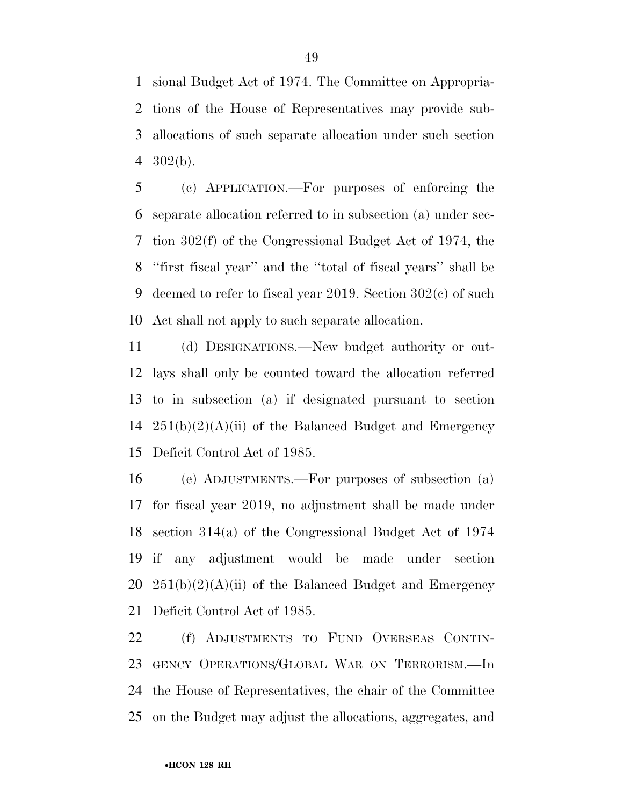sional Budget Act of 1974. The Committee on Appropria- tions of the House of Representatives may provide sub- allocations of such separate allocation under such section 302(b).

 (c) APPLICATION.—For purposes of enforcing the separate allocation referred to in subsection (a) under sec- tion 302(f) of the Congressional Budget Act of 1974, the ''first fiscal year'' and the ''total of fiscal years'' shall be deemed to refer to fiscal year 2019. Section 302(c) of such Act shall not apply to such separate allocation.

 (d) DESIGNATIONS.—New budget authority or out- lays shall only be counted toward the allocation referred to in subsection (a) if designated pursuant to section  $251(b)(2)(A)(ii)$  of the Balanced Budget and Emergency Deficit Control Act of 1985.

 (e) ADJUSTMENTS.—For purposes of subsection (a) for fiscal year 2019, no adjustment shall be made under section 314(a) of the Congressional Budget Act of 1974 if any adjustment would be made under section  $251(b)(2)(A)(ii)$  of the Balanced Budget and Emergency Deficit Control Act of 1985.

 (f) ADJUSTMENTS TO FUND OVERSEAS CONTIN- GENCY OPERATIONS/GLOBAL WAR ON TERRORISM.—In the House of Representatives, the chair of the Committee on the Budget may adjust the allocations, aggregates, and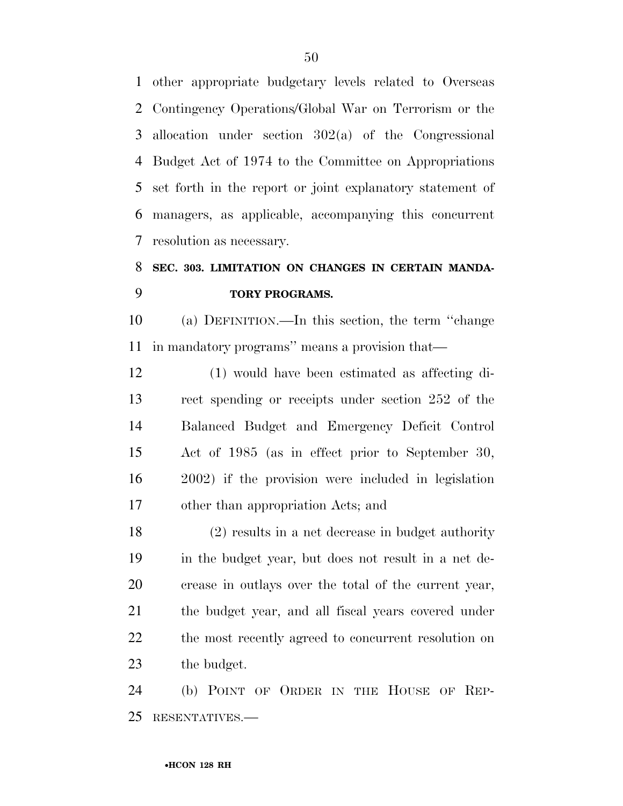other appropriate budgetary levels related to Overseas Contingency Operations/Global War on Terrorism or the allocation under section 302(a) of the Congressional Budget Act of 1974 to the Committee on Appropriations set forth in the report or joint explanatory statement of managers, as applicable, accompanying this concurrent resolution as necessary.

### **SEC. 303. LIMITATION ON CHANGES IN CERTAIN MANDA-TORY PROGRAMS.**

 (a) DEFINITION.—In this section, the term ''change in mandatory programs'' means a provision that—

 (1) would have been estimated as affecting di- rect spending or receipts under section 252 of the Balanced Budget and Emergency Deficit Control Act of 1985 (as in effect prior to September 30, 2002) if the provision were included in legislation other than appropriation Acts; and

 (2) results in a net decrease in budget authority in the budget year, but does not result in a net de- crease in outlays over the total of the current year, the budget year, and all fiscal years covered under 22 the most recently agreed to concurrent resolution on the budget.

 (b) POINT OF ORDER IN THE HOUSE OF REP-RESENTATIVES.—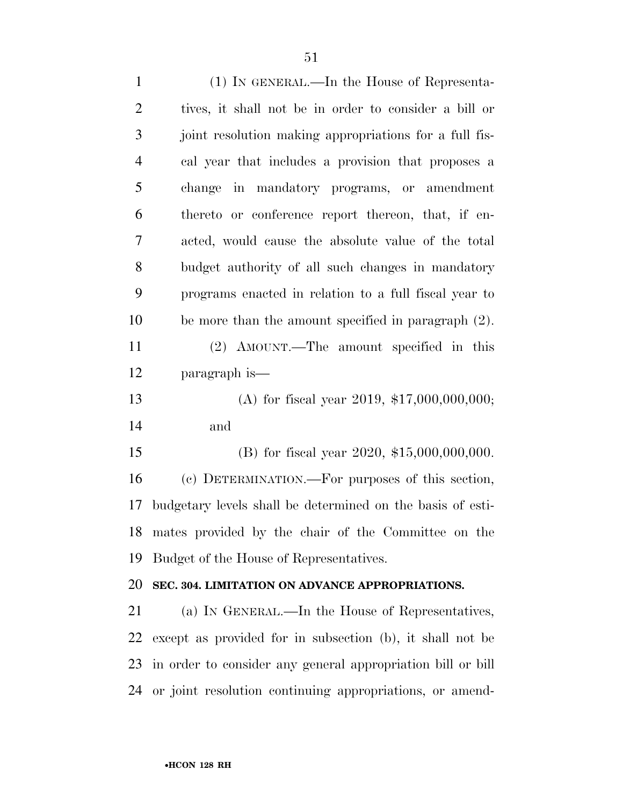(1) IN GENERAL.—In the House of Representa- tives, it shall not be in order to consider a bill or joint resolution making appropriations for a full fis- cal year that includes a provision that proposes a change in mandatory programs, or amendment thereto or conference report thereon, that, if en- acted, would cause the absolute value of the total budget authority of all such changes in mandatory programs enacted in relation to a full fiscal year to be more than the amount specified in paragraph (2). (2) AMOUNT.—The amount specified in this paragraph is— (A) for fiscal year 2019, \$17,000,000,000; and (B) for fiscal year 2020, \$15,000,000,000. (c) DETERMINATION.—For purposes of this section, budgetary levels shall be determined on the basis of esti- mates provided by the chair of the Committee on the Budget of the House of Representatives. **SEC. 304. LIMITATION ON ADVANCE APPROPRIATIONS.**  (a) IN GENERAL.—In the House of Representatives, except as provided for in subsection (b), it shall not be in order to consider any general appropriation bill or bill or joint resolution continuing appropriations, or amend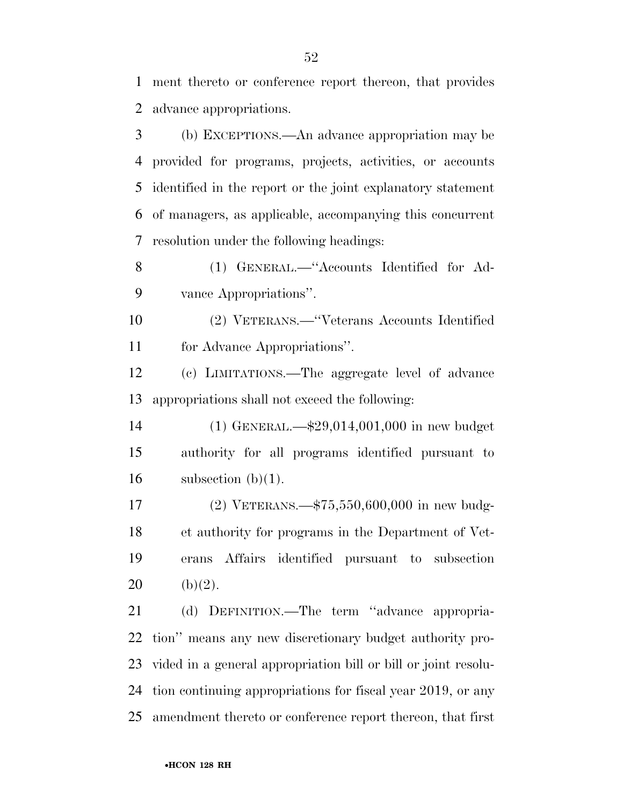ment thereto or conference report thereon, that provides advance appropriations.

 (b) EXCEPTIONS.—An advance appropriation may be provided for programs, projects, activities, or accounts identified in the report or the joint explanatory statement of managers, as applicable, accompanying this concurrent resolution under the following headings:

 (1) GENERAL.—''Accounts Identified for Ad-vance Appropriations''.

 (2) VETERANS.—''Veterans Accounts Identified for Advance Appropriations''.

 (c) LIMITATIONS.—The aggregate level of advance appropriations shall not exceed the following:

 (1) GENERAL.—\$29,014,001,000 in new budget authority for all programs identified pursuant to 16 subsection  $(b)(1)$ .

 (2) VETERANS.—\$75,550,600,000 in new budg- et authority for programs in the Department of Vet- erans Affairs identified pursuant to subsection 20 (b)(2).

 (d) DEFINITION.—The term ''advance appropria- tion'' means any new discretionary budget authority pro- vided in a general appropriation bill or bill or joint resolu- tion continuing appropriations for fiscal year 2019, or any amendment thereto or conference report thereon, that first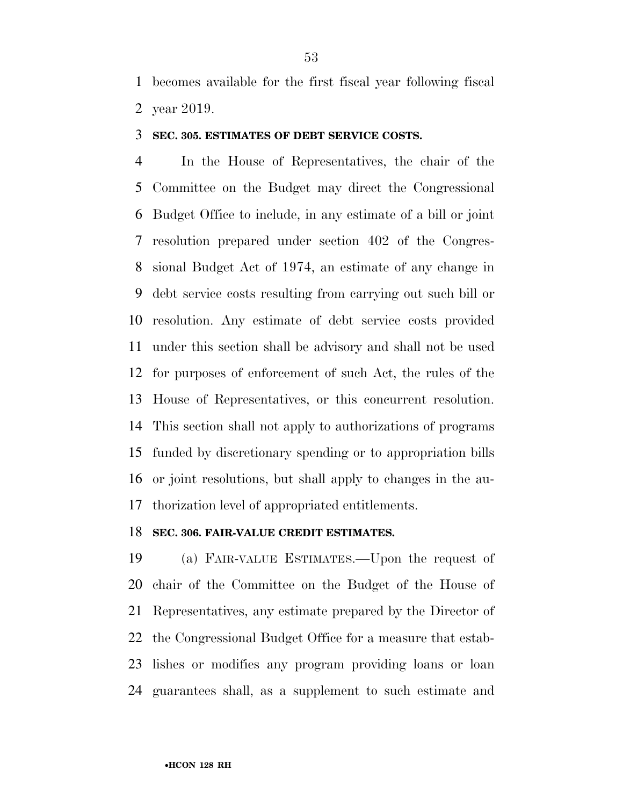becomes available for the first fiscal year following fiscal year 2019.

#### **SEC. 305. ESTIMATES OF DEBT SERVICE COSTS.**

 In the House of Representatives, the chair of the Committee on the Budget may direct the Congressional Budget Office to include, in any estimate of a bill or joint resolution prepared under section 402 of the Congres- sional Budget Act of 1974, an estimate of any change in debt service costs resulting from carrying out such bill or resolution. Any estimate of debt service costs provided under this section shall be advisory and shall not be used for purposes of enforcement of such Act, the rules of the House of Representatives, or this concurrent resolution. This section shall not apply to authorizations of programs funded by discretionary spending or to appropriation bills or joint resolutions, but shall apply to changes in the au-thorization level of appropriated entitlements.

#### **SEC. 306. FAIR-VALUE CREDIT ESTIMATES.**

 (a) FAIR-VALUE ESTIMATES.—Upon the request of chair of the Committee on the Budget of the House of Representatives, any estimate prepared by the Director of the Congressional Budget Office for a measure that estab- lishes or modifies any program providing loans or loan guarantees shall, as a supplement to such estimate and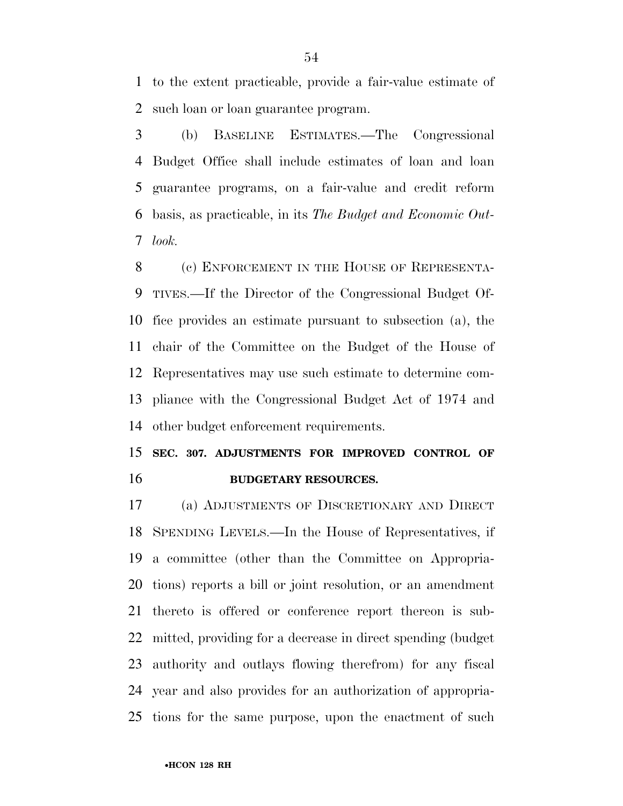to the extent practicable, provide a fair-value estimate of such loan or loan guarantee program.

 (b) BASELINE ESTIMATES.—The Congressional Budget Office shall include estimates of loan and loan guarantee programs, on a fair-value and credit reform basis, as practicable, in its *The Budget and Economic Out-look.* 

8 (c) ENFORCEMENT IN THE HOUSE OF REPRESENTA- TIVES.—If the Director of the Congressional Budget Of- fice provides an estimate pursuant to subsection (a), the chair of the Committee on the Budget of the House of Representatives may use such estimate to determine com- pliance with the Congressional Budget Act of 1974 and other budget enforcement requirements.

### **SEC. 307. ADJUSTMENTS FOR IMPROVED CONTROL OF BUDGETARY RESOURCES.**

 (a) ADJUSTMENTS OF DISCRETIONARY AND DIRECT SPENDING LEVELS.—In the House of Representatives, if a committee (other than the Committee on Appropria- tions) reports a bill or joint resolution, or an amendment thereto is offered or conference report thereon is sub- mitted, providing for a decrease in direct spending (budget authority and outlays flowing therefrom) for any fiscal year and also provides for an authorization of appropria-tions for the same purpose, upon the enactment of such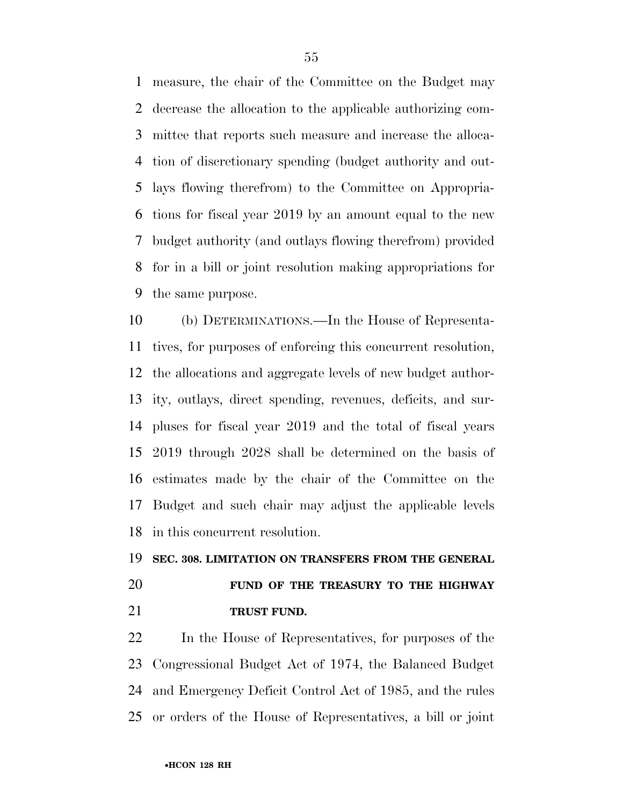measure, the chair of the Committee on the Budget may decrease the allocation to the applicable authorizing com- mittee that reports such measure and increase the alloca- tion of discretionary spending (budget authority and out- lays flowing therefrom) to the Committee on Appropria- tions for fiscal year 2019 by an amount equal to the new budget authority (and outlays flowing therefrom) provided for in a bill or joint resolution making appropriations for the same purpose.

 (b) DETERMINATIONS.—In the House of Representa- tives, for purposes of enforcing this concurrent resolution, the allocations and aggregate levels of new budget author- ity, outlays, direct spending, revenues, deficits, and sur- pluses for fiscal year 2019 and the total of fiscal years 2019 through 2028 shall be determined on the basis of estimates made by the chair of the Committee on the Budget and such chair may adjust the applicable levels in this concurrent resolution.

#### **SEC. 308. LIMITATION ON TRANSFERS FROM THE GENERAL**

### **FUND OF THE TREASURY TO THE HIGHWAY TRUST FUND.**

 In the House of Representatives, for purposes of the Congressional Budget Act of 1974, the Balanced Budget and Emergency Deficit Control Act of 1985, and the rules or orders of the House of Representatives, a bill or joint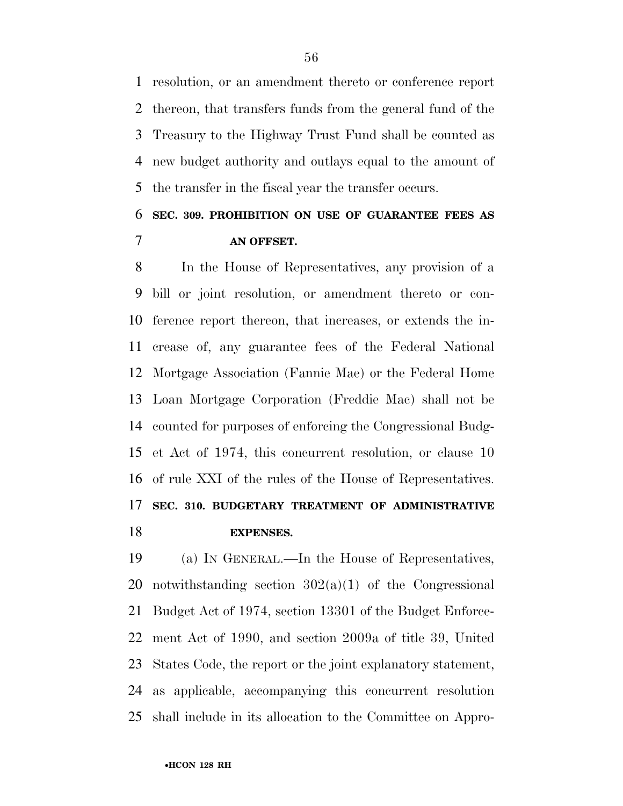resolution, or an amendment thereto or conference report thereon, that transfers funds from the general fund of the Treasury to the Highway Trust Fund shall be counted as new budget authority and outlays equal to the amount of the transfer in the fiscal year the transfer occurs.

### **SEC. 309. PROHIBITION ON USE OF GUARANTEE FEES AS AN OFFSET.**

 In the House of Representatives, any provision of a bill or joint resolution, or amendment thereto or con- ference report thereon, that increases, or extends the in- crease of, any guarantee fees of the Federal National Mortgage Association (Fannie Mae) or the Federal Home Loan Mortgage Corporation (Freddie Mac) shall not be counted for purposes of enforcing the Congressional Budg- et Act of 1974, this concurrent resolution, or clause 10 of rule XXI of the rules of the House of Representatives. **SEC. 310. BUDGETARY TREATMENT OF ADMINISTRATIVE EXPENSES.** 

 (a) IN GENERAL.—In the House of Representatives, 20 notwithstanding section  $302(a)(1)$  of the Congressional Budget Act of 1974, section 13301 of the Budget Enforce- ment Act of 1990, and section 2009a of title 39, United States Code, the report or the joint explanatory statement, as applicable, accompanying this concurrent resolution shall include in its allocation to the Committee on Appro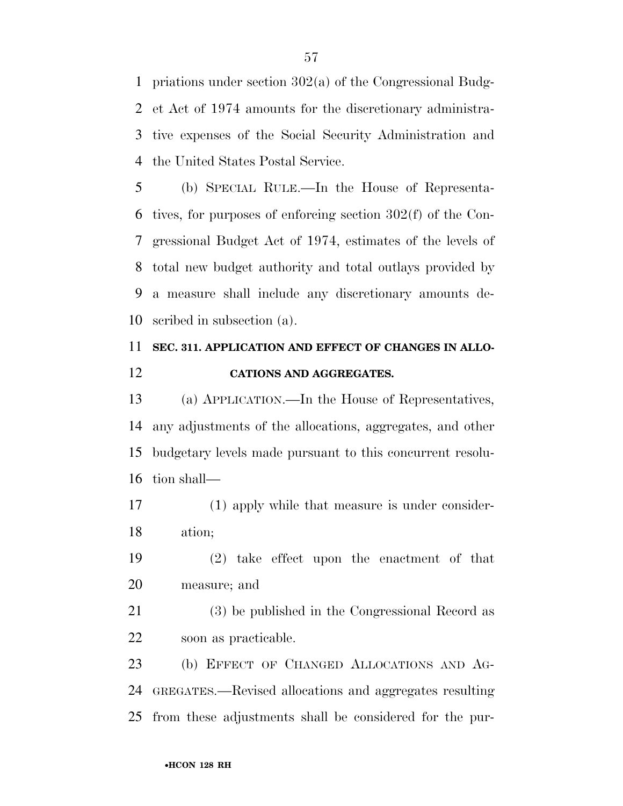priations under section 302(a) of the Congressional Budg- et Act of 1974 amounts for the discretionary administra- tive expenses of the Social Security Administration and the United States Postal Service.

 (b) SPECIAL RULE.—In the House of Representa- tives, for purposes of enforcing section 302(f) of the Con- gressional Budget Act of 1974, estimates of the levels of total new budget authority and total outlays provided by a measure shall include any discretionary amounts de-scribed in subsection (a).

### **SEC. 311. APPLICATION AND EFFECT OF CHANGES IN ALLO-CATIONS AND AGGREGATES.**

 (a) APPLICATION.—In the House of Representatives, any adjustments of the allocations, aggregates, and other budgetary levels made pursuant to this concurrent resolu-tion shall—

 (1) apply while that measure is under consider-ation;

 (2) take effect upon the enactment of that measure; and

 (3) be published in the Congressional Record as soon as practicable.

 (b) EFFECT OF CHANGED ALLOCATIONS AND AG- GREGATES.—Revised allocations and aggregates resulting from these adjustments shall be considered for the pur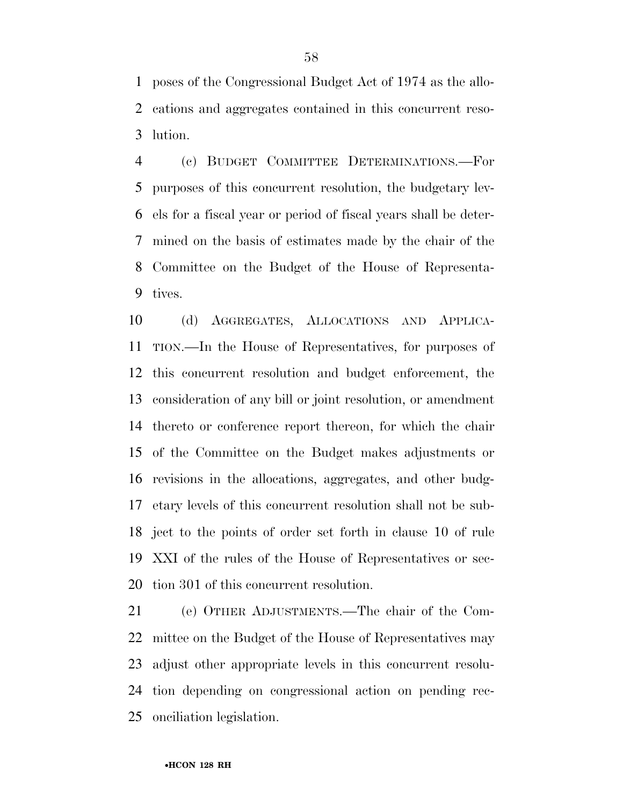poses of the Congressional Budget Act of 1974 as the allo- cations and aggregates contained in this concurrent reso-lution.

 (c) BUDGET COMMITTEE DETERMINATIONS.—For purposes of this concurrent resolution, the budgetary lev- els for a fiscal year or period of fiscal years shall be deter- mined on the basis of estimates made by the chair of the Committee on the Budget of the House of Representa-tives.

 (d) AGGREGATES, ALLOCATIONS AND APPLICA- TION.—In the House of Representatives, for purposes of this concurrent resolution and budget enforcement, the consideration of any bill or joint resolution, or amendment thereto or conference report thereon, for which the chair of the Committee on the Budget makes adjustments or revisions in the allocations, aggregates, and other budg- etary levels of this concurrent resolution shall not be sub- ject to the points of order set forth in clause 10 of rule XXI of the rules of the House of Representatives or sec-tion 301 of this concurrent resolution.

 (e) OTHER ADJUSTMENTS.—The chair of the Com- mittee on the Budget of the House of Representatives may adjust other appropriate levels in this concurrent resolu- tion depending on congressional action on pending rec-onciliation legislation.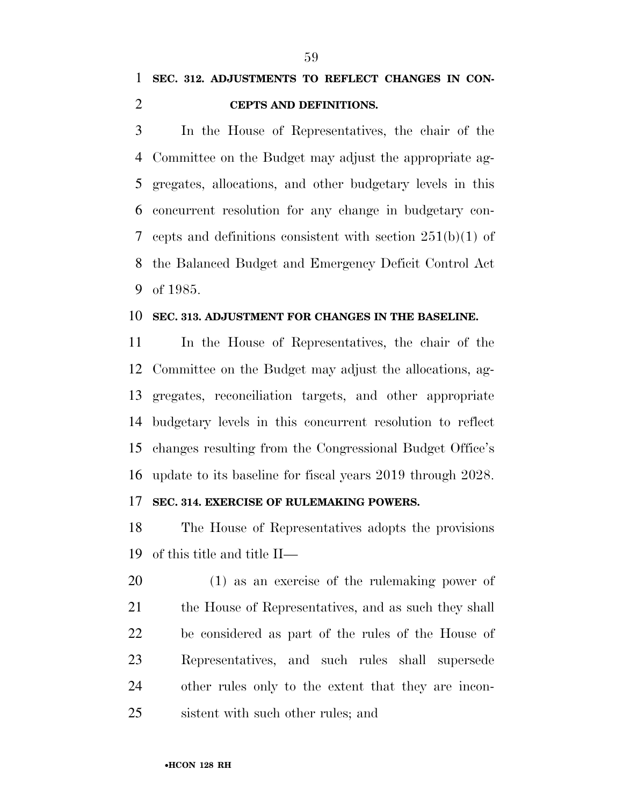#### **CEPTS AND DEFINITIONS.**

 In the House of Representatives, the chair of the Committee on the Budget may adjust the appropriate ag- gregates, allocations, and other budgetary levels in this concurrent resolution for any change in budgetary con- cepts and definitions consistent with section 251(b)(1) of the Balanced Budget and Emergency Deficit Control Act of 1985.

#### **SEC. 313. ADJUSTMENT FOR CHANGES IN THE BASELINE.**

 In the House of Representatives, the chair of the Committee on the Budget may adjust the allocations, ag- gregates, reconciliation targets, and other appropriate budgetary levels in this concurrent resolution to reflect changes resulting from the Congressional Budget Office's update to its baseline for fiscal years 2019 through 2028.

#### **SEC. 314. EXERCISE OF RULEMAKING POWERS.**

 The House of Representatives adopts the provisions of this title and title II—

 (1) as an exercise of the rulemaking power of 21 the House of Representatives, and as such they shall be considered as part of the rules of the House of Representatives, and such rules shall supersede other rules only to the extent that they are incon-sistent with such other rules; and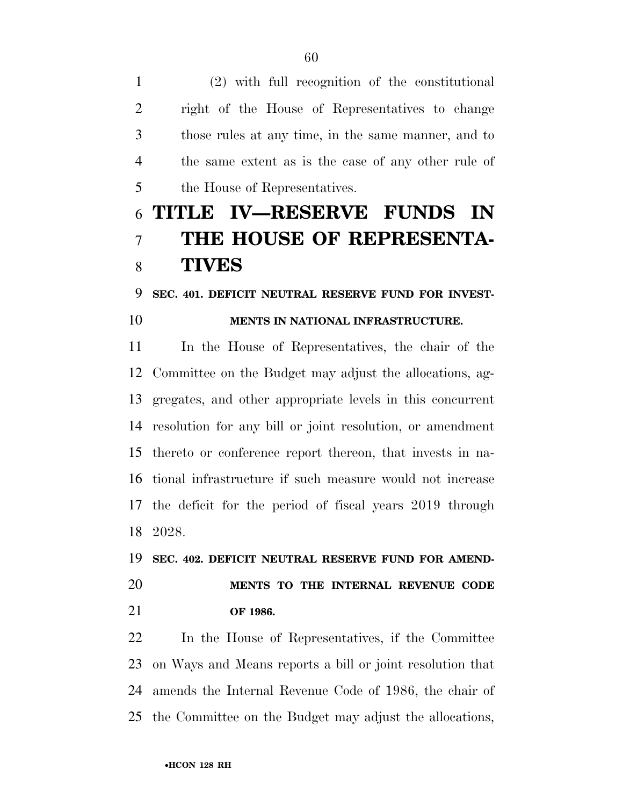(2) with full recognition of the constitutional right of the House of Representatives to change those rules at any time, in the same manner, and to the same extent as is the case of any other rule of the House of Representatives.

### **TITLE IV—RESERVE FUNDS IN THE HOUSE OF REPRESENTA-TIVES**

#### **SEC. 401. DEFICIT NEUTRAL RESERVE FUND FOR INVEST-**

### **MENTS IN NATIONAL INFRASTRUCTURE.**

 In the House of Representatives, the chair of the Committee on the Budget may adjust the allocations, ag- gregates, and other appropriate levels in this concurrent resolution for any bill or joint resolution, or amendment thereto or conference report thereon, that invests in na- tional infrastructure if such measure would not increase the deficit for the period of fiscal years 2019 through 2028.

**SEC. 402. DEFICIT NEUTRAL RESERVE FUND FOR AMEND-**

### **MENTS TO THE INTERNAL REVENUE CODE OF 1986.**

 In the House of Representatives, if the Committee on Ways and Means reports a bill or joint resolution that amends the Internal Revenue Code of 1986, the chair of the Committee on the Budget may adjust the allocations,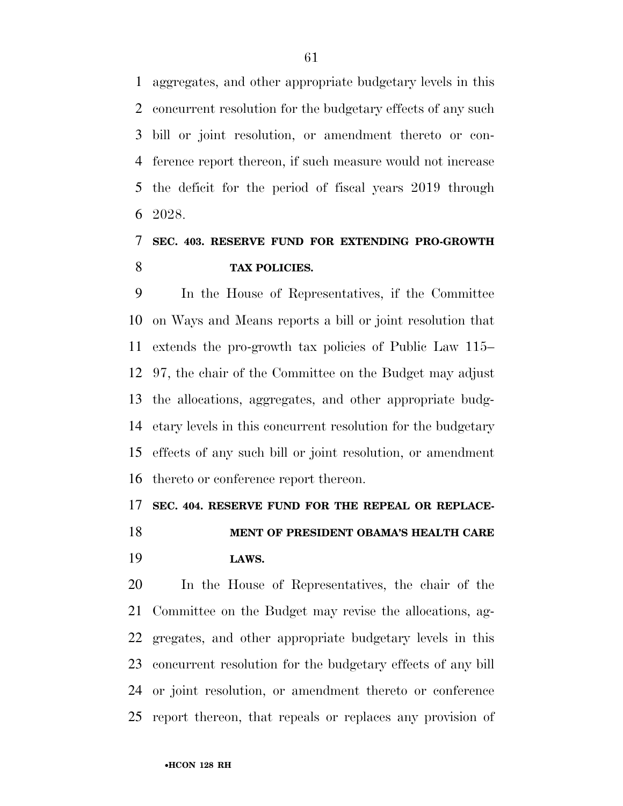aggregates, and other appropriate budgetary levels in this concurrent resolution for the budgetary effects of any such bill or joint resolution, or amendment thereto or con- ference report thereon, if such measure would not increase the deficit for the period of fiscal years 2019 through 2028.

### **SEC. 403. RESERVE FUND FOR EXTENDING PRO-GROWTH TAX POLICIES.**

 In the House of Representatives, if the Committee on Ways and Means reports a bill or joint resolution that extends the pro-growth tax policies of Public Law 115– 97, the chair of the Committee on the Budget may adjust the allocations, aggregates, and other appropriate budg- etary levels in this concurrent resolution for the budgetary effects of any such bill or joint resolution, or amendment thereto or conference report thereon.

#### **SEC. 404. RESERVE FUND FOR THE REPEAL OR REPLACE-**

 **MENT OF PRESIDENT OBAMA'S HEALTH CARE LAWS.** 

 In the House of Representatives, the chair of the Committee on the Budget may revise the allocations, ag- gregates, and other appropriate budgetary levels in this concurrent resolution for the budgetary effects of any bill or joint resolution, or amendment thereto or conference report thereon, that repeals or replaces any provision of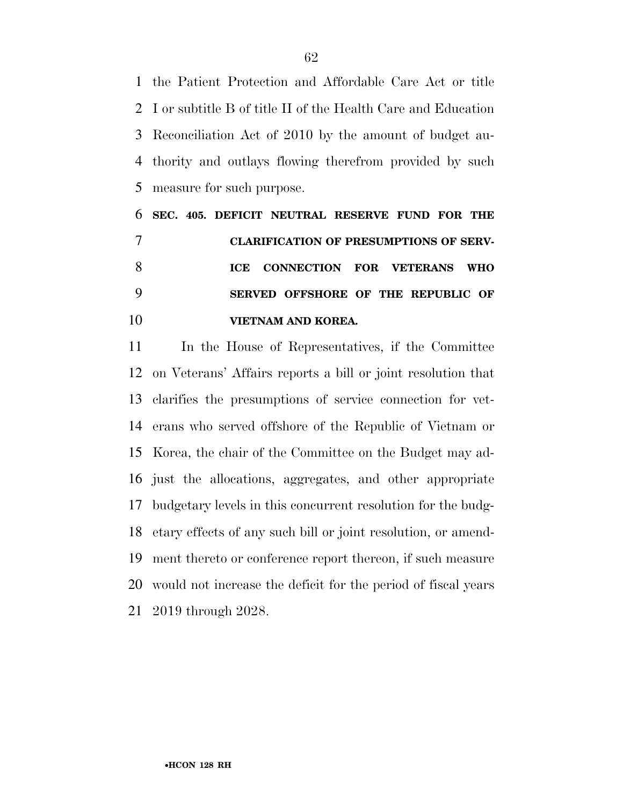the Patient Protection and Affordable Care Act or title I or subtitle B of title II of the Health Care and Education Reconciliation Act of 2010 by the amount of budget au- thority and outlays flowing therefrom provided by such measure for such purpose.

 **SEC. 405. DEFICIT NEUTRAL RESERVE FUND FOR THE CLARIFICATION OF PRESUMPTIONS OF SERV- ICE CONNECTION FOR VETERANS WHO SERVED OFFSHORE OF THE REPUBLIC OF VIETNAM AND KOREA.** 

 In the House of Representatives, if the Committee on Veterans' Affairs reports a bill or joint resolution that clarifies the presumptions of service connection for vet- erans who served offshore of the Republic of Vietnam or Korea, the chair of the Committee on the Budget may ad- just the allocations, aggregates, and other appropriate budgetary levels in this concurrent resolution for the budg- etary effects of any such bill or joint resolution, or amend- ment thereto or conference report thereon, if such measure would not increase the deficit for the period of fiscal years 2019 through 2028.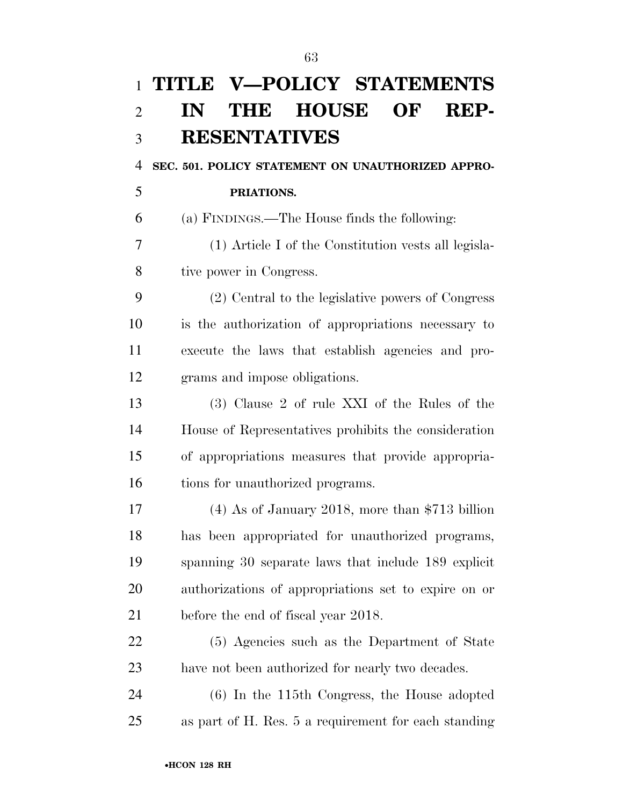| $\mathbf{1}$   | TITLE V-POLICY STATEMENTS                            |
|----------------|------------------------------------------------------|
| $\overline{2}$ | THE HOUSE OF<br>REP-<br>IN                           |
| 3              | <b>RESENTATIVES</b>                                  |
| 4              | SEC. 501. POLICY STATEMENT ON UNAUTHORIZED APPRO-    |
| 5              | PRIATIONS.                                           |
| 6              | (a) FINDINGS.—The House finds the following:         |
| 7              | (1) Article I of the Constitution vests all legisla- |
| 8              | tive power in Congress.                              |
| 9              | (2) Central to the legislative powers of Congress    |
| 10             | is the authorization of appropriations necessary to  |
| 11             | execute the laws that establish agencies and pro-    |
| 12             | grams and impose obligations.                        |
| 13             | (3) Clause 2 of rule XXI of the Rules of the         |
| 14             | House of Representatives prohibits the consideration |
| 15             | of appropriations measures that provide appropria-   |
| 16             | tions for unauthorized programs.                     |
| 17             | $(4)$ As of January 2018, more than \$713 billion    |
| 18             | has been appropriated for unauthorized programs,     |
| 19             | spanning 30 separate laws that include 189 explicit  |
| 20             | authorizations of appropriations set to expire on or |
| 21             | before the end of fiscal year 2018.                  |
| 22             | (5) Agencies such as the Department of State         |
| 23             | have not been authorized for nearly two decades.     |
| 24             | $(6)$ In the 115th Congress, the House adopted       |
| 25             | as part of H. Res. 5 a requirement for each standing |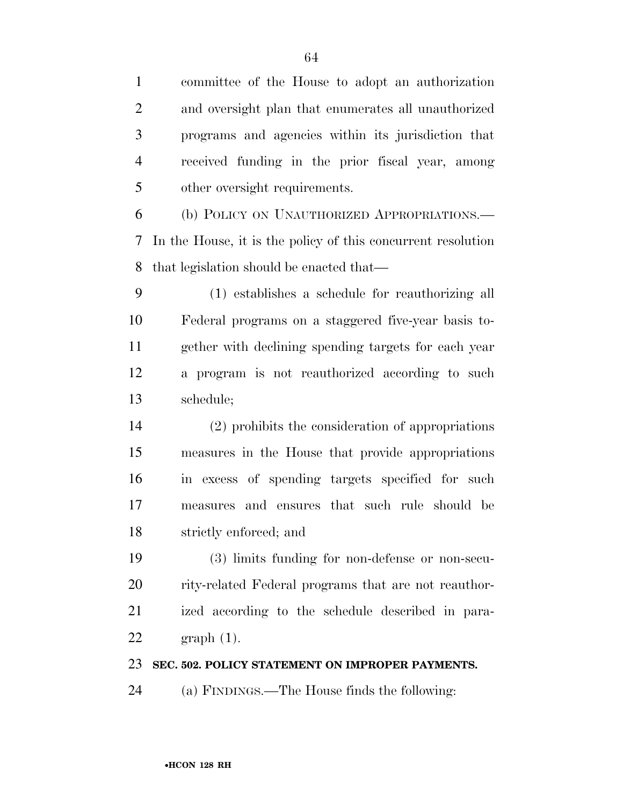| $\mathbf{1}$   | committee of the House to adopt an authorization             |
|----------------|--------------------------------------------------------------|
| $\overline{2}$ | and oversight plan that enumerates all unauthorized          |
| 3              | programs and agencies within its jurisdiction that           |
| $\overline{4}$ | received funding in the prior fiscal year, among             |
| 5              | other oversight requirements.                                |
| 6              | (b) POLICY ON UNAUTHORIZED APPROPRIATIONS.—                  |
| 7              | In the House, it is the policy of this concurrent resolution |
| 8              | that legislation should be enacted that—                     |
| 9              | (1) establishes a schedule for reauthorizing all             |
| 10             | Federal programs on a staggered five-year basis to-          |
| 11             | gether with declining spending targets for each year         |
| 12             | a program is not reauthorized according to such              |
| 13             | schedule;                                                    |
| 14             | (2) prohibits the consideration of appropriations            |
| 15             | measures in the House that provide appropriations            |
| 16             | in excess of spending targets specified for such             |
| 17             | measures and ensures that such rule should be                |
| 18             | strictly enforced; and                                       |
| 19             | (3) limits funding for non-defense or non-secu-              |
| 20             | rity-related Federal programs that are not reauthor-         |
| 21             | ized according to the schedule described in para-            |
| 22             | $graph(1)$ .                                                 |
| 23             | SEC. 502. POLICY STATEMENT ON IMPROPER PAYMENTS.             |
| 24             | (a) FINDINGS.—The House finds the following:                 |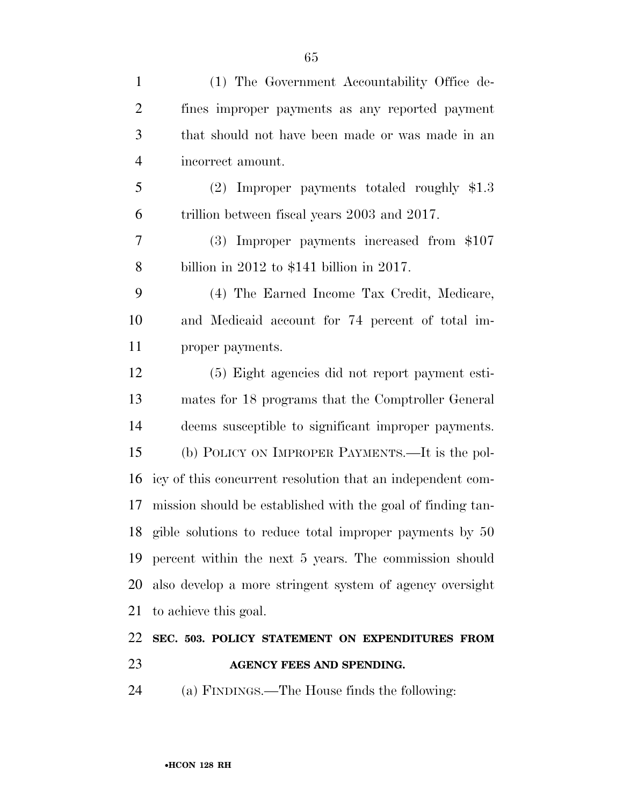| $\mathbf{1}$   | (1) The Government Accountability Office de-                |
|----------------|-------------------------------------------------------------|
| $\overline{2}$ | fines improper payments as any reported payment             |
| 3              | that should not have been made or was made in an            |
| $\overline{4}$ | incorrect amount.                                           |
| 5              | $(2)$ Improper payments totaled roughly \$1.3               |
| 6              | trillion between fiscal years 2003 and 2017.                |
| 7              | (3) Improper payments increased from \$107                  |
| 8              | billion in $2012$ to \$141 billion in $2017$ .              |
| 9              | (4) The Earned Income Tax Credit, Medicare,                 |
| 10             | and Medicaid account for 74 percent of total im-            |
| 11             | proper payments.                                            |
| 12             | (5) Eight agencies did not report payment esti-             |
| 13             | mates for 18 programs that the Comptroller General          |
| 14             | deems susceptible to significant improper payments.         |
| 15             | (b) POLICY ON IMPROPER PAYMENTS.—It is the pol-             |
| 16             | icy of this concurrent resolution that an independent com-  |
| 17             | mission should be established with the goal of finding tan- |
|                | 18 gible solutions to reduce total improper payments by 50  |
| 19             | percent within the next 5 years. The commission should      |
| 20             | also develop a more stringent system of agency oversight    |
| 21             | to achieve this goal.                                       |
| 22             | SEC. 503. POLICY STATEMENT ON EXPENDITURES FROM             |
| 23             | AGENCY FEES AND SPENDING.                                   |
| 24             | (a) FINDINGS.—The House finds the following:                |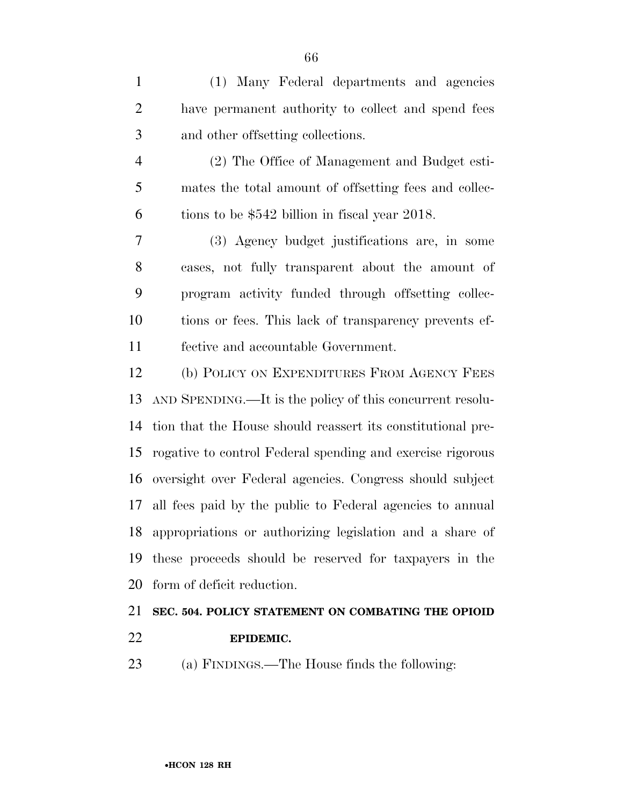(1) Many Federal departments and agencies have permanent authority to collect and spend fees and other offsetting collections.

 (2) The Office of Management and Budget esti- mates the total amount of offsetting fees and collec-tions to be \$542 billion in fiscal year 2018.

 (3) Agency budget justifications are, in some cases, not fully transparent about the amount of program activity funded through offsetting collec- tions or fees. This lack of transparency prevents ef-fective and accountable Government.

 (b) POLICY ON EXPENDITURES FROM AGENCY FEES AND SPENDING.—It is the policy of this concurrent resolu- tion that the House should reassert its constitutional pre- rogative to control Federal spending and exercise rigorous oversight over Federal agencies. Congress should subject all fees paid by the public to Federal agencies to annual appropriations or authorizing legislation and a share of these proceeds should be reserved for taxpayers in the form of deficit reduction.

# **SEC. 504. POLICY STATEMENT ON COMBATING THE OPIOID**

- **EPIDEMIC.**
- (a) FINDINGS.—The House finds the following: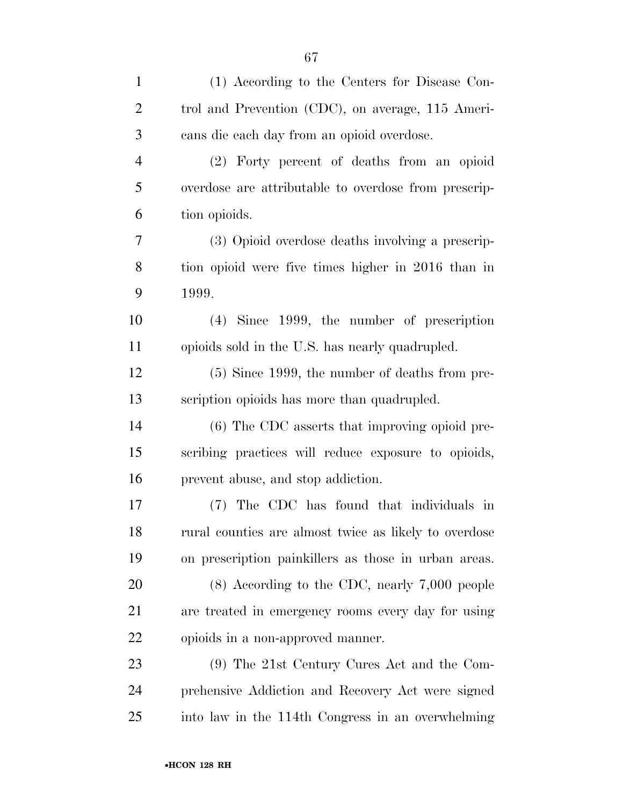| $\mathbf{1}$   | (1) According to the Centers for Disease Con-         |
|----------------|-------------------------------------------------------|
| $\overline{2}$ | trol and Prevention (CDC), on average, 115 Ameri-     |
| 3              | cans die each day from an opioid overdose.            |
| $\overline{4}$ | (2) Forty percent of deaths from an opioid            |
| 5              | overdose are attributable to overdose from prescrip-  |
| 6              | tion opioids.                                         |
| 7              | (3) Opioid overdose deaths involving a prescrip-      |
| 8              | tion opioid were five times higher in 2016 than in    |
| 9              | 1999.                                                 |
| 10             | $(4)$ Since 1999, the number of prescription          |
| 11             | opioids sold in the U.S. has nearly quadrupled.       |
| 12             | $(5)$ Since 1999, the number of deaths from pre-      |
| 13             | scription opioids has more than quadrupled.           |
| 14             | (6) The CDC asserts that improving opioid pre-        |
| 15             | scribing practices will reduce exposure to opioids,   |
| 16             | prevent abuse, and stop addiction.                    |
| 17             | (7) The CDC has found that individuals in             |
| 18             | rural counties are almost twice as likely to overdose |
| 19             | on prescription painkillers as those in urban areas.  |
| 20             | $(8)$ According to the CDC, nearly 7,000 people       |
| 21             | are treated in emergency rooms every day for using    |
| 22             | opioids in a non-approved manner.                     |
| 23             | (9) The 21st Century Cures Act and the Com-           |
| 24             | prehensive Addiction and Recovery Act were signed     |
| 25             | into law in the 114th Congress in an overwhelming     |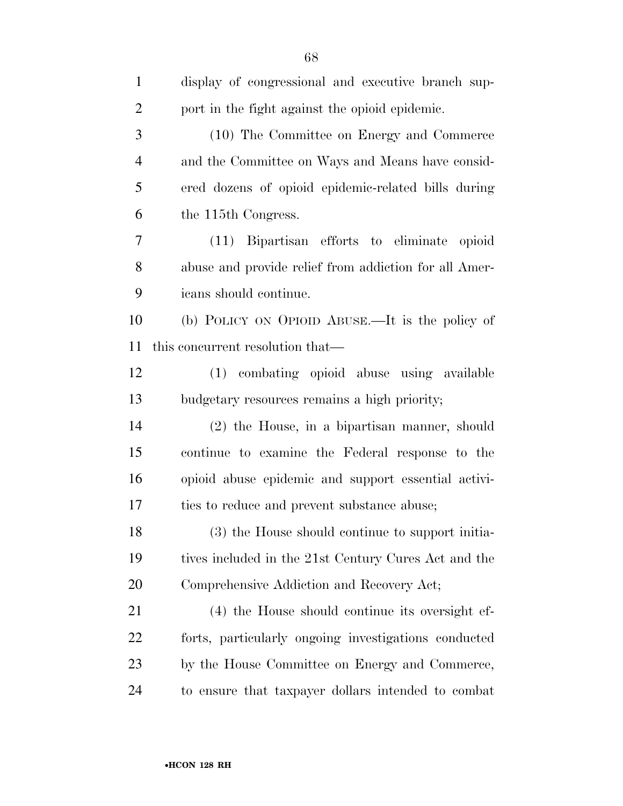| $\mathbf{1}$   | display of congressional and executive branch sup-    |
|----------------|-------------------------------------------------------|
| $\overline{2}$ | port in the fight against the opioid epidemic.        |
| 3              | (10) The Committee on Energy and Commerce             |
| $\overline{4}$ | and the Committee on Ways and Means have consid-      |
| 5              | ered dozens of opioid epidemic-related bills during   |
| 6              | the 115 <sup>th</sup> Congress.                       |
| 7              | (11) Bipartisan efforts to eliminate opioid           |
| 8              | abuse and provide relief from addiction for all Amer- |
| 9              | icans should continue.                                |
| 10             | (b) POLICY ON OPIOID ABUSE.—It is the policy of       |
| 11             | this concurrent resolution that—                      |
| 12             | (1) combating opioid abuse using available            |
| 13             | budgetary resources remains a high priority;          |
| 14             | (2) the House, in a bipartisan manner, should         |
| 15             | continue to examine the Federal response to the       |
| 16             | opioid abuse epidemic and support essential activi-   |
| 17             | ties to reduce and prevent substance abuse;           |
| 18             | (3) the House should continue to support initia-      |
| 19             | tives included in the 21st Century Cures Act and the  |
| 20             | Comprehensive Addiction and Recovery Act;             |
| 21             | (4) the House should continue its oversight ef-       |
| 22             | forts, particularly ongoing investigations conducted  |
| 23             | by the House Committee on Energy and Commerce,        |
| 24             | to ensure that taxpayer dollars intended to combat    |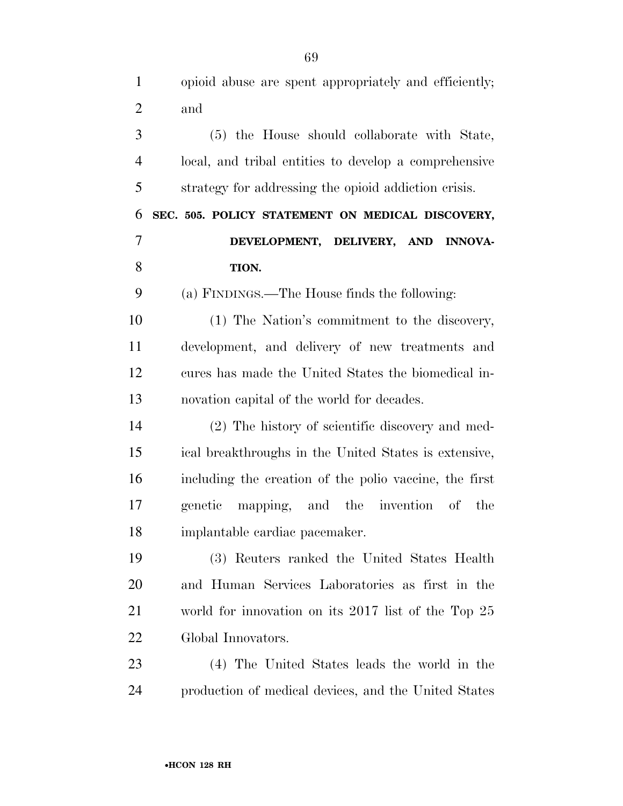opioid abuse are spent appropriately and efficiently; and (5) the House should collaborate with State, local, and tribal entities to develop a comprehensive strategy for addressing the opioid addiction crisis. **SEC. 505. POLICY STATEMENT ON MEDICAL DISCOVERY, DEVELOPMENT, DELIVERY, AND INNOVA- TION.**  (a) FINDINGS.—The House finds the following: (1) The Nation's commitment to the discovery, development, and delivery of new treatments and cures has made the United States the biomedical in- novation capital of the world for decades. (2) The history of scientific discovery and med- ical breakthroughs in the United States is extensive, including the creation of the polio vaccine, the first genetic mapping, and the invention of the implantable cardiac pacemaker. (3) Reuters ranked the United States Health and Human Services Laboratories as first in the world for innovation on its 2017 list of the Top 25 Global Innovators. (4) The United States leads the world in the

•**HCON 128 RH**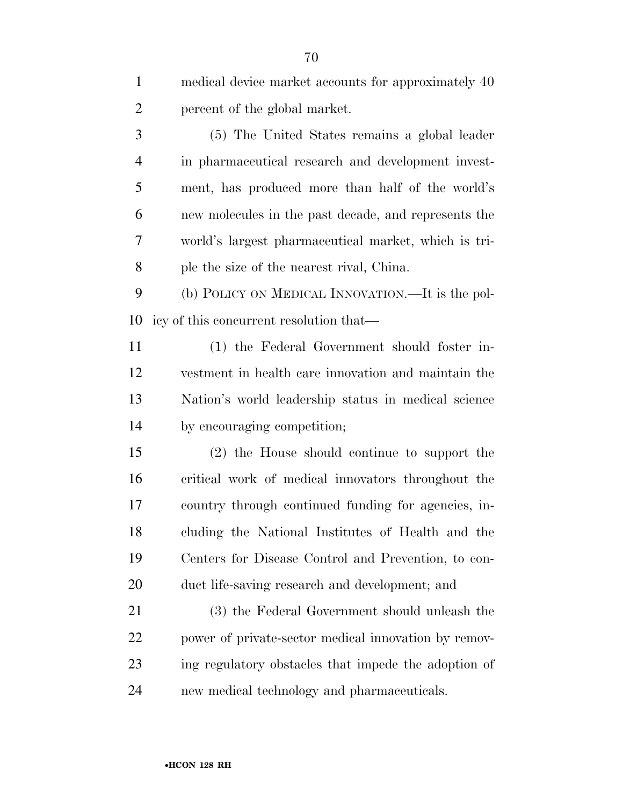| $\mathbf{1}$   | medical device market accounts for approximately 40  |
|----------------|------------------------------------------------------|
| $\overline{2}$ | percent of the global market.                        |
| 3              | (5) The United States remains a global leader        |
| 4              | in pharmaceutical research and development invest-   |
| 5              | ment, has produced more than half of the world's     |
| 6              | new molecules in the past decade, and represents the |
| 7              | world's largest pharmaceutical market, which is tri- |
| 8              | ple the size of the nearest rival, China.            |
| 9              | (b) POLICY ON MEDICAL INNOVATION.—It is the pol-     |
| 10             | icy of this concurrent resolution that—              |
| 11             | (1) the Federal Government should foster in-         |
| 12             | vestment in health care innovation and maintain the  |
| 13             | Nation's world leadership status in medical science  |
| 14             | by encouraging competition;                          |
| 15             | (2) the House should continue to support the         |
| 16             | critical work of medical innovators throughout the   |
| 17             | country through continued funding for agencies, in-  |
| 18             | cluding the National Institutes of Health and the    |
| 19             | Centers for Disease Control and Prevention, to con-  |
| 20             | duct life-saving research and development; and       |
| 21             | (3) the Federal Government should unleash the        |
| 22             | power of private-sector medical innovation by remov- |
| 23             | ing regulatory obstacles that impede the adoption of |
| 24             | new medical technology and pharmaceuticals.          |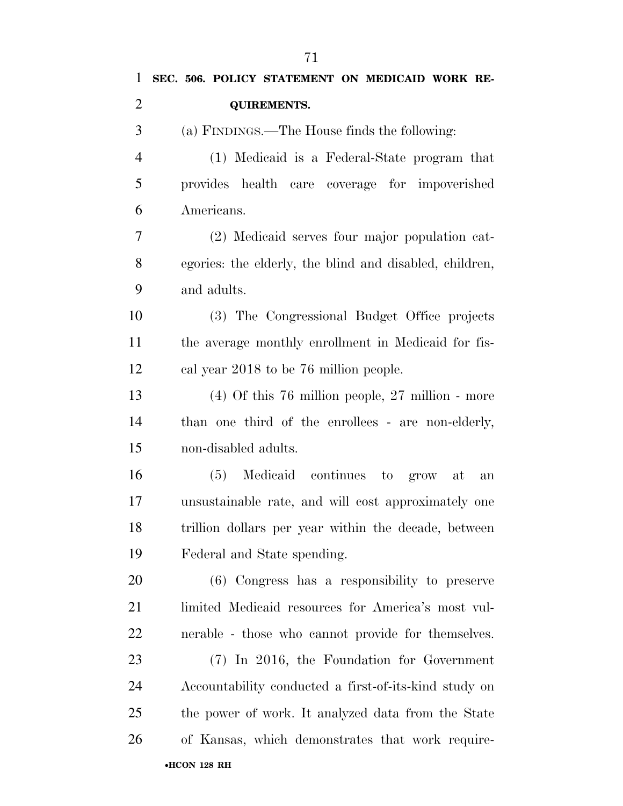(a) FINDINGS.—The House finds the following:

 (1) Medicaid is a Federal-State program that provides health care coverage for impoverished Americans.

 (2) Medicaid serves four major population cat- egories: the elderly, the blind and disabled, children, and adults.

 (3) The Congressional Budget Office projects the average monthly enrollment in Medicaid for fis-cal year 2018 to be 76 million people.

 (4) Of this 76 million people, 27 million - more than one third of the enrollees - are non-elderly, non-disabled adults.

 (5) Medicaid continues to grow at an unsustainable rate, and will cost approximately one trillion dollars per year within the decade, between Federal and State spending.

 (6) Congress has a responsibility to preserve limited Medicaid resources for America's most vul-nerable - those who cannot provide for themselves.

•**HCON 128 RH**  (7) In 2016, the Foundation for Government Accountability conducted a first-of-its-kind study on the power of work. It analyzed data from the State of Kansas, which demonstrates that work require-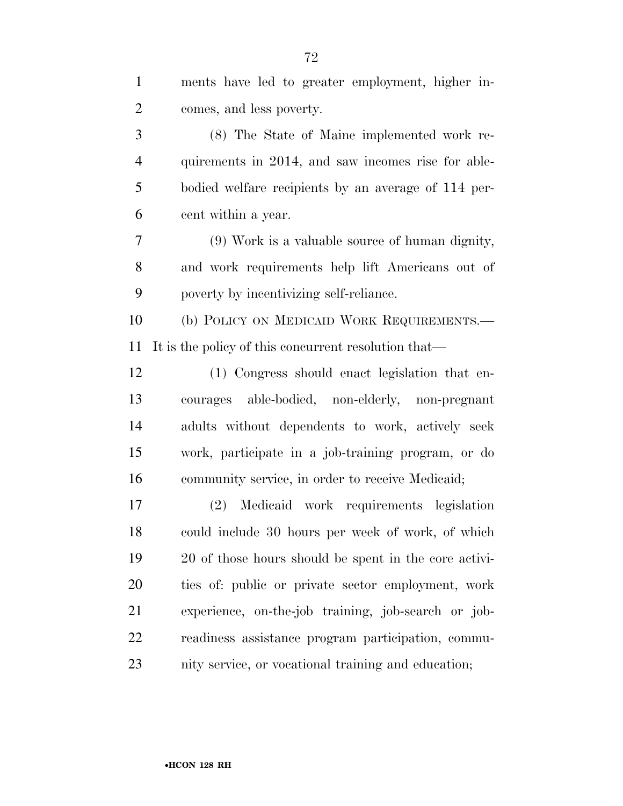| $\mathbf{1}$   | ments have led to greater employment, higher in-      |
|----------------|-------------------------------------------------------|
| $\overline{2}$ | comes, and less poverty.                              |
| 3              | (8) The State of Maine implemented work re-           |
| $\overline{4}$ | quirements in 2014, and saw incomes rise for able-    |
| 5              | bodied welfare recipients by an average of 114 per-   |
| 6              | cent within a year.                                   |
| 7              | (9) Work is a valuable source of human dignity,       |
| 8              | and work requirements help lift Americans out of      |
| 9              | poverty by incentivizing self-reliance.               |
| 10             | (b) POLICY ON MEDICAID WORK REQUIREMENTS.—            |
| 11             | It is the policy of this concurrent resolution that—  |
| 12             | (1) Congress should enact legislation that en-        |
| 13             | courages able-bodied, non-elderly, non-pregnant       |
| 14             | adults without dependents to work, actively seek      |
| 15             | work, participate in a job-training program, or do    |
| 16             | community service, in order to receive Medicaid;      |
| 17             | Medicaid work requirements legislation<br>(2)         |
| 18             | could include 30 hours per week of work, of which     |
| 19             | 20 of those hours should be spent in the core activi- |
| 20             | ties of: public or private sector employment, work    |
| 21             | experience, on-the-job training, job-search or job-   |
| 22             | readiness assistance program participation, commu-    |
| 23             | nity service, or vocational training and education;   |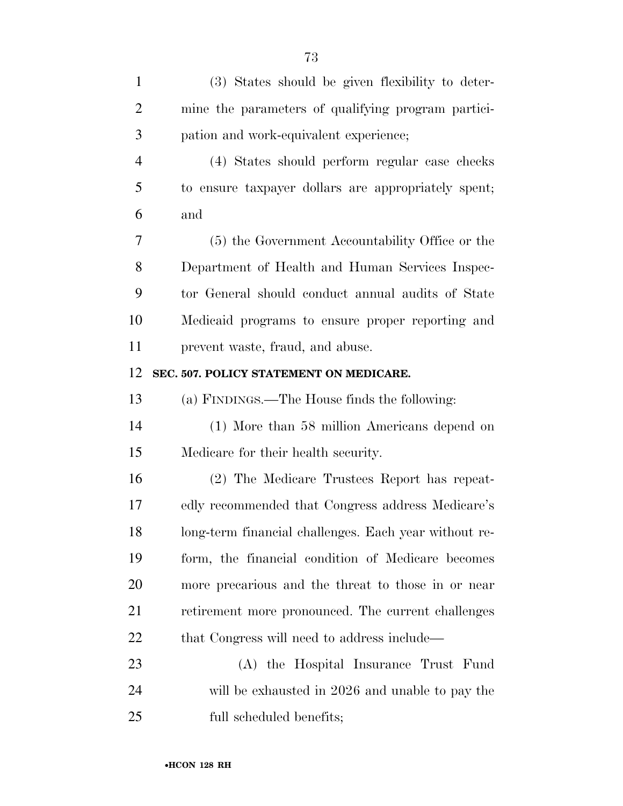| $\mathbf{1}$   | (3) States should be given flexibility to deter-      |
|----------------|-------------------------------------------------------|
| $\overline{2}$ | mine the parameters of qualifying program partici-    |
| 3              | pation and work-equivalent experience;                |
| $\overline{4}$ | (4) States should perform regular case checks         |
| 5              | to ensure taxpayer dollars are appropriately spent;   |
| 6              | and                                                   |
| 7              | (5) the Government Accountability Office or the       |
| 8              | Department of Health and Human Services Inspec-       |
| 9              | tor General should conduct annual audits of State     |
| 10             | Medicaid programs to ensure proper reporting and      |
| 11             | prevent waste, fraud, and abuse.                      |
| 12             | SEC. 507. POLICY STATEMENT ON MEDICARE.               |
| 13             | (a) FINDINGS.—The House finds the following:          |
| 14             | (1) More than 58 million Americans depend on          |
| 15             | Medicare for their health security.                   |
| 16             | (2) The Medicare Trustees Report has repeat-          |
| 17             | edly recommended that Congress address Medicare's     |
| 18             | long-term financial challenges. Each year without re- |
| 19             | form, the financial condition of Medicare becomes     |
| 20             | more precarious and the threat to those in or near    |
| 21             | retirement more pronounced. The current challenges    |
| <u>22</u>      | that Congress will need to address include—           |
| 23             | (A) the Hospital Insurance Trust Fund                 |
| 24             | will be exhausted in 2026 and unable to pay the       |
| 25             | full scheduled benefits;                              |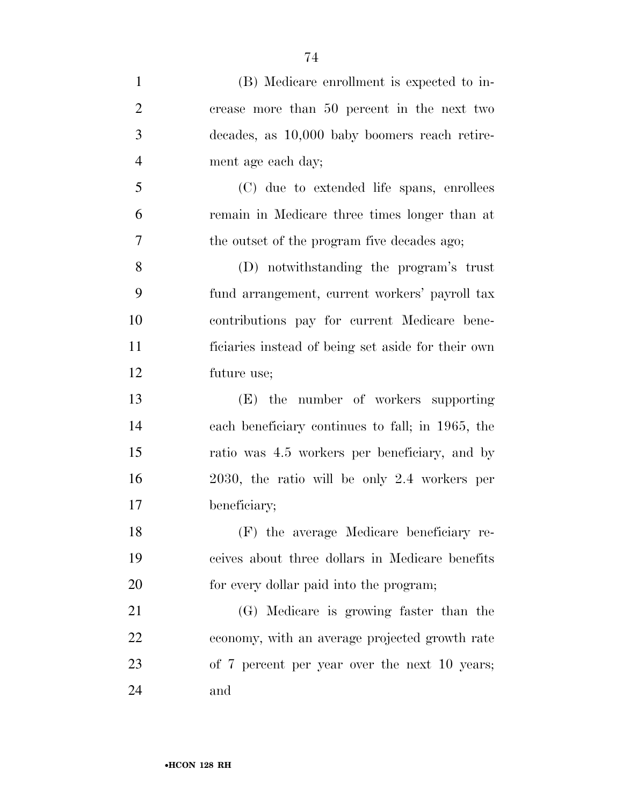| $\mathbf{1}$   | (B) Medicare enrollment is expected to in-         |
|----------------|----------------------------------------------------|
| $\overline{2}$ | crease more than 50 percent in the next two        |
| 3              | decades, as 10,000 baby boomers reach retire-      |
| $\overline{4}$ | ment age each day;                                 |
| 5              | (C) due to extended life spans, enrollees          |
| 6              | remain in Medicare three times longer than at      |
| 7              | the outset of the program five decades ago;        |
| 8              | (D) notwithstanding the program's trust            |
| 9              | fund arrangement, current workers' payroll tax     |
| 10             | contributions pay for current Medicare bene-       |
| 11             | ficiaries instead of being set aside for their own |
| 12             | future use;                                        |
| 13             | (E) the number of workers supporting               |
| 14             | each beneficiary continues to fall; in 1965, the   |
| 15             | ratio was 4.5 workers per beneficiary, and by      |
| 16             | 2030, the ratio will be only 2.4 workers per       |
| 17             | beneficiary;                                       |
| 18             | (F) the average Medicare beneficiary re-           |
| 19             | ceives about three dollars in Medicare benefits    |
| 20             | for every dollar paid into the program;            |
| 21             | (G) Medicare is growing faster than the            |
| 22             | economy, with an average projected growth rate     |
| 23             | of 7 percent per year over the next 10 years;      |
| 24             | and                                                |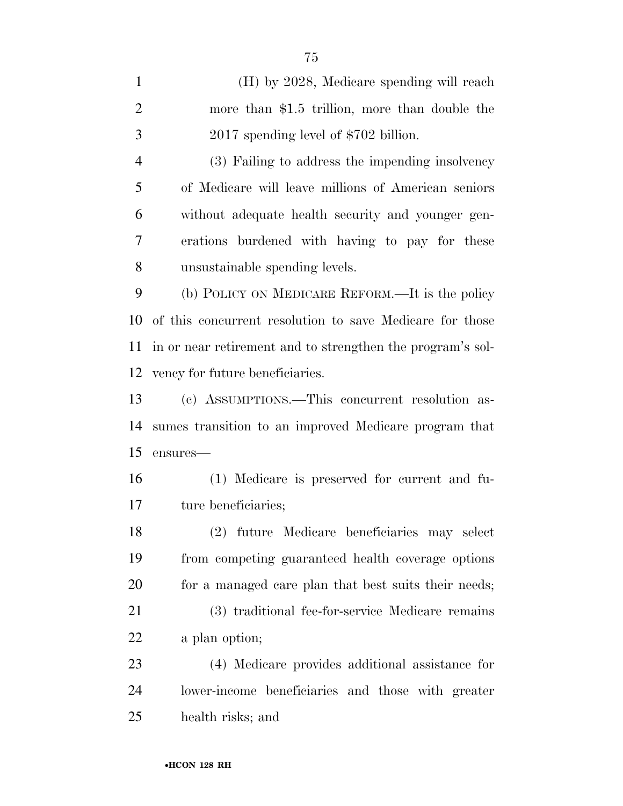(H) by 2028, Medicare spending will reach more than \$1.5 trillion, more than double the 2017 spending level of \$702 billion. (3) Failing to address the impending insolvency of Medicare will leave millions of American seniors without adequate health security and younger gen-

erations burdened with having to pay for these

unsustainable spending levels.

 (b) POLICY ON MEDICARE REFORM.—It is the policy of this concurrent resolution to save Medicare for those in or near retirement and to strengthen the program's sol-vency for future beneficiaries.

 (c) ASSUMPTIONS.—This concurrent resolution as- sumes transition to an improved Medicare program that ensures—

 (1) Medicare is preserved for current and fu-17 ture beneficiaries;

 (2) future Medicare beneficiaries may select from competing guaranteed health coverage options 20 for a managed care plan that best suits their needs;

 (3) traditional fee-for-service Medicare remains a plan option;

 (4) Medicare provides additional assistance for lower-income beneficiaries and those with greater health risks; and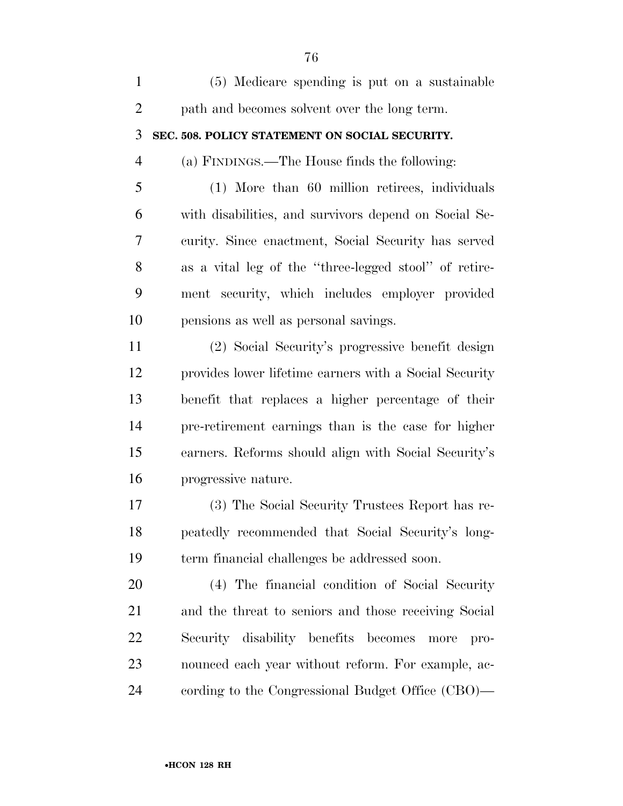| $\mathbf{1}$   | (5) Medicare spending is put on a sustainable          |
|----------------|--------------------------------------------------------|
| $\overline{2}$ | path and becomes solvent over the long term.           |
| 3              | SEC. 508. POLICY STATEMENT ON SOCIAL SECURITY.         |
| $\overline{4}$ | (a) FINDINGS.—The House finds the following:           |
| 5              | (1) More than 60 million retirees, individuals         |
| 6              | with disabilities, and survivors depend on Social Se-  |
| 7              | curity. Since enactment, Social Security has served    |
| 8              | as a vital leg of the "three-legged stool" of retire-  |
| 9              | ment security, which includes employer provided        |
| 10             | pensions as well as personal savings.                  |
| 11             | (2) Social Security's progressive benefit design       |
| 12             | provides lower lifetime earners with a Social Security |
| 13             | benefit that replaces a higher percentage of their     |
| 14             | pre-retirement earnings than is the case for higher    |
| 15             | earners. Reforms should align with Social Security's   |
| 16             | progressive nature.                                    |
| 17             | (3) The Social Security Trustees Report has re-        |
| 18             | peatedly recommended that Social Security's long-      |
| 19             | term financial challenges be addressed soon.           |
| 20             | (4) The financial condition of Social Security         |
| 21             | and the threat to seniors and those receiving Social   |
| 22             | Security disability benefits becomes<br>more<br>pro-   |
| 23             | nounced each year without reform. For example, ac-     |
| 24             | cording to the Congressional Budget Office (CBO)—      |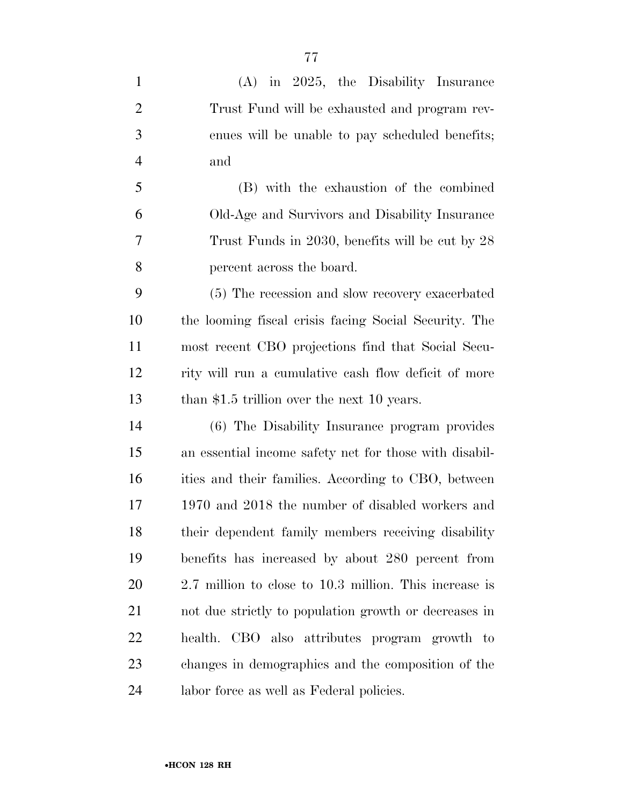(A) in 2025, the Disability Insurance Trust Fund will be exhausted and program rev- enues will be unable to pay scheduled benefits; and (B) with the exhaustion of the combined Old-Age and Survivors and Disability Insurance Trust Funds in 2030, benefits will be cut by 28 percent across the board. (5) The recession and slow recovery exacerbated the looming fiscal crisis facing Social Security. The most recent CBO projections find that Social Secu- rity will run a cumulative cash flow deficit of more 13 than \$1.5 trillion over the next 10 years. (6) The Disability Insurance program provides an essential income safety net for those with disabil-16 ities and their families. According to CBO, between 1970 and 2018 the number of disabled workers and their dependent family members receiving disability benefits has increased by about 280 percent from 2.7 million to close to 10.3 million. This increase is not due strictly to population growth or decreases in health. CBO also attributes program growth to changes in demographics and the composition of the labor force as well as Federal policies.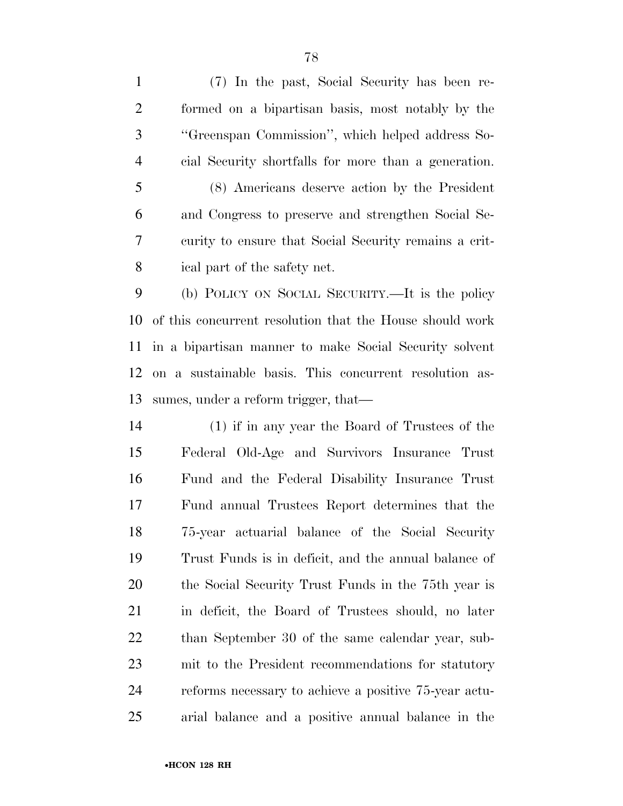(7) In the past, Social Security has been re- formed on a bipartisan basis, most notably by the ''Greenspan Commission'', which helped address So-cial Security shortfalls for more than a generation.

 (8) Americans deserve action by the President and Congress to preserve and strengthen Social Se- curity to ensure that Social Security remains a crit-ical part of the safety net.

 (b) POLICY ON SOCIAL SECURITY.—It is the policy of this concurrent resolution that the House should work in a bipartisan manner to make Social Security solvent on a sustainable basis. This concurrent resolution as-sumes, under a reform trigger, that—

 (1) if in any year the Board of Trustees of the Federal Old-Age and Survivors Insurance Trust Fund and the Federal Disability Insurance Trust Fund annual Trustees Report determines that the 75-year actuarial balance of the Social Security Trust Funds is in deficit, and the annual balance of the Social Security Trust Funds in the 75th year is in deficit, the Board of Trustees should, no later than September 30 of the same calendar year, sub- mit to the President recommendations for statutory reforms necessary to achieve a positive 75-year actu-arial balance and a positive annual balance in the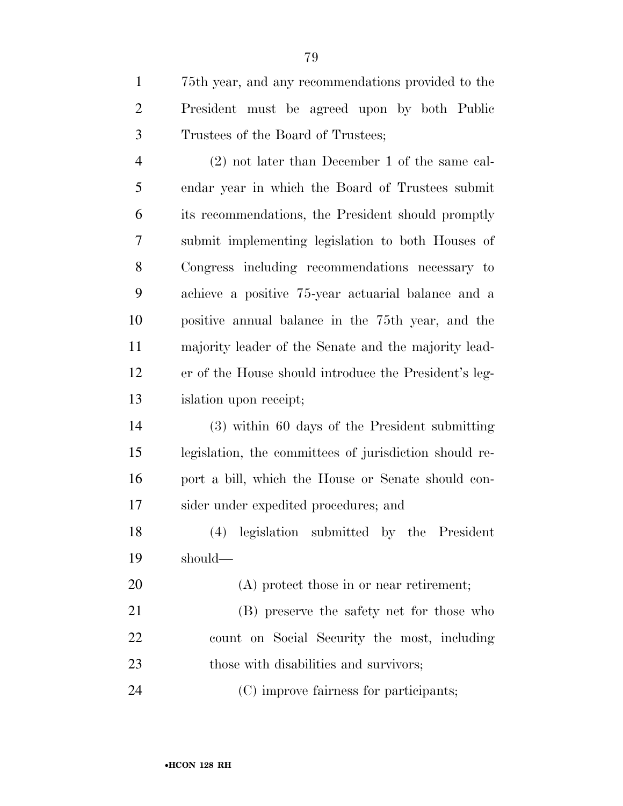75th year, and any recommendations provided to the President must be agreed upon by both Public Trustees of the Board of Trustees;

 (2) not later than December 1 of the same cal- endar year in which the Board of Trustees submit its recommendations, the President should promptly submit implementing legislation to both Houses of Congress including recommendations necessary to achieve a positive 75-year actuarial balance and a positive annual balance in the 75th year, and the majority leader of the Senate and the majority lead- er of the House should introduce the President's leg-islation upon receipt;

 (3) within 60 days of the President submitting legislation, the committees of jurisdiction should re- port a bill, which the House or Senate should con-sider under expedited procedures; and

 (4) legislation submitted by the President should—

(A) protect those in or near retirement;

 (B) preserve the safety net for those who count on Social Security the most, including 23 those with disabilities and survivors;

(C) improve fairness for participants;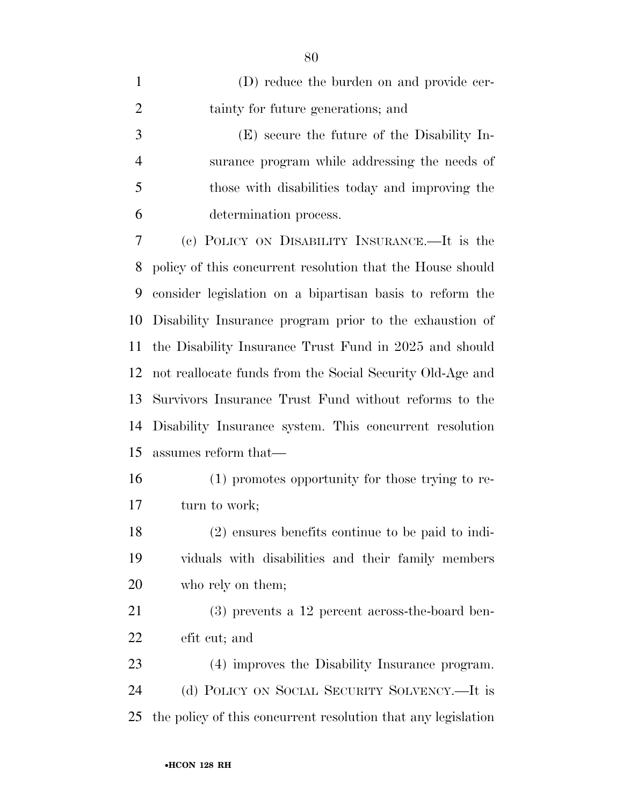| $\mathbf{1}$   | (D) reduce the burden on and provide cer-                     |
|----------------|---------------------------------------------------------------|
| $\overline{2}$ | tainty for future generations; and                            |
| 3              | (E) secure the future of the Disability In-                   |
| $\overline{4}$ | surance program while addressing the needs of                 |
| 5              | those with disabilities today and improving the               |
| 6              | determination process.                                        |
| 7              | (c) POLICY ON DISABILITY INSURANCE.—It is the                 |
| 8              | policy of this concurrent resolution that the House should    |
| 9              | consider legislation on a bipartisan basis to reform the      |
| 10             | Disability Insurance program prior to the exhaustion of       |
| 11             | the Disability Insurance Trust Fund in 2025 and should        |
| 12             | not reallocate funds from the Social Security Old-Age and     |
| 13             | Survivors Insurance Trust Fund without reforms to the         |
| 14             | Disability Insurance system. This concurrent resolution       |
| 15             | assumes reform that—                                          |
| 16             | (1) promotes opportunity for those trying to re-              |
| 17             | turn to work;                                                 |
| 18             | (2) ensures benefits continue to be paid to indi-             |
| 19             | viduals with disabilities and their family members            |
| 20             | who rely on them;                                             |
| 21             | $(3)$ prevents a 12 percent across-the-board ben-             |
| 22             | efit cut; and                                                 |
| 23             | (4) improves the Disability Insurance program.                |
| 24             | (d) POLICY ON SOCIAL SECURITY SOLVENCY.—It is                 |
| 25             | the policy of this concurrent resolution that any legislation |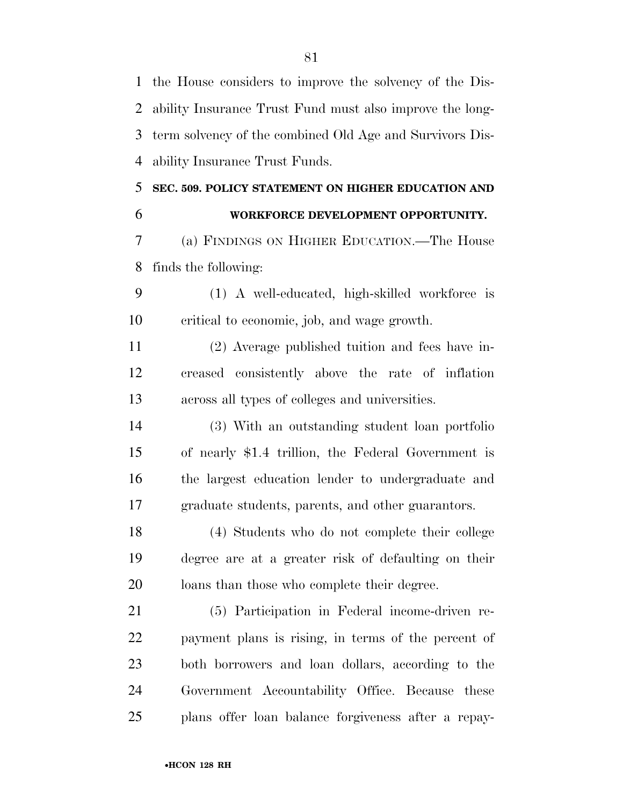| $\mathbf{1}$   | the House considers to improve the solvency of the Dis-  |
|----------------|----------------------------------------------------------|
| $\overline{2}$ | ability Insurance Trust Fund must also improve the long- |
| 3              | term solvency of the combined Old Age and Survivors Dis- |
| $\overline{4}$ | ability Insurance Trust Funds.                           |
| 5              | SEC. 509. POLICY STATEMENT ON HIGHER EDUCATION AND       |
| 6              | WORKFORCE DEVELOPMENT OPPORTUNITY.                       |
| 7              | (a) FINDINGS ON HIGHER EDUCATION.—The House              |
| 8              | finds the following:                                     |
| 9              | (1) A well-educated, high-skilled workforce is           |
| 10             | critical to economic, job, and wage growth.              |
| 11             | (2) Average published tuition and fees have in-          |
| 12             | creased consistently above the rate of inflation         |
| 13             | across all types of colleges and universities.           |
| 14             | (3) With an outstanding student loan portfolio           |
| 15             | of nearly \$1.4 trillion, the Federal Government is      |
| 16             | the largest education lender to undergraduate and        |
| 17             | graduate students, parents, and other guarantors.        |
| 18             | (4) Students who do not complete their college           |
| 19             | degree are at a greater risk of defaulting on their      |
| 20             | loans than those who complete their degree.              |
| 21             | (5) Participation in Federal income-driven re-           |
| 22             | payment plans is rising, in terms of the percent of      |
| 23             | both borrowers and loan dollars, according to the        |
| 24             | Government Accountability Office. Because these          |
| 25             | plans offer loan balance forgiveness after a repay-      |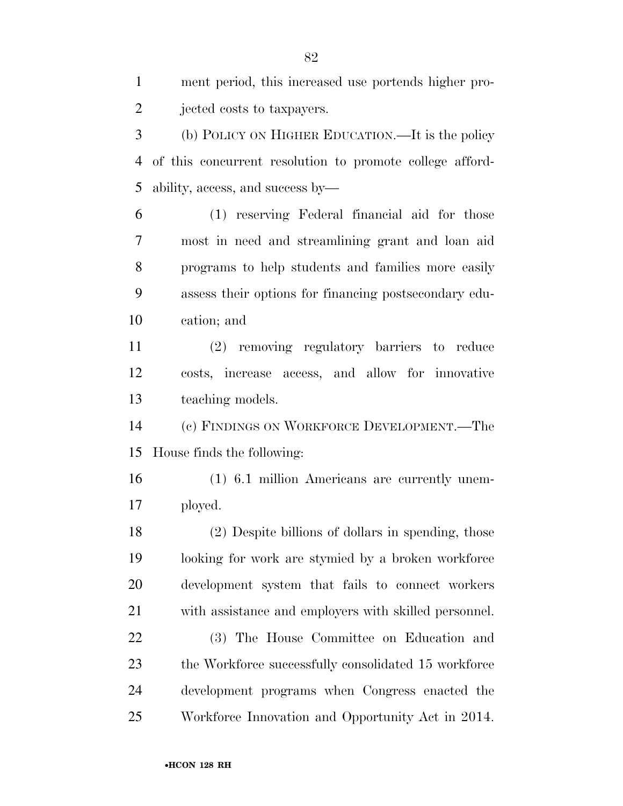ment period, this increased use portends higher pro- jected costs to taxpayers. (b) POLICY ON HIGHER EDUCATION.—It is the policy of this concurrent resolution to promote college afford- ability, access, and success by— (1) reserving Federal financial aid for those most in need and streamlining grant and loan aid programs to help students and families more easily assess their options for financing postsecondary edu- cation; and (2) removing regulatory barriers to reduce costs, increase access, and allow for innovative teaching models. (c) FINDINGS ON WORKFORCE DEVELOPMENT.—The House finds the following: (1) 6.1 million Americans are currently unem- ployed. (2) Despite billions of dollars in spending, those looking for work are stymied by a broken workforce development system that fails to connect workers with assistance and employers with skilled personnel. (3) The House Committee on Education and 23 the Workforce successfully consolidated 15 workforce development programs when Congress enacted the Workforce Innovation and Opportunity Act in 2014.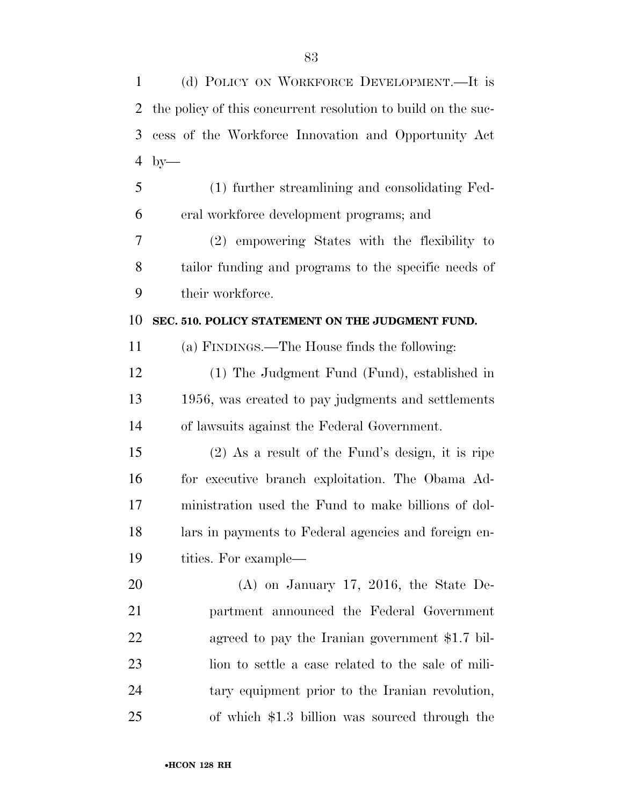| 1  | (d) POLICY ON WORKFORCE DEVELOPMENT.—It is                    |
|----|---------------------------------------------------------------|
| 2  | the policy of this concurrent resolution to build on the suc- |
| 3  | cess of the Workforce Innovation and Opportunity Act          |
| 4  | $by-$                                                         |
| 5  | (1) further streamlining and consolidating Fed-               |
| 6  | eral workforce development programs; and                      |
| 7  | (2) empowering States with the flexibility to                 |
| 8  | tailor funding and programs to the specific needs of          |
| 9  | their workforce.                                              |
| 10 | SEC. 510. POLICY STATEMENT ON THE JUDGMENT FUND.              |
| 11 | (a) FINDINGS.—The House finds the following:                  |
| 12 | (1) The Judgment Fund (Fund), established in                  |
| 13 | 1956, was created to pay judgments and settlements            |
| 14 | of lawsuits against the Federal Government.                   |
| 15 | $(2)$ As a result of the Fund's design, it is ripe            |
| 16 | for executive branch exploitation. The Obama Ad-              |
| 17 | ministration used the Fund to make billions of dol-           |
| 18 | lars in payments to Federal agencies and foreign en-          |
| 19 | tities. For example—                                          |
| 20 | $(A)$ on January 17, 2016, the State De-                      |
| 21 | partment announced the Federal Government                     |
| 22 | agreed to pay the Iranian government \$1.7 bil-               |
| 23 | lion to settle a case related to the sale of mili-            |
| 24 | tary equipment prior to the Iranian revolution,               |
| 25 | of which \$1.3 billion was sourced through the                |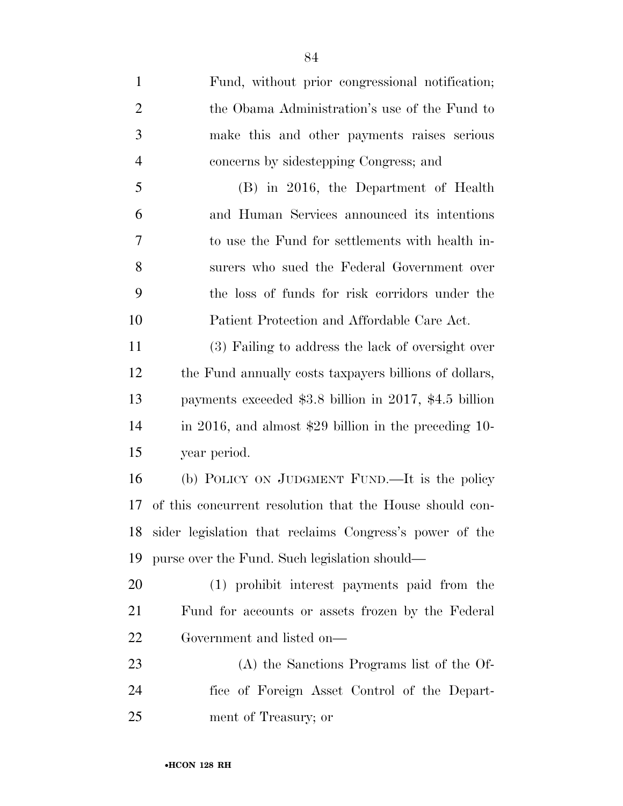Fund, without prior congressional notification; the Obama Administration's use of the Fund to make this and other payments raises serious concerns by sidestepping Congress; and (B) in 2016, the Department of Health and Human Services announced its intentions to use the Fund for settlements with health in- surers who sued the Federal Government over the loss of funds for risk corridors under the Patient Protection and Affordable Care Act. (3) Failing to address the lack of oversight over the Fund annually costs taxpayers billions of dollars, payments exceeded \$3.8 billion in 2017, \$4.5 billion in 2016, and almost \$29 billion in the preceding 10- year period. (b) POLICY ON JUDGMENT FUND.—It is the policy of this concurrent resolution that the House should con- sider legislation that reclaims Congress's power of the purse over the Fund. Such legislation should— (1) prohibit interest payments paid from the Fund for accounts or assets frozen by the Federal Government and listed on— (A) the Sanctions Programs list of the Of-fice of Foreign Asset Control of the Depart-

ment of Treasury; or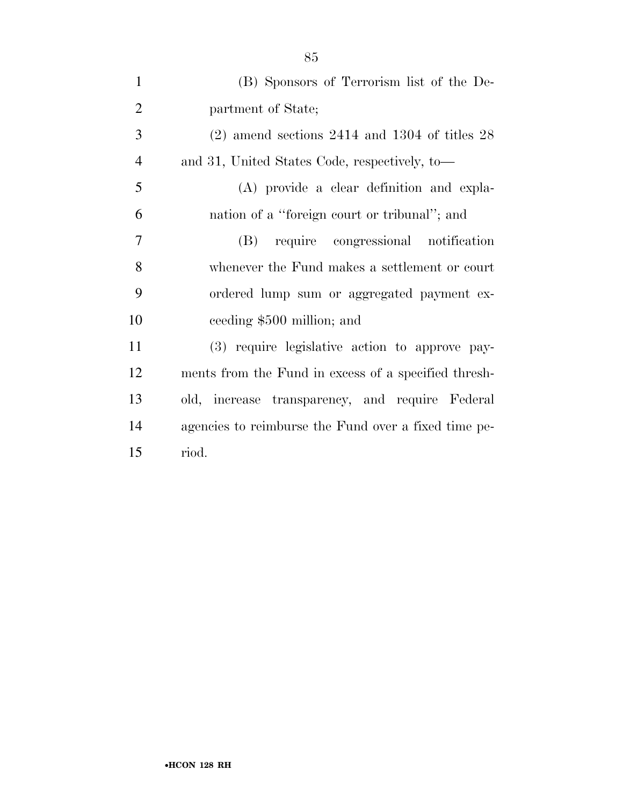| $\mathbf{1}$   | (B) Sponsors of Terrorism list of the De-            |
|----------------|------------------------------------------------------|
| $\overline{2}$ | partment of State;                                   |
| 3              | $(2)$ amend sections 2414 and 1304 of titles 28      |
| $\overline{4}$ | and 31, United States Code, respectively, to-        |
| 5              | (A) provide a clear definition and expla-            |
| 6              | nation of a "foreign court or tribunal"; and         |
| $\overline{7}$ | (B) require congressional notification               |
| 8              | whenever the Fund makes a settlement or court        |
| 9              | ordered lump sum or aggregated payment ex-           |
| 10             | ceeding \$500 million; and                           |
| 11             | (3) require legislative action to approve pay-       |
| 12             | ments from the Fund in excess of a specified thresh- |
| 13             | old, increase transparency, and require Federal      |
| 14             | agencies to reimburse the Fund over a fixed time pe- |
| 15             | riod.                                                |